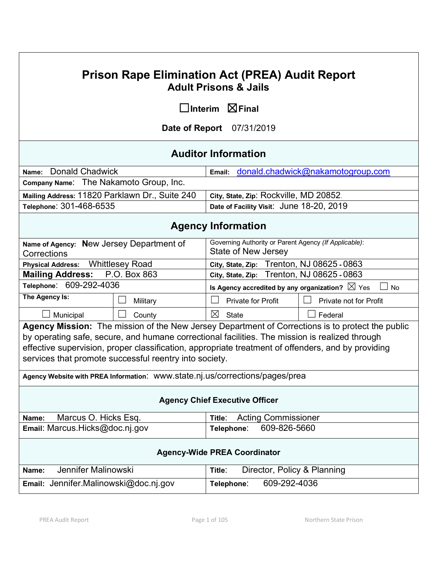# **Prison Rape Elimination Act (PREA) Audit Report Adult Prisons & Jails**

☐**Interim** ☒**Final**

**Date of Report** 07/31/2019

# **Auditor Information**

| Name: Donald Chadwick                          | Email: donald.chadwick@nakamotogroup.com |
|------------------------------------------------|------------------------------------------|
| Company Name: The Nakamoto Group, Inc.         |                                          |
| Mailing Address: 11820 Parklawn Dr., Suite 240 | City, State, Zip: Rockville, MD 20852.   |
| Telephone: 301-468-6535                        | Date of Facility Visit: June 18-20, 2019 |

# **Agency Information**

| Governing Authority or Parent Agency (If Applicable):<br>Name of Agency: New Jersey Department of |                                                                                                |                                                                        |              |                                                                                                    |
|---------------------------------------------------------------------------------------------------|------------------------------------------------------------------------------------------------|------------------------------------------------------------------------|--------------|----------------------------------------------------------------------------------------------------|
| Corrections                                                                                       |                                                                                                | <b>State of New Jersey</b>                                             |              |                                                                                                    |
| <b>Physical Address:</b>                                                                          | <b>Whittlesey Road</b>                                                                         |                                                                        |              | City, State, Zip: Trenton, NJ 08625 - 0863                                                         |
| <b>Mailing Address:</b>                                                                           | P.O. Box 863                                                                                   | City, State, Zip: Trenton, NJ 08625 - 0863                             |              |                                                                                                    |
| Telephone: 609-292-4036                                                                           |                                                                                                | Is Agency accredited by any organization? $\boxtimes$ Yes<br><b>No</b> |              |                                                                                                    |
| The Agency Is:                                                                                    | Military                                                                                       | <b>Private for Profit</b>                                              |              | Private not for Profit                                                                             |
| Municipal                                                                                         | County                                                                                         | $\boxtimes$<br><b>State</b>                                            |              | Federal                                                                                            |
|                                                                                                   |                                                                                                |                                                                        |              | Agency Mission: The mission of the New Jersey Department of Corrections is to protect the public   |
|                                                                                                   | by operating safe, secure, and humane correctional facilities. The mission is realized through |                                                                        |              |                                                                                                    |
|                                                                                                   |                                                                                                |                                                                        |              | effective supervision, proper classification, appropriate treatment of offenders, and by providing |
| services that promote successful reentry into society.                                            |                                                                                                |                                                                        |              |                                                                                                    |
| Agency Website with PREA Information: WWW.state.nj.us/corrections/pages/prea                      |                                                                                                |                                                                        |              |                                                                                                    |
| <b>Agency Chief Executive Officer</b>                                                             |                                                                                                |                                                                        |              |                                                                                                    |
| Marcus O. Hicks Esq.<br><b>Acting Commissioner</b><br>Name:<br>Title:                             |                                                                                                |                                                                        |              |                                                                                                    |
| Email: Marcus.Hicks@doc.nj.gov<br>Telephone:                                                      |                                                                                                |                                                                        | 609-826-5660 |                                                                                                    |
| <b>Agency-Wide PREA Coordinator</b>                                                               |                                                                                                |                                                                        |              |                                                                                                    |
| Jennifer Malinowski<br>Name:                                                                      |                                                                                                | Title:                                                                 |              | Director, Policy & Planning                                                                        |
| Email: Jennifer Malinowski@doc.nj.gov                                                             |                                                                                                | Telephone:                                                             | 609-292-4036 |                                                                                                    |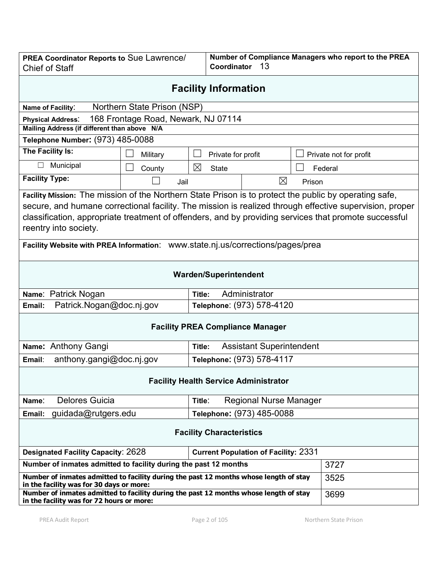| Number of Compliance Managers who report to the PREA<br>PREA Coordinator Reports to Sue Lawrence/<br>Coordinator<br>13<br><b>Chief of Staff</b> |                                                  |        |                                             |        |                        |  |
|-------------------------------------------------------------------------------------------------------------------------------------------------|--------------------------------------------------|--------|---------------------------------------------|--------|------------------------|--|
| <b>Facility Information</b>                                                                                                                     |                                                  |        |                                             |        |                        |  |
| Name of Facility:                                                                                                                               | Northern State Prison (NSP)                      |        |                                             |        |                        |  |
| <b>Physical Address:</b>                                                                                                                        | 168 Frontage Road, Newark, NJ 07114              |        |                                             |        |                        |  |
| Mailing Address (if different than above N/A                                                                                                    |                                                  |        |                                             |        |                        |  |
| Telephone Number: (973) 485-0088                                                                                                                |                                                  |        |                                             |        |                        |  |
| The Facility Is:                                                                                                                                | Military                                         |        | Private for profit                          |        | Private not for profit |  |
| Municipal                                                                                                                                       | County                                           | ⊠      | <b>State</b>                                |        | Federal                |  |
| <b>Facility Type:</b>                                                                                                                           | Jail                                             |        | ⊠                                           | Prison |                        |  |
| Facility Mission: The mission of the Northern State Prison is to protect the public by operating safe,                                          |                                                  |        |                                             |        |                        |  |
| secure, and humane correctional facility. The mission is realized through effective supervision, proper                                         |                                                  |        |                                             |        |                        |  |
| classification, appropriate treatment of offenders, and by providing services that promote successful                                           |                                                  |        |                                             |        |                        |  |
| reentry into society.                                                                                                                           |                                                  |        |                                             |        |                        |  |
| Facility Website with PREA Information: www.state.nj.us/corrections/pages/prea                                                                  |                                                  |        |                                             |        |                        |  |
| <b>Warden/Superintendent</b>                                                                                                                    |                                                  |        |                                             |        |                        |  |
| Name: Patrick Nogan                                                                                                                             |                                                  | Title: | Administrator                               |        |                        |  |
| Patrick.Nogan@doc.nj.gov<br>Telephone: (973) 578-4120<br>Email:                                                                                 |                                                  |        |                                             |        |                        |  |
| <b>Facility PREA Compliance Manager</b>                                                                                                         |                                                  |        |                                             |        |                        |  |
| Name: Anthony Gangi<br><b>Assistant Superintendent</b><br>Title:                                                                                |                                                  |        |                                             |        |                        |  |
| anthony.gangi@doc.nj.gov<br>Email:                                                                                                              |                                                  |        | Telephone: (973) 578-4117                   |        |                        |  |
| <b>Facility Health Service Administrator</b>                                                                                                    |                                                  |        |                                             |        |                        |  |
| <b>Delores Guicia</b><br>Name:<br>Title:                                                                                                        |                                                  |        | <b>Regional Nurse Manager</b>               |        |                        |  |
| Email:                                                                                                                                          | Telephone: (973) 485-0088<br>guidada@rutgers.edu |        |                                             |        |                        |  |
| <b>Facility Characteristics</b>                                                                                                                 |                                                  |        |                                             |        |                        |  |
| <b>Designated Facility Capacity: 2628</b>                                                                                                       |                                                  |        | <b>Current Population of Facility: 2331</b> |        |                        |  |
| Number of inmates admitted to facility during the past 12 months                                                                                |                                                  |        |                                             |        | 3727                   |  |
| Number of inmates admitted to facility during the past 12 months whose length of stay<br>in the facility was for 30 days or more:               |                                                  |        |                                             | 3525   |                        |  |
| Number of inmates admitted to facility during the past 12 months whose length of stay<br>in the facility was for 72 hours or more:              |                                                  |        |                                             |        | 3699                   |  |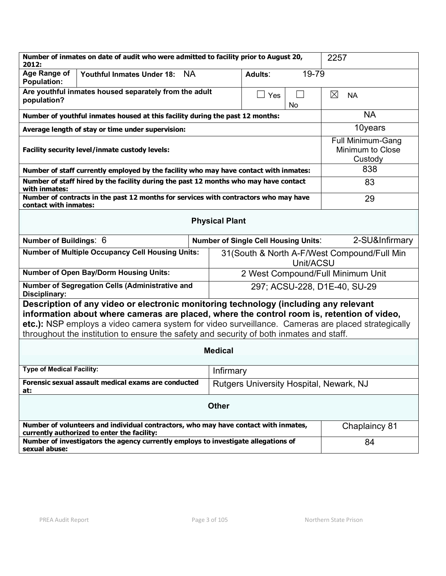| Number of inmates on date of audit who were admitted to facility prior to August 20,<br>2012:                                                                                                                                                                                                                                                                                      | 2257                                                    |                          |  |  |  |
|------------------------------------------------------------------------------------------------------------------------------------------------------------------------------------------------------------------------------------------------------------------------------------------------------------------------------------------------------------------------------------|---------------------------------------------------------|--------------------------|--|--|--|
| Age Range of<br><b>Youthful Inmates Under 18:</b><br><b>NA</b><br><b>Population:</b>                                                                                                                                                                                                                                                                                               | 19-79<br>Adults:                                        |                          |  |  |  |
| Are youthful inmates housed separately from the adult<br>population?                                                                                                                                                                                                                                                                                                               | $\Box$ Yes<br>No                                        | $\boxtimes$<br><b>NA</b> |  |  |  |
| Number of youthful inmates housed at this facility during the past 12 months:                                                                                                                                                                                                                                                                                                      |                                                         | <b>NA</b>                |  |  |  |
| Average length of stay or time under supervision:                                                                                                                                                                                                                                                                                                                                  | 10years                                                 |                          |  |  |  |
| Facility security level/inmate custody levels:                                                                                                                                                                                                                                                                                                                                     | <b>Full Minimum-Gang</b><br>Minimum to Close<br>Custody |                          |  |  |  |
| Number of staff currently employed by the facility who may have contact with inmates:                                                                                                                                                                                                                                                                                              | 838                                                     |                          |  |  |  |
| Number of staff hired by the facility during the past 12 months who may have contact<br>with inmates:                                                                                                                                                                                                                                                                              | 83                                                      |                          |  |  |  |
| Number of contracts in the past 12 months for services with contractors who may have<br>contact with inmates:                                                                                                                                                                                                                                                                      | 29                                                      |                          |  |  |  |
| <b>Physical Plant</b>                                                                                                                                                                                                                                                                                                                                                              |                                                         |                          |  |  |  |
| Number of Buildings: 6                                                                                                                                                                                                                                                                                                                                                             | <b>Number of Single Cell Housing Units:</b>             | 2-SU&Infirmary           |  |  |  |
| <b>Number of Multiple Occupancy Cell Housing Units:</b><br>31 (South & North A-F/West Compound/Full Min<br>Unit/ACSU                                                                                                                                                                                                                                                               |                                                         |                          |  |  |  |
| <b>Number of Open Bay/Dorm Housing Units:</b>                                                                                                                                                                                                                                                                                                                                      | 2 West Compound/Full Minimum Unit                       |                          |  |  |  |
| Number of Segregation Cells (Administrative and<br>Disciplinary:                                                                                                                                                                                                                                                                                                                   | 297; ACSU-228, D1E-40, SU-29                            |                          |  |  |  |
| Description of any video or electronic monitoring technology (including any relevant<br>information about where cameras are placed, where the control room is, retention of video,<br>etc.): NSP employs a video camera system for video surveillance. Cameras are placed strategically<br>throughout the institution to ensure the safety and security of both inmates and staff. |                                                         |                          |  |  |  |
| <b>Medical</b>                                                                                                                                                                                                                                                                                                                                                                     |                                                         |                          |  |  |  |
|                                                                                                                                                                                                                                                                                                                                                                                    |                                                         |                          |  |  |  |
| <b>Type of Medical Facility:</b><br>Infirmary                                                                                                                                                                                                                                                                                                                                      |                                                         |                          |  |  |  |
| Forensic sexual assault medical exams are conducted<br>at:                                                                                                                                                                                                                                                                                                                         | Rutgers University Hospital, Newark, NJ                 |                          |  |  |  |
| <b>Other</b>                                                                                                                                                                                                                                                                                                                                                                       |                                                         |                          |  |  |  |
| Number of volunteers and individual contractors, who may have contact with inmates,<br>currently authorized to enter the facility:                                                                                                                                                                                                                                                 | Chaplaincy 81                                           |                          |  |  |  |
| Number of investigators the agency currently employs to investigate allegations of<br>sexual abuse:                                                                                                                                                                                                                                                                                | 84                                                      |                          |  |  |  |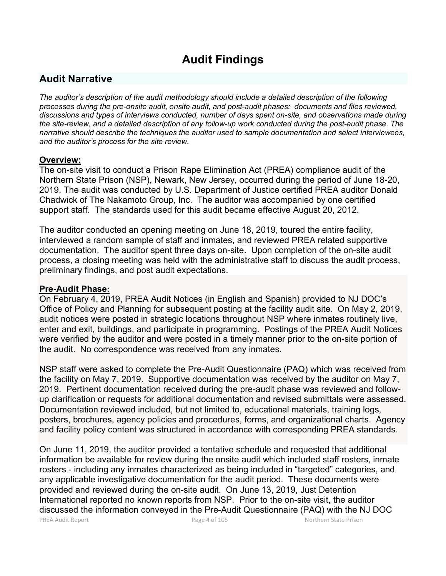# **Audit Findings**

# **Audit Narrative**

*The auditor's description of the audit methodology should include a detailed description of the following processes during the pre-onsite audit, onsite audit, and post-audit phases: documents and files reviewed, discussions and types of interviews conducted, number of days spent on-site, and observations made during the site-review, and a detailed description of any follow-up work conducted during the post-audit phase. The narrative should describe the techniques the auditor used to sample documentation and select interviewees, and the auditor's process for the site review.*

# **Overview:**

The on-site visit to conduct a Prison Rape Elimination Act (PREA) compliance audit of the Northern State Prison (NSP), Newark, New Jersey, occurred during the period of June 18-20, 2019. The audit was conducted by U.S. Department of Justice certified PREA auditor Donald Chadwick of The Nakamoto Group, Inc. The auditor was accompanied by one certified support staff. The standards used for this audit became effective August 20, 2012.

The auditor conducted an opening meeting on June 18, 2019, toured the entire facility, interviewed a random sample of staff and inmates, and reviewed PREA related supportive documentation. The auditor spent three days on-site. Upon completion of the on-site audit process, a closing meeting was held with the administrative staff to discuss the audit process, preliminary findings, and post audit expectations.

# **Pre-Audit Phase:**

On February 4, 2019, PREA Audit Notices (in English and Spanish) provided to NJ DOC's Office of Policy and Planning for subsequent posting at the facility audit site. On May 2, 2019, audit notices were posted in strategic locations throughout NSP where inmates routinely live, enter and exit, buildings, and participate in programming. Postings of the PREA Audit Notices were verified by the auditor and were posted in a timely manner prior to the on-site portion of the audit. No correspondence was received from any inmates.

NSP staff were asked to complete the Pre-Audit Questionnaire (PAQ) which was received from the facility on May 7, 2019. Supportive documentation was received by the auditor on May 7, 2019. Pertinent documentation received during the pre-audit phase was reviewed and followup clarification or requests for additional documentation and revised submittals were assessed. Documentation reviewed included, but not limited to, educational materials, training logs, posters, brochures, agency policies and procedures, forms, and organizational charts. Agency and facility policy content was structured in accordance with corresponding PREA standards.

On June 11, 2019, the auditor provided a tentative schedule and requested that additional information be available for review during the onsite audit which included staff rosters, inmate rosters - including any inmates characterized as being included in "targeted" categories, and any applicable investigative documentation for the audit period. These documents were provided and reviewed during the on-site audit. On June 13, 2019, Just Detention International reported no known reports from NSP. Prior to the on-site visit, the auditor discussed the information conveyed in the Pre-Audit Questionnaire (PAQ) with the NJ DOC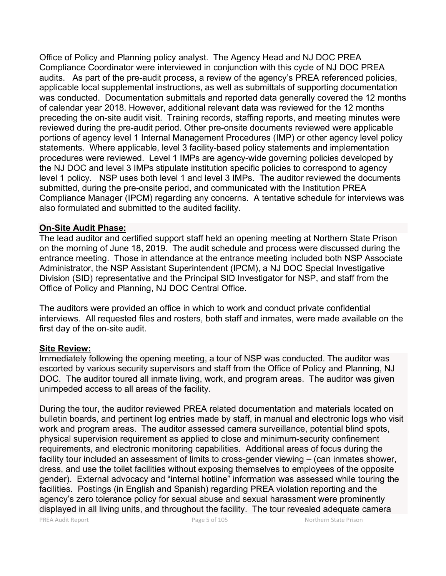Office of Policy and Planning policy analyst. The Agency Head and NJ DOC PREA Compliance Coordinator were interviewed in conjunction with this cycle of NJ DOC PREA audits. As part of the pre-audit process, a review of the agency's PREA referenced policies, applicable local supplemental instructions, as well as submittals of supporting documentation was conducted. Documentation submittals and reported data generally covered the 12 months of calendar year 2018. However, additional relevant data was reviewed for the 12 months preceding the on-site audit visit. Training records, staffing reports, and meeting minutes were reviewed during the pre-audit period. Other pre-onsite documents reviewed were applicable portions of agency level 1 Internal Management Procedures (IMP) or other agency level policy statements. Where applicable, level 3 facility-based policy statements and implementation procedures were reviewed. Level 1 IMPs are agency-wide governing policies developed by the NJ DOC and level 3 IMPs stipulate institution specific policies to correspond to agency level 1 policy. NSP uses both level 1 and level 3 IMPs. The auditor reviewed the documents submitted, during the pre-onsite period, and communicated with the Institution PREA Compliance Manager (IPCM) regarding any concerns. A tentative schedule for interviews was also formulated and submitted to the audited facility.

## **On-Site Audit Phase:**

The lead auditor and certified support staff held an opening meeting at Northern State Prison on the morning of June 18, 2019. The audit schedule and process were discussed during the entrance meeting. Those in attendance at the entrance meeting included both NSP Associate Administrator, the NSP Assistant Superintendent (IPCM), a NJ DOC Special Investigative Division (SID) representative and the Principal SID Investigator for NSP, and staff from the Office of Policy and Planning, NJ DOC Central Office.

The auditors were provided an office in which to work and conduct private confidential interviews. All requested files and rosters, both staff and inmates, were made available on the first day of the on-site audit.

### **Site Review:**

Immediately following the opening meeting, a tour of NSP was conducted. The auditor was escorted by various security supervisors and staff from the Office of Policy and Planning, NJ DOC. The auditor toured all inmate living, work, and program areas. The auditor was given unimpeded access to all areas of the facility.

During the tour, the auditor reviewed PREA related documentation and materials located on bulletin boards, and pertinent log entries made by staff, in manual and electronic logs who visit work and program areas. The auditor assessed camera surveillance, potential blind spots, physical supervision requirement as applied to close and minimum-security confinement requirements, and electronic monitoring capabilities. Additional areas of focus during the facility tour included an assessment of limits to cross-gender viewing – (can inmates shower, dress, and use the toilet facilities without exposing themselves to employees of the opposite gender). External advocacy and "internal hotline" information was assessed while touring the facilities. Postings (in English and Spanish) regarding PREA violation reporting and the agency's zero tolerance policy for sexual abuse and sexual harassment were prominently displayed in all living units, and throughout the facility. The tour revealed adequate camera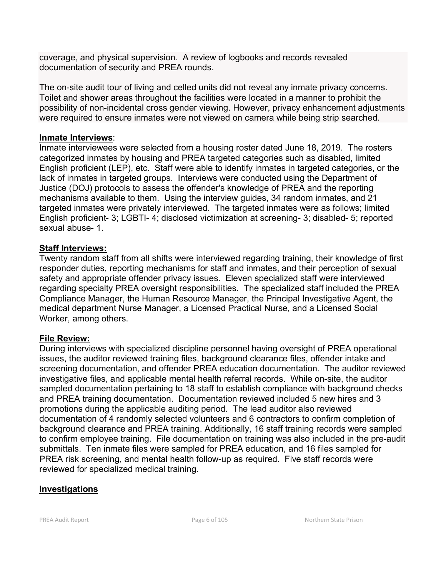coverage, and physical supervision. A review of logbooks and records revealed documentation of security and PREA rounds.

The on-site audit tour of living and celled units did not reveal any inmate privacy concerns. Toilet and shower areas throughout the facilities were located in a manner to prohibit the possibility of non-incidental cross gender viewing. However, privacy enhancement adjustments were required to ensure inmates were not viewed on camera while being strip searched.

## **Inmate Interviews**:

Inmate interviewees were selected from a housing roster dated June 18, 2019. The rosters categorized inmates by housing and PREA targeted categories such as disabled, limited English proficient (LEP), etc. Staff were able to identify inmates in targeted categories, or the lack of inmates in targeted groups. Interviews were conducted using the Department of Justice (DOJ) protocols to assess the offender's knowledge of PREA and the reporting mechanisms available to them. Using the interview guides, 34 random inmates, and 21 targeted inmates were privately interviewed. The targeted inmates were as follows; limited English proficient- 3; LGBTI- 4; disclosed victimization at screening- 3; disabled- 5; reported sexual abuse- 1.

# **Staff Interviews:**

Twenty random staff from all shifts were interviewed regarding training, their knowledge of first responder duties, reporting mechanisms for staff and inmates, and their perception of sexual safety and appropriate offender privacy issues. Eleven specialized staff were interviewed regarding specialty PREA oversight responsibilities. The specialized staff included the PREA Compliance Manager, the Human Resource Manager, the Principal Investigative Agent, the medical department Nurse Manager, a Licensed Practical Nurse, and a Licensed Social Worker, among others.

# **File Review:**

During interviews with specialized discipline personnel having oversight of PREA operational issues, the auditor reviewed training files, background clearance files, offender intake and screening documentation, and offender PREA education documentation. The auditor reviewed investigative files, and applicable mental health referral records. While on-site, the auditor sampled documentation pertaining to 18 staff to establish compliance with background checks and PREA training documentation. Documentation reviewed included 5 new hires and 3 promotions during the applicable auditing period. The lead auditor also reviewed documentation of 4 randomly selected volunteers and 6 contractors to confirm completion of background clearance and PREA training. Additionally, 16 staff training records were sampled to confirm employee training. File documentation on training was also included in the pre-audit submittals. Ten inmate files were sampled for PREA education, and 16 files sampled for PREA risk screening, and mental health follow-up as required. Five staff records were reviewed for specialized medical training.

# **Investigations**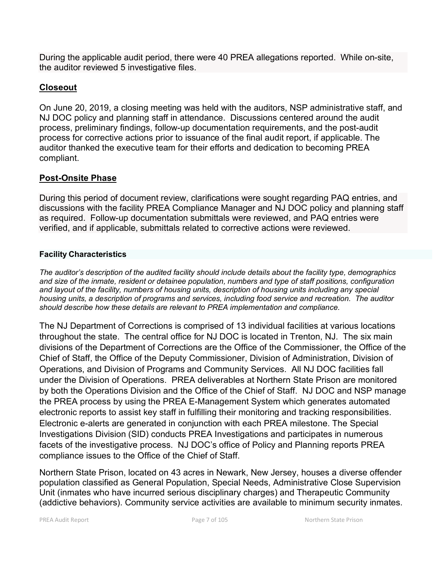During the applicable audit period, there were 40 PREA allegations reported. While on-site, the auditor reviewed 5 investigative files.

# **Closeout**

On June 20, 2019, a closing meeting was held with the auditors, NSP administrative staff, and NJ DOC policy and planning staff in attendance. Discussions centered around the audit process, preliminary findings, follow-up documentation requirements, and the post-audit process for corrective actions prior to issuance of the final audit report, if applicable. The auditor thanked the executive team for their efforts and dedication to becoming PREA compliant.

# **Post-Onsite Phase**

During this period of document review, clarifications were sought regarding PAQ entries, and discussions with the facility PREA Compliance Manager and NJ DOC policy and planning staff as required. Follow-up documentation submittals were reviewed, and PAQ entries were verified, and if applicable, submittals related to corrective actions were reviewed.

## **Facility Characteristics**

*The auditor's description of the audited facility should include details about the facility type, demographics and size of the inmate, resident or detainee population, numbers and type of staff positions, configuration and layout of the facility, numbers of housing units, description of housing units including any special housing units, a description of programs and services, including food service and recreation. The auditor should describe how these details are relevant to PREA implementation and compliance.*

The NJ Department of Corrections is comprised of 13 individual facilities at various locations throughout the state. The central office for NJ DOC is located in Trenton, NJ. The six main divisions of the Department of Corrections are the Office of the Commissioner, the Office of the Chief of Staff, the Office of the Deputy Commissioner, Division of Administration, Division of Operations, and Division of Programs and Community Services. All NJ DOC facilities fall under the Division of Operations. PREA deliverables at Northern State Prison are monitored by both the Operations Division and the Office of the Chief of Staff. NJ DOC and NSP manage the PREA process by using the PREA E-Management System which generates automated electronic reports to assist key staff in fulfilling their monitoring and tracking responsibilities. Electronic e-alerts are generated in conjunction with each PREA milestone. The Special Investigations Division (SID) conducts PREA Investigations and participates in numerous facets of the investigative process. NJ DOC's office of Policy and Planning reports PREA compliance issues to the Office of the Chief of Staff.

Northern State Prison, located on 43 acres in Newark, New Jersey, houses a diverse offender population classified as General Population, Special Needs, Administrative Close Supervision Unit (inmates who have incurred serious disciplinary charges) and Therapeutic Community (addictive behaviors). Community service activities are available to minimum security inmates.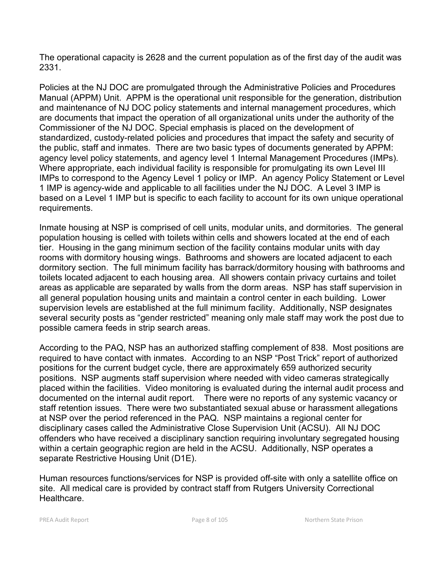The operational capacity is 2628 and the current population as of the first day of the audit was 2331.

Policies at the NJ DOC are promulgated through the Administrative Policies and Procedures Manual (APPM) Unit. APPM is the operational unit responsible for the generation, distribution and maintenance of NJ DOC policy statements and internal management procedures, which are documents that impact the operation of all organizational units under the authority of the Commissioner of the NJ DOC. Special emphasis is placed on the development of standardized, custody-related policies and procedures that impact the safety and security of the public, staff and inmates. There are two basic types of documents generated by APPM: agency level policy statements, and agency level 1 Internal Management Procedures (IMPs). Where appropriate, each individual facility is responsible for promulgating its own Level III IMPs to correspond to the Agency Level 1 policy or IMP. An agency Policy Statement or Level 1 IMP is agency-wide and applicable to all facilities under the NJ DOC. A Level 3 IMP is based on a Level 1 IMP but is specific to each facility to account for its own unique operational requirements.

Inmate housing at NSP is comprised of cell units, modular units, and dormitories. The general population housing is celled with toilets within cells and showers located at the end of each tier. Housing in the gang minimum section of the facility contains modular units with day rooms with dormitory housing wings. Bathrooms and showers are located adjacent to each dormitory section. The full minimum facility has barrack/dormitory housing with bathrooms and toilets located adjacent to each housing area. All showers contain privacy curtains and toilet areas as applicable are separated by walls from the dorm areas. NSP has staff supervision in all general population housing units and maintain a control center in each building. Lower supervision levels are established at the full minimum facility. Additionally, NSP designates several security posts as "gender restricted" meaning only male staff may work the post due to possible camera feeds in strip search areas.

According to the PAQ, NSP has an authorized staffing complement of 838. Most positions are required to have contact with inmates. According to an NSP "Post Trick" report of authorized positions for the current budget cycle, there are approximately 659 authorized security positions. NSP augments staff supervision where needed with video cameras strategically placed within the facilities. Video monitoring is evaluated during the internal audit process and documented on the internal audit report. There were no reports of any systemic vacancy or staff retention issues. There were two substantiated sexual abuse or harassment allegations at NSP over the period referenced in the PAQ. NSP maintains a regional center for disciplinary cases called the Administrative Close Supervision Unit (ACSU). All NJ DOC offenders who have received a disciplinary sanction requiring involuntary segregated housing within a certain geographic region are held in the ACSU. Additionally, NSP operates a separate Restrictive Housing Unit (D1E).

Human resources functions/services for NSP is provided off-site with only a satellite office on site. All medical care is provided by contract staff from Rutgers University Correctional Healthcare.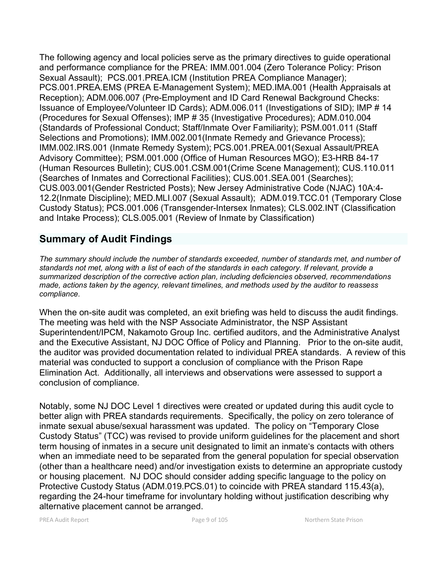The following agency and local policies serve as the primary directives to guide operational and performance compliance for the PREA: IMM.001.004 (Zero Tolerance Policy: Prison Sexual Assault); PCS.001.PREA.ICM (Institution PREA Compliance Manager); PCS.001.PREA.EMS (PREA E-Management System); MED.IMA.001 (Health Appraisals at Reception); ADM.006.007 (Pre-Employment and ID Card Renewal Background Checks: Issuance of Employee/Volunteer ID Cards); ADM.006.011 (Investigations of SID); IMP # 14 (Procedures for Sexual Offenses); IMP # 35 (Investigative Procedures); ADM.010.004 (Standards of Professional Conduct; Staff/Inmate Over Familiarity); PSM.001.011 (Staff Selections and Promotions); IMM.002.001(Inmate Remedy and Grievance Process); IMM.002.IRS.001 (Inmate Remedy System); PCS.001.PREA.001(Sexual Assault/PREA Advisory Committee); PSM.001.000 (Office of Human Resources MGO); E3-HRB 84-17 (Human Resources Bulletin); CUS.001.CSM.001(Crime Scene Management); CUS.110.011 (Searches of Inmates and Correctional Facilities); CUS.001.SEA.001 (Searches); CUS.003.001(Gender Restricted Posts); New Jersey Administrative Code (NJAC) 10A:4- 12.2(Inmate Discipline); MED.MLI.007 (Sexual Assault); ADM.019.TCC.01 (Temporary Close Custody Status); PCS.001.006 (Transgender-Intersex Inmates); CLS.002.INT (Classification and Intake Process); CLS.005.001 (Review of Inmate by Classification)

# **Summary of Audit Findings**

*The summary should include the number of standards exceeded, number of standards met, and number of standards not met, along with a list of each of the standards in each category. If relevant, provide a summarized description of the corrective action plan, including deficiencies observed, recommendations made, actions taken by the agency, relevant timelines, and methods used by the auditor to reassess compliance.*

When the on-site audit was completed, an exit briefing was held to discuss the audit findings. The meeting was held with the NSP Associate Administrator, the NSP Assistant Superintendent/IPCM, Nakamoto Group Inc. certified auditors, and the Administrative Analyst and the Executive Assistant, NJ DOC Office of Policy and Planning. Prior to the on-site audit, the auditor was provided documentation related to individual PREA standards. A review of this material was conducted to support a conclusion of compliance with the Prison Rape Elimination Act. Additionally, all interviews and observations were assessed to support a conclusion of compliance.

Notably, some NJ DOC Level 1 directives were created or updated during this audit cycle to better align with PREA standards requirements. Specifically, the policy on zero tolerance of inmate sexual abuse/sexual harassment was updated. The policy on "Temporary Close Custody Status" (TCC) was revised to provide uniform guidelines for the placement and short term housing of inmates in a secure unit designated to limit an inmate's contacts with others when an immediate need to be separated from the general population for special observation (other than a healthcare need) and/or investigation exists to determine an appropriate custody or housing placement. NJ DOC should consider adding specific language to the policy on Protective Custody Status (ADM.019.PCS.01) to coincide with PREA standard 115.43(a), regarding the 24-hour timeframe for involuntary holding without justification describing why alternative placement cannot be arranged.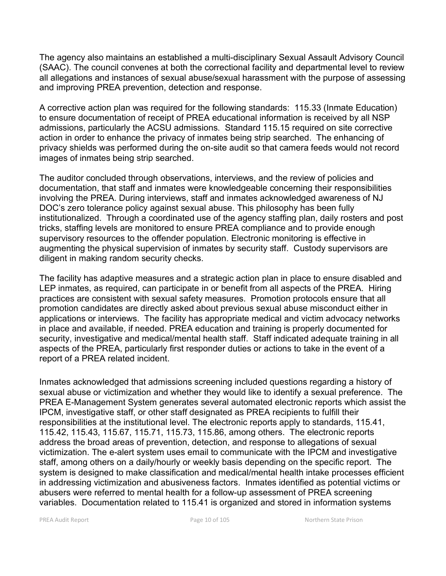The agency also maintains an established a multi-disciplinary Sexual Assault Advisory Council (SAAC). The council convenes at both the correctional facility and departmental level to review all allegations and instances of sexual abuse/sexual harassment with the purpose of assessing and improving PREA prevention, detection and response.

A corrective action plan was required for the following standards: 115.33 (Inmate Education) to ensure documentation of receipt of PREA educational information is received by all NSP admissions, particularly the ACSU admissions. Standard 115.15 required on site corrective action in order to enhance the privacy of inmates being strip searched. The enhancing of privacy shields was performed during the on-site audit so that camera feeds would not record images of inmates being strip searched.

The auditor concluded through observations, interviews, and the review of policies and documentation, that staff and inmates were knowledgeable concerning their responsibilities involving the PREA. During interviews, staff and inmates acknowledged awareness of NJ DOC's zero tolerance policy against sexual abuse. This philosophy has been fully institutionalized. Through a coordinated use of the agency staffing plan, daily rosters and post tricks, staffing levels are monitored to ensure PREA compliance and to provide enough supervisory resources to the offender population. Electronic monitoring is effective in augmenting the physical supervision of inmates by security staff. Custody supervisors are diligent in making random security checks.

The facility has adaptive measures and a strategic action plan in place to ensure disabled and LEP inmates, as required, can participate in or benefit from all aspects of the PREA. Hiring practices are consistent with sexual safety measures. Promotion protocols ensure that all promotion candidates are directly asked about previous sexual abuse misconduct either in applications or interviews. The facility has appropriate medical and victim advocacy networks in place and available, if needed. PREA education and training is properly documented for security, investigative and medical/mental health staff. Staff indicated adequate training in all aspects of the PREA, particularly first responder duties or actions to take in the event of a report of a PREA related incident.

Inmates acknowledged that admissions screening included questions regarding a history of sexual abuse or victimization and whether they would like to identify a sexual preference. The PREA E-Management System generates several automated electronic reports which assist the IPCM, investigative staff, or other staff designated as PREA recipients to fulfill their responsibilities at the institutional level. The electronic reports apply to standards, 115.41, 115.42, 115.43, 115.67, 115.71, 115.73, 115.86, among others. The electronic reports address the broad areas of prevention, detection, and response to allegations of sexual victimization. The e-alert system uses email to communicate with the IPCM and investigative staff, among others on a daily/hourly or weekly basis depending on the specific report. The system is designed to make classification and medical/mental health intake processes efficient in addressing victimization and abusiveness factors. Inmates identified as potential victims or abusers were referred to mental health for a follow-up assessment of PREA screening variables. Documentation related to 115.41 is organized and stored in information systems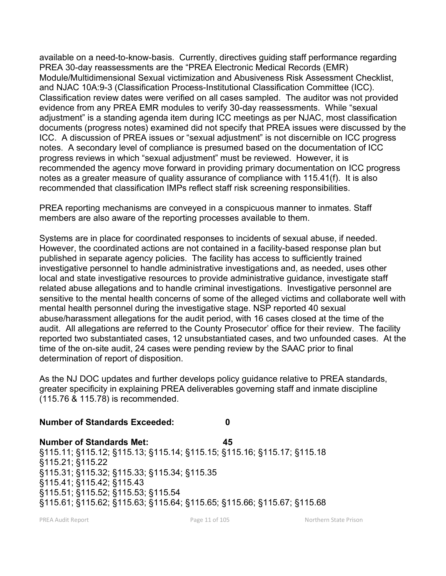available on a need-to-know-basis. Currently, directives guiding staff performance regarding PREA 30-day reassessments are the "PREA Electronic Medical Records (EMR) Module/Multidimensional Sexual victimization and Abusiveness Risk Assessment Checklist, and NJAC 10A:9-3 (Classification Process-Institutional Classification Committee (ICC). Classification review dates were verified on all cases sampled. The auditor was not provided evidence from any PREA EMR modules to verify 30-day reassessments. While "sexual adjustment" is a standing agenda item during ICC meetings as per NJAC, most classification documents (progress notes) examined did not specify that PREA issues were discussed by the ICC. A discussion of PREA issues or "sexual adjustment" is not discernible on ICC progress notes. A secondary level of compliance is presumed based on the documentation of ICC progress reviews in which "sexual adjustment" must be reviewed. However, it is recommended the agency move forward in providing primary documentation on ICC progress notes as a greater measure of quality assurance of compliance with 115.41(f). It is also recommended that classification IMPs reflect staff risk screening responsibilities.

PREA reporting mechanisms are conveyed in a conspicuous manner to inmates. Staff members are also aware of the reporting processes available to them.

Systems are in place for coordinated responses to incidents of sexual abuse, if needed. However, the coordinated actions are not contained in a facility-based response plan but published in separate agency policies. The facility has access to sufficiently trained investigative personnel to handle administrative investigations and, as needed, uses other local and state investigative resources to provide administrative guidance, investigate staff related abuse allegations and to handle criminal investigations. Investigative personnel are sensitive to the mental health concerns of some of the alleged victims and collaborate well with mental health personnel during the investigative stage. NSP reported 40 sexual abuse/harassment allegations for the audit period, with 16 cases closed at the time of the audit. All allegations are referred to the County Prosecutor' office for their review. The facility reported two substantiated cases, 12 unsubstantiated cases, and two unfounded cases. At the time of the on-site audit, 24 cases were pending review by the SAAC prior to final determination of report of disposition.

As the NJ DOC updates and further develops policy guidance relative to PREA standards, greater specificity in explaining PREA deliverables governing staff and inmate discipline (115.76 & 115.78) is recommended.

# **Number of Standards Exceeded: 0**

**Number of Standards Met: 45** §115.11; §115.12; §115.13; §115.14; §115.15; §115.16; §115.17; §115.18 §115.21; §115.22 §115.31; §115.32; §115.33; §115.34; §115.35 §115.41; §115.42; §115.43 §115.51; §115.52; §115.53; §115.54 §115.61; §115.62; §115.63; §115.64; §115.65; §115.66; §115.67; §115.68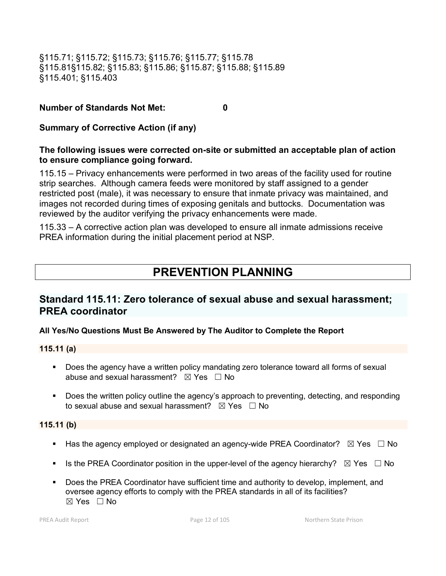§115.71; §115.72; §115.73; §115.76; §115.77; §115.78 §115.81§115.82; §115.83; §115.86; §115.87; §115.88; §115.89 §115.401; §115.403

## **Number of Standards Not Met: 0**

**Summary of Corrective Action (if any)**

# **The following issues were corrected on-site or submitted an acceptable plan of action to ensure compliance going forward.**

115.15 – Privacy enhancements were performed in two areas of the facility used for routine strip searches. Although camera feeds were monitored by staff assigned to a gender restricted post (male), it was necessary to ensure that inmate privacy was maintained, and images not recorded during times of exposing genitals and buttocks. Documentation was reviewed by the auditor verifying the privacy enhancements were made.

115.33 – A corrective action plan was developed to ensure all inmate admissions receive PREA information during the initial placement period at NSP.

# **PREVENTION PLANNING**

# **Standard 115.11: Zero tolerance of sexual abuse and sexual harassment; PREA coordinator**

# **All Yes/No Questions Must Be Answered by The Auditor to Complete the Report**

### **115.11 (a)**

- Does the agency have a written policy mandating zero tolerance toward all forms of sexual abuse and sexual harassment?  $\boxtimes$  Yes  $\Box$  No
- **Does the written policy outline the agency's approach to preventing, detecting, and responding** to sexual abuse and sexual harassment?  $\boxtimes$  Yes  $\Box$  No

### **115.11 (b)**

- Has the agency employed or designated an agency-wide PREA Coordinator?  $\boxtimes$  Yes  $\Box$  No
- Is the PREA Coordinator position in the upper-level of the agency hierarchy?  $\boxtimes$  Yes  $\Box$  No
- Does the PREA Coordinator have sufficient time and authority to develop, implement, and oversee agency efforts to comply with the PREA standards in all of its facilities?  $\boxtimes$  Yes  $\Box$  No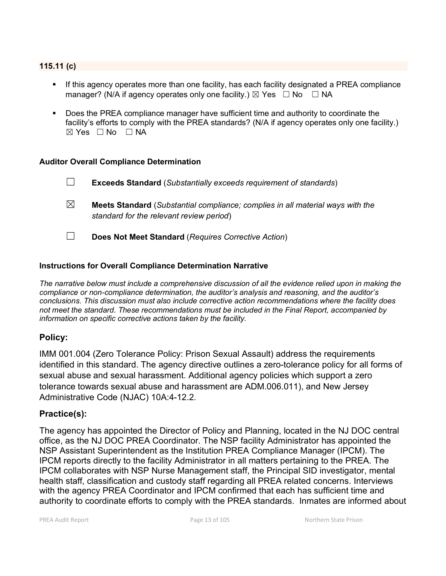## **115.11 (c)**

- If this agency operates more than one facility, has each facility designated a PREA compliance manager? (N/A if agency operates only one facility.)  $\boxtimes$  Yes  $\Box$  No  $\Box$  NA
- Does the PREA compliance manager have sufficient time and authority to coordinate the facility's efforts to comply with the PREA standards? (N/A if agency operates only one facility.) ☒ Yes ☐ No ☐ NA

#### **Auditor Overall Compliance Determination**

- ☐ **Exceeds Standard** (*Substantially exceeds requirement of standards*) ☒ **Meets Standard** (*Substantial compliance; complies in all material ways with the standard for the relevant review period*) ☐ **Does Not Meet Standard** (*Requires Corrective Action*)
- 

### **Instructions for Overall Compliance Determination Narrative**

*The narrative below must include a comprehensive discussion of all the evidence relied upon in making the compliance or non-compliance determination, the auditor's analysis and reasoning, and the auditor's conclusions. This discussion must also include corrective action recommendations where the facility does not meet the standard. These recommendations must be included in the Final Report, accompanied by information on specific corrective actions taken by the facility.*

# **Policy:**

IMM 001.004 (Zero Tolerance Policy: Prison Sexual Assault) address the requirements identified in this standard. The agency directive outlines a zero-tolerance policy for all forms of sexual abuse and sexual harassment. Additional agency policies which support a zero tolerance towards sexual abuse and harassment are ADM.006.011), and New Jersey Administrative Code (NJAC) 10A:4-12.2.

### **Practice(s):**

The agency has appointed the Director of Policy and Planning, located in the NJ DOC central office, as the NJ DOC PREA Coordinator. The NSP facility Administrator has appointed the NSP Assistant Superintendent as the Institution PREA Compliance Manager (IPCM). The IPCM reports directly to the facility Administrator in all matters pertaining to the PREA. The IPCM collaborates with NSP Nurse Management staff, the Principal SID investigator, mental health staff, classification and custody staff regarding all PREA related concerns. Interviews with the agency PREA Coordinator and IPCM confirmed that each has sufficient time and authority to coordinate efforts to comply with the PREA standards. Inmates are informed about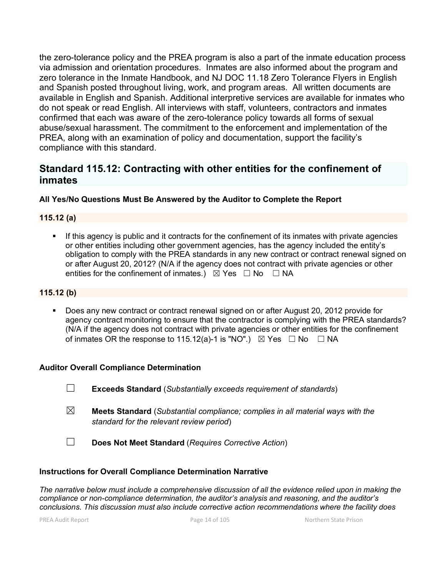the zero-tolerance policy and the PREA program is also a part of the inmate education process via admission and orientation procedures. Inmates are also informed about the program and zero tolerance in the Inmate Handbook, and NJ DOC 11.18 Zero Tolerance Flyers in English and Spanish posted throughout living, work, and program areas. All written documents are available in English and Spanish. Additional interpretive services are available for inmates who do not speak or read English. All interviews with staff, volunteers, contractors and inmates confirmed that each was aware of the zero-tolerance policy towards all forms of sexual abuse/sexual harassment. The commitment to the enforcement and implementation of the PREA, along with an examination of policy and documentation, support the facility's compliance with this standard.

# **Standard 115.12: Contracting with other entities for the confinement of inmates**

## **All Yes/No Questions Must Be Answered by the Auditor to Complete the Report**

## **115.12 (a)**

**If this agency is public and it contracts for the confinement of its inmates with private agencies** or other entities including other government agencies, has the agency included the entity's obligation to comply with the PREA standards in any new contract or contract renewal signed on or after August 20, 2012? (N/A if the agency does not contract with private agencies or other entities for the confinement of inmates.)  $\boxtimes$  Yes  $\Box$  No  $\Box$  NA

### **115.12 (b)**

 Does any new contract or contract renewal signed on or after August 20, 2012 provide for agency contract monitoring to ensure that the contractor is complying with the PREA standards? (N/A if the agency does not contract with private agencies or other entities for the confinement of inmates OR the response to 115.12(a)-1 is "NO".)  $\boxtimes$  Yes  $\Box$  No  $\Box$  NA

### **Auditor Overall Compliance Determination**

☐ **Exceeds Standard** (*Substantially exceeds requirement of standards*)

- ☒ **Meets Standard** (*Substantial compliance; complies in all material ways with the standard for the relevant review period*)
- ☐ **Does Not Meet Standard** (*Requires Corrective Action*)

#### **Instructions for Overall Compliance Determination Narrative**

*The narrative below must include a comprehensive discussion of all the evidence relied upon in making the compliance or non-compliance determination, the auditor's analysis and reasoning, and the auditor's conclusions. This discussion must also include corrective action recommendations where the facility does*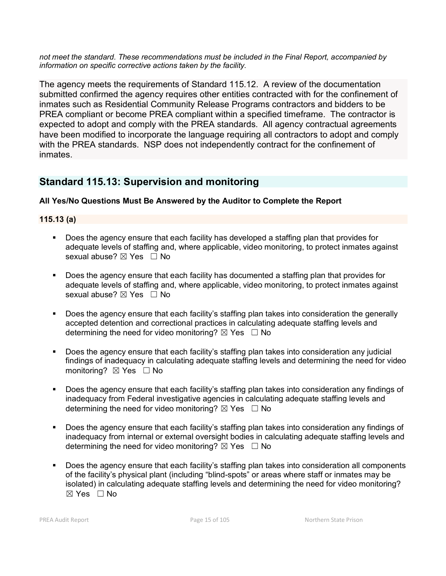*not meet the standard. These recommendations must be included in the Final Report, accompanied by information on specific corrective actions taken by the facility.*

The agency meets the requirements of Standard 115.12. A review of the documentation submitted confirmed the agency requires other entities contracted with for the confinement of inmates such as Residential Community Release Programs contractors and bidders to be PREA compliant or become PREA compliant within a specified timeframe. The contractor is expected to adopt and comply with the PREA standards. All agency contractual agreements have been modified to incorporate the language requiring all contractors to adopt and comply with the PREA standards. NSP does not independently contract for the confinement of inmates.

# **Standard 115.13: Supervision and monitoring**

# **All Yes/No Questions Must Be Answered by the Auditor to Complete the Report**

# **115.13 (a)**

- Does the agency ensure that each facility has developed a staffing plan that provides for adequate levels of staffing and, where applicable, video monitoring, to protect inmates against sexual abuse? ⊠ Yes □ No
- Does the agency ensure that each facility has documented a staffing plan that provides for adequate levels of staffing and, where applicable, video monitoring, to protect inmates against sexual abuse? ⊠ Yes □ No
- Does the agency ensure that each facility's staffing plan takes into consideration the generally accepted detention and correctional practices in calculating adequate staffing levels and determining the need for video monitoring?  $\boxtimes$  Yes  $\Box$  No
- Does the agency ensure that each facility's staffing plan takes into consideration any judicial findings of inadequacy in calculating adequate staffing levels and determining the need for video monitoring? ⊠ Yes □ No
- Does the agency ensure that each facility's staffing plan takes into consideration any findings of inadequacy from Federal investigative agencies in calculating adequate staffing levels and determining the need for video monitoring?  $\boxtimes$  Yes  $\Box$  No
- Does the agency ensure that each facility's staffing plan takes into consideration any findings of inadequacy from internal or external oversight bodies in calculating adequate staffing levels and determining the need for video monitoring?  $\boxtimes$  Yes  $\Box$  No
- Does the agency ensure that each facility's staffing plan takes into consideration all components of the facility's physical plant (including "blind-spots" or areas where staff or inmates may be isolated) in calculating adequate staffing levels and determining the need for video monitoring?  $\boxtimes$  Yes  $\Box$  No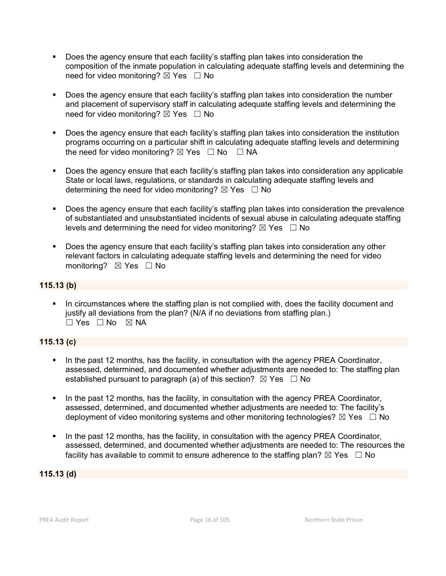- Does the agency ensure that each facility's staffing plan takes into consideration the composition of the inmate population in calculating adequate staffing levels and determining the need for video monitoring?  $\boxtimes$  Yes  $\Box$  No
- Does the agency ensure that each facility's staffing plan takes into consideration the number and placement of supervisory staff in calculating adequate staffing levels and determining the need for video monitoring?  $\boxtimes$  Yes  $\Box$  No
- Does the agency ensure that each facility's staffing plan takes into consideration the institution programs occurring on a particular shift in calculating adequate staffing levels and determining the need for video monitoring?  $\boxtimes$  Yes  $\Box$  No  $\Box$  NA
- Does the agency ensure that each facility's staffing plan takes into consideration any applicable State or local laws, regulations, or standards in calculating adequate staffing levels and determining the need for video monitoring?  $\boxtimes$  Yes  $\Box$  No
- Does the agency ensure that each facility's staffing plan takes into consideration the prevalence of substantiated and unsubstantiated incidents of sexual abuse in calculating adequate staffing levels and determining the need for video monitoring?  $\boxtimes$  Yes  $\Box$  No
- **Does the agency ensure that each facility's staffing plan takes into consideration any other** relevant factors in calculating adequate staffing levels and determining the need for video monitoring? **⊠** Yes □ No

## **115.13 (b)**

 In circumstances where the staffing plan is not complied with, does the facility document and justify all deviations from the plan? (N/A if no deviations from staffing plan.)  $\Box$  Yes  $\Box$  No  $\boxtimes$  NA

# **115.13 (c)**

- In the past 12 months, has the facility, in consultation with the agency PREA Coordinator, assessed, determined, and documented whether adjustments are needed to: The staffing plan established pursuant to paragraph (a) of this section?  $\boxtimes$  Yes  $\Box$  No
- In the past 12 months, has the facility, in consultation with the agency PREA Coordinator, assessed, determined, and documented whether adjustments are needed to: The facility's deployment of video monitoring systems and other monitoring technologies?  $\boxtimes$  Yes  $\Box$  No
- In the past 12 months, has the facility, in consultation with the agency PREA Coordinator, assessed, determined, and documented whether adjustments are needed to: The resources the facility has available to commit to ensure adherence to the staffing plan?  $\boxtimes$  Yes  $\Box$  No

**115.13 (d)**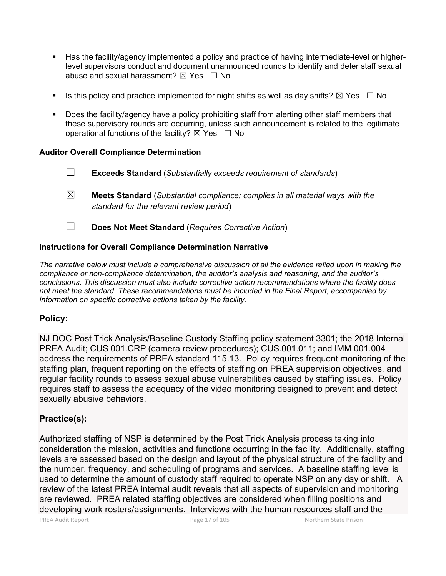- Has the facility/agency implemented a policy and practice of having intermediate-level or higherlevel supervisors conduct and document unannounced rounds to identify and deter staff sexual abuse and sexual harassment?  $\boxtimes$  Yes  $\Box$  No
- Is this policy and practice implemented for night shifts as well as day shifts?  $\boxtimes$  Yes  $\Box$  No
- Does the facility/agency have a policy prohibiting staff from alerting other staff members that these supervisory rounds are occurring, unless such announcement is related to the legitimate operational functions of the facility?  $\boxtimes$  Yes  $\Box$  No

### **Auditor Overall Compliance Determination**

- ☐ **Exceeds Standard** (*Substantially exceeds requirement of standards*)
- ☒ **Meets Standard** (*Substantial compliance; complies in all material ways with the standard for the relevant review period*)
- ☐ **Does Not Meet Standard** (*Requires Corrective Action*)

## **Instructions for Overall Compliance Determination Narrative**

*The narrative below must include a comprehensive discussion of all the evidence relied upon in making the compliance or non-compliance determination, the auditor's analysis and reasoning, and the auditor's conclusions. This discussion must also include corrective action recommendations where the facility does not meet the standard. These recommendations must be included in the Final Report, accompanied by information on specific corrective actions taken by the facility.*

# **Policy:**

NJ DOC Post Trick Analysis/Baseline Custody Staffing policy statement 3301; the 2018 Internal PREA Audit; CUS 001.CRP (camera review procedures); CUS.001.011; and IMM 001.004 address the requirements of PREA standard 115.13. Policy requires frequent monitoring of the staffing plan, frequent reporting on the effects of staffing on PREA supervision objectives, and regular facility rounds to assess sexual abuse vulnerabilities caused by staffing issues. Policy requires staff to assess the adequacy of the video monitoring designed to prevent and detect sexually abusive behaviors.

# **Practice(s):**

Authorized staffing of NSP is determined by the Post Trick Analysis process taking into consideration the mission, activities and functions occurring in the facility. Additionally, staffing levels are assessed based on the design and layout of the physical structure of the facility and the number, frequency, and scheduling of programs and services. A baseline staffing level is used to determine the amount of custody staff required to operate NSP on any day or shift. A review of the latest PREA internal audit reveals that all aspects of supervision and monitoring are reviewed. PREA related staffing objectives are considered when filling positions and developing work rosters/assignments. Interviews with the human resources staff and the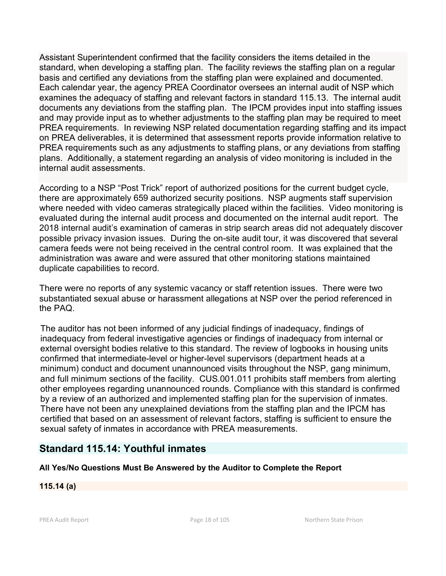Assistant Superintendent confirmed that the facility considers the items detailed in the standard, when developing a staffing plan. The facility reviews the staffing plan on a regular basis and certified any deviations from the staffing plan were explained and documented. Each calendar year, the agency PREA Coordinator oversees an internal audit of NSP which examines the adequacy of staffing and relevant factors in standard 115.13. The internal audit documents any deviations from the staffing plan. The IPCM provides input into staffing issues and may provide input as to whether adjustments to the staffing plan may be required to meet PREA requirements. In reviewing NSP related documentation regarding staffing and its impact on PREA deliverables, it is determined that assessment reports provide information relative to PREA requirements such as any adjustments to staffing plans, or any deviations from staffing plans. Additionally, a statement regarding an analysis of video monitoring is included in the internal audit assessments.

According to a NSP "Post Trick" report of authorized positions for the current budget cycle, there are approximately 659 authorized security positions. NSP augments staff supervision where needed with video cameras strategically placed within the facilities. Video monitoring is evaluated during the internal audit process and documented on the internal audit report. The 2018 internal audit's examination of cameras in strip search areas did not adequately discover possible privacy invasion issues. During the on-site audit tour, it was discovered that several camera feeds were not being received in the central control room. It was explained that the administration was aware and were assured that other monitoring stations maintained duplicate capabilities to record.

There were no reports of any systemic vacancy or staff retention issues. There were two substantiated sexual abuse or harassment allegations at NSP over the period referenced in the PAQ.

The auditor has not been informed of any judicial findings of inadequacy, findings of inadequacy from federal investigative agencies or findings of inadequacy from internal or external oversight bodies relative to this standard. The review of logbooks in housing units confirmed that intermediate-level or higher-level supervisors (department heads at a minimum) conduct and document unannounced visits throughout the NSP, gang minimum, and full minimum sections of the facility. CUS.001.011 prohibits staff members from alerting other employees regarding unannounced rounds. Compliance with this standard is confirmed by a review of an authorized and implemented staffing plan for the supervision of inmates. There have not been any unexplained deviations from the staffing plan and the IPCM has certified that based on an assessment of relevant factors, staffing is sufficient to ensure the sexual safety of inmates in accordance with PREA measurements.

# **Standard 115.14: Youthful inmates**

# **All Yes/No Questions Must Be Answered by the Auditor to Complete the Report**

# **115.14 (a)**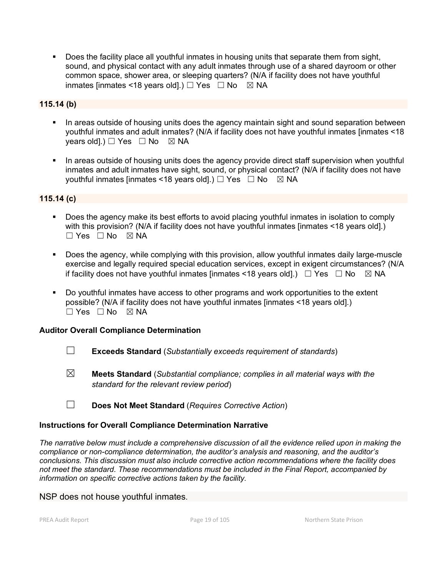Does the facility place all youthful inmates in housing units that separate them from sight, sound, and physical contact with any adult inmates through use of a shared dayroom or other common space, shower area, or sleeping quarters? (N/A if facility does not have youthful inmates linmates <18 years old].)  $\Box$  Yes  $\Box$  No  $\boxtimes$  NA

## **115.14 (b)**

- In areas outside of housing units does the agency maintain sight and sound separation between youthful inmates and adult inmates? (N/A if facility does not have youthful inmates [inmates <18 years old].)  $\Box$  Yes  $\Box$  No  $\boxtimes$  NA
- In areas outside of housing units does the agency provide direct staff supervision when youthful inmates and adult inmates have sight, sound, or physical contact? (N/A if facility does not have youthful inmates [inmates <18 years old].)  $\Box$  Yes  $\Box$  No  $\boxtimes$  NA

## **115.14 (c)**

- Does the agency make its best efforts to avoid placing youthful inmates in isolation to comply with this provision? (N/A if facility does not have youthful inmates [inmates <18 years old].)  $\Box$  Yes  $\Box$  No  $\boxtimes$  NA
- Does the agency, while complying with this provision, allow youthful inmates daily large-muscle exercise and legally required special education services, except in exigent circumstances? (N/A if facility does not have youthful inmates [inmates <18 years old].)  $\Box$  Yes  $\Box$  No  $\boxtimes$  NA
- Do youthful inmates have access to other programs and work opportunities to the extent possible? (N/A if facility does not have youthful inmates [inmates <18 years old].) ☐ Yes ☐ No ☒ NA

### **Auditor Overall Compliance Determination**

- ☐ **Exceeds Standard** (*Substantially exceeds requirement of standards*)
- ☒ **Meets Standard** (*Substantial compliance; complies in all material ways with the standard for the relevant review period*)
- ☐ **Does Not Meet Standard** (*Requires Corrective Action*)

#### **Instructions for Overall Compliance Determination Narrative**

*The narrative below must include a comprehensive discussion of all the evidence relied upon in making the compliance or non-compliance determination, the auditor's analysis and reasoning, and the auditor's conclusions. This discussion must also include corrective action recommendations where the facility does not meet the standard. These recommendations must be included in the Final Report, accompanied by information on specific corrective actions taken by the facility.*

NSP does not house youthful inmates.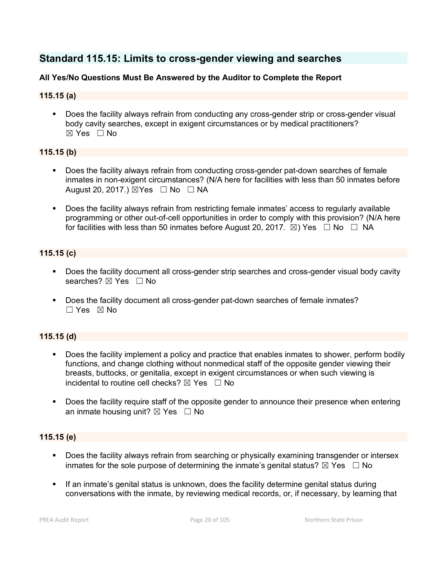# **Standard 115.15: Limits to cross-gender viewing and searches**

## **All Yes/No Questions Must Be Answered by the Auditor to Complete the Report**

## **115.15 (a)**

 Does the facility always refrain from conducting any cross-gender strip or cross-gender visual body cavity searches, except in exigent circumstances or by medical practitioners? ☒ Yes ☐ No

### **115.15 (b)**

- Does the facility always refrain from conducting cross-gender pat-down searches of female inmates in non-exigent circumstances? (N/A here for facilities with less than 50 inmates before August 20, 2017.)  $\boxtimes$  Yes  $\Box$  No  $\Box$  NA
- Does the facility always refrain from restricting female inmates' access to regularly available programming or other out-of-cell opportunities in order to comply with this provision? (N/A here for facilities with less than 50 inmates before August 20, 2017.  $\boxtimes$ ) Yes  $\Box$  No  $\Box$  NA

## **115.15 (c)**

- Does the facility document all cross-gender strip searches and cross-gender visual body cavity searches?  $\boxtimes$  Yes  $\Box$  No
- Does the facility document all cross-gender pat-down searches of female inmates? ☐ Yes ☒ No

# **115.15 (d)**

- Does the facility implement a policy and practice that enables inmates to shower, perform bodily functions, and change clothing without nonmedical staff of the opposite gender viewing their breasts, buttocks, or genitalia, except in exigent circumstances or when such viewing is incidental to routine cell checks?  $\boxtimes$  Yes  $\Box$  No
- **Does the facility require staff of the opposite gender to announce their presence when entering** an inmate housing unit?  $\boxtimes$  Yes  $\Box$  No

### **115.15 (e)**

- **Does the facility always refrain from searching or physically examining transgender or intersex** inmates for the sole purpose of determining the inmate's genital status?  $\boxtimes$  Yes  $\Box$  No
- If an inmate's genital status is unknown, does the facility determine genital status during conversations with the inmate, by reviewing medical records, or, if necessary, by learning that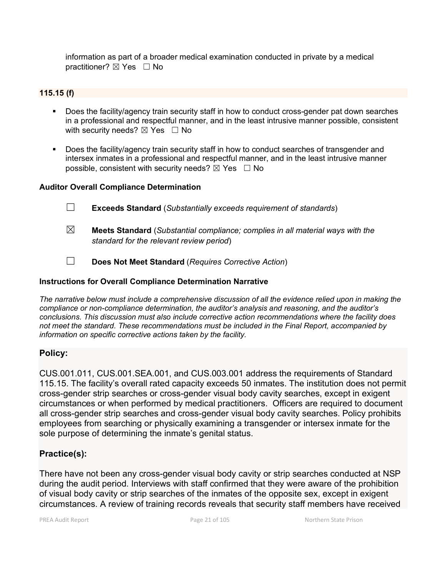information as part of a broader medical examination conducted in private by a medical practitioner? ⊠ Yes □ No

### **115.15 (f)**

- Does the facility/agency train security staff in how to conduct cross-gender pat down searches in a professional and respectful manner, and in the least intrusive manner possible, consistent with security needs?  $\boxtimes$  Yes  $\Box$  No
- Does the facility/agency train security staff in how to conduct searches of transgender and intersex inmates in a professional and respectful manner, and in the least intrusive manner possible, consistent with security needs?  $\boxtimes$  Yes  $\Box$  No

#### **Auditor Overall Compliance Determination**

- ☐ **Exceeds Standard** (*Substantially exceeds requirement of standards*)
- ☒ **Meets Standard** (*Substantial compliance; complies in all material ways with the standard for the relevant review period*)
- ☐ **Does Not Meet Standard** (*Requires Corrective Action*)

#### **Instructions for Overall Compliance Determination Narrative**

*The narrative below must include a comprehensive discussion of all the evidence relied upon in making the compliance or non-compliance determination, the auditor's analysis and reasoning, and the auditor's conclusions. This discussion must also include corrective action recommendations where the facility does not meet the standard. These recommendations must be included in the Final Report, accompanied by information on specific corrective actions taken by the facility.*

### **Policy:**

CUS.001.011, CUS.001.SEA.001, and CUS.003.001 address the requirements of Standard 115.15. The facility's overall rated capacity exceeds 50 inmates. The institution does not permit cross-gender strip searches or cross-gender visual body cavity searches, except in exigent circumstances or when performed by medical practitioners. Officers are required to document all cross-gender strip searches and cross-gender visual body cavity searches. Policy prohibits employees from searching or physically examining a transgender or intersex inmate for the sole purpose of determining the inmate's genital status.

# **Practice(s):**

There have not been any cross-gender visual body cavity or strip searches conducted at NSP during the audit period. Interviews with staff confirmed that they were aware of the prohibition of visual body cavity or strip searches of the inmates of the opposite sex, except in exigent circumstances. A review of training records reveals that security staff members have received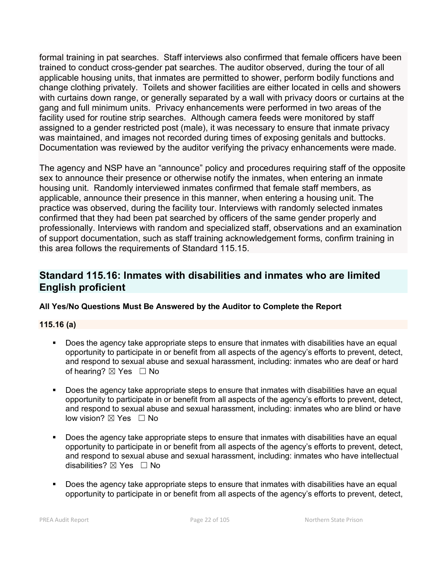formal training in pat searches. Staff interviews also confirmed that female officers have been trained to conduct cross-gender pat searches. The auditor observed, during the tour of all applicable housing units, that inmates are permitted to shower, perform bodily functions and change clothing privately. Toilets and shower facilities are either located in cells and showers with curtains down range, or generally separated by a wall with privacy doors or curtains at the gang and full minimum units. Privacy enhancements were performed in two areas of the facility used for routine strip searches. Although camera feeds were monitored by staff assigned to a gender restricted post (male), it was necessary to ensure that inmate privacy was maintained, and images not recorded during times of exposing genitals and buttocks. Documentation was reviewed by the auditor verifying the privacy enhancements were made.

The agency and NSP have an "announce" policy and procedures requiring staff of the opposite sex to announce their presence or otherwise notify the inmates, when entering an inmate housing unit. Randomly interviewed inmates confirmed that female staff members, as applicable, announce their presence in this manner, when entering a housing unit. The practice was observed, during the facility tour. Interviews with randomly selected inmates confirmed that they had been pat searched by officers of the same gender properly and professionally. Interviews with random and specialized staff, observations and an examination of support documentation, such as staff training acknowledgement forms, confirm training in this area follows the requirements of Standard 115.15.

# **Standard 115.16: Inmates with disabilities and inmates who are limited English proficient**

# **All Yes/No Questions Must Be Answered by the Auditor to Complete the Report**

# **115.16 (a)**

- Does the agency take appropriate steps to ensure that inmates with disabilities have an equal opportunity to participate in or benefit from all aspects of the agency's efforts to prevent, detect, and respond to sexual abuse and sexual harassment, including: inmates who are deaf or hard of hearing?  $\boxtimes$  Yes  $\Box$  No
- Does the agency take appropriate steps to ensure that inmates with disabilities have an equal opportunity to participate in or benefit from all aspects of the agency's efforts to prevent, detect, and respond to sexual abuse and sexual harassment, including: inmates who are blind or have low vision? ⊠ Yes □ No
- Does the agency take appropriate steps to ensure that inmates with disabilities have an equal opportunity to participate in or benefit from all aspects of the agency's efforts to prevent, detect, and respond to sexual abuse and sexual harassment, including: inmates who have intellectual disabilities?  $\boxtimes$  Yes  $\Box$  No
- Does the agency take appropriate steps to ensure that inmates with disabilities have an equal opportunity to participate in or benefit from all aspects of the agency's efforts to prevent, detect,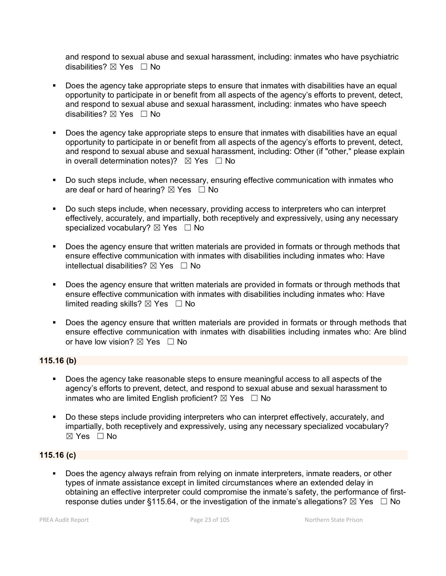and respond to sexual abuse and sexual harassment, including: inmates who have psychiatric disabilities?  $\boxtimes$  Yes  $\Box$  No

- **Does the agency take appropriate steps to ensure that inmates with disabilities have an equal** opportunity to participate in or benefit from all aspects of the agency's efforts to prevent, detect, and respond to sexual abuse and sexual harassment, including: inmates who have speech disabilities?  $\boxtimes$  Yes  $\Box$  No
- Does the agency take appropriate steps to ensure that inmates with disabilities have an equal opportunity to participate in or benefit from all aspects of the agency's efforts to prevent, detect, and respond to sexual abuse and sexual harassment, including: Other (if "other," please explain in overall determination notes)?  $\boxtimes$  Yes  $\Box$  No
- Do such steps include, when necessary, ensuring effective communication with inmates who are deaf or hard of hearing?  $\boxtimes$  Yes  $\Box$  No
- Do such steps include, when necessary, providing access to interpreters who can interpret effectively, accurately, and impartially, both receptively and expressively, using any necessary specialized vocabulary?  $\boxtimes$  Yes  $\Box$  No
- Does the agency ensure that written materials are provided in formats or through methods that ensure effective communication with inmates with disabilities including inmates who: Have intellectual disabilities?  $\boxtimes$  Yes  $\Box$  No
- Does the agency ensure that written materials are provided in formats or through methods that ensure effective communication with inmates with disabilities including inmates who: Have limited reading skills?  $\boxtimes$  Yes  $\Box$  No
- **Does the agency ensure that written materials are provided in formats or through methods that** ensure effective communication with inmates with disabilities including inmates who: Are blind or have low vision?  $\boxtimes$  Yes  $\Box$  No

### **115.16 (b)**

- Does the agency take reasonable steps to ensure meaningful access to all aspects of the agency's efforts to prevent, detect, and respond to sexual abuse and sexual harassment to inmates who are limited English proficient?  $\boxtimes$  Yes  $\Box$  No
- Do these steps include providing interpreters who can interpret effectively, accurately, and impartially, both receptively and expressively, using any necessary specialized vocabulary? ☒ Yes ☐ No

### **115.16 (c)**

 Does the agency always refrain from relying on inmate interpreters, inmate readers, or other types of inmate assistance except in limited circumstances where an extended delay in obtaining an effective interpreter could compromise the inmate's safety, the performance of firstresponse duties under §115.64, or the investigation of the inmate's allegations?  $\boxtimes$  Yes  $\Box$  No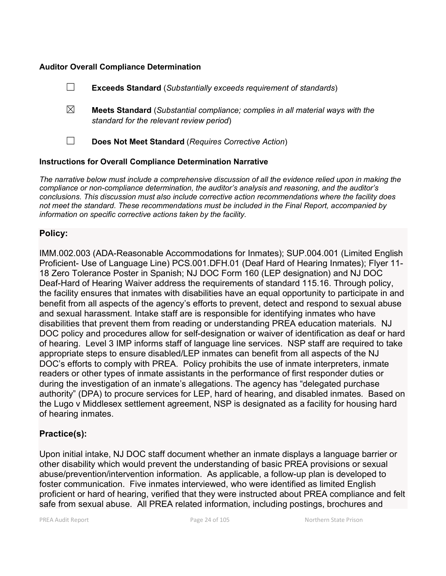#### **Auditor Overall Compliance Determination**

|   | <b>Exceeds Standard</b> (Substantially exceeds requirement of standards)                                                          |
|---|-----------------------------------------------------------------------------------------------------------------------------------|
| ⊠ | <b>Meets Standard</b> (Substantial compliance; complies in all material ways with the<br>standard for the relevant review period) |
|   | Does Not Meet Standard (Requires Corrective Action)                                                                               |
|   |                                                                                                                                   |

#### **Instructions for Overall Compliance Determination Narrative**

*The narrative below must include a comprehensive discussion of all the evidence relied upon in making the compliance or non-compliance determination, the auditor's analysis and reasoning, and the auditor's conclusions. This discussion must also include corrective action recommendations where the facility does not meet the standard. These recommendations must be included in the Final Report, accompanied by information on specific corrective actions taken by the facility.*

## **Policy:**

IMM.002.003 (ADA-Reasonable Accommodations for Inmates); SUP.004.001 (Limited English Proficient- Use of Language Line) PCS.001.DFH.01 (Deaf Hard of Hearing Inmates); Flyer 11- 18 Zero Tolerance Poster in Spanish; NJ DOC Form 160 (LEP designation) and NJ DOC Deaf-Hard of Hearing Waiver address the requirements of standard 115.16. Through policy, the facility ensures that inmates with disabilities have an equal opportunity to participate in and benefit from all aspects of the agency's efforts to prevent, detect and respond to sexual abuse and sexual harassment. Intake staff are is responsible for identifying inmates who have disabilities that prevent them from reading or understanding PREA education materials. NJ DOC policy and procedures allow for self-designation or waiver of identification as deaf or hard of hearing. Level 3 IMP informs staff of language line services. NSP staff are required to take appropriate steps to ensure disabled/LEP inmates can benefit from all aspects of the NJ DOC's efforts to comply with PREA. Policy prohibits the use of inmate interpreters, inmate readers or other types of inmate assistants in the performance of first responder duties or during the investigation of an inmate's allegations. The agency has "delegated purchase authority" (DPA) to procure services for LEP, hard of hearing, and disabled inmates. Based on the Lugo v Middlesex settlement agreement, NSP is designated as a facility for housing hard of hearing inmates.

### **Practice(s):**

Upon initial intake, NJ DOC staff document whether an inmate displays a language barrier or other disability which would prevent the understanding of basic PREA provisions or sexual abuse/prevention/intervention information. As applicable, a follow-up plan is developed to foster communication. Five inmates interviewed, who were identified as limited English proficient or hard of hearing, verified that they were instructed about PREA compliance and felt safe from sexual abuse. All PREA related information, including postings, brochures and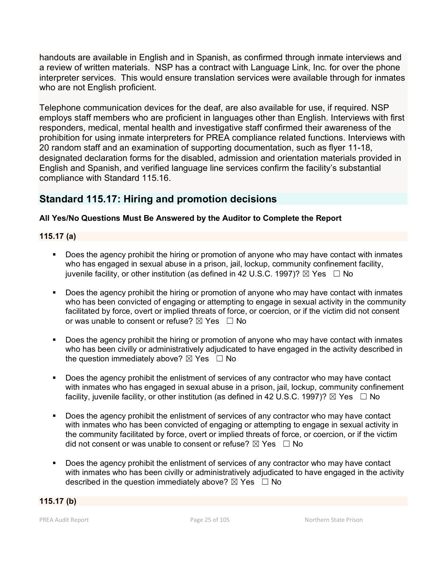handouts are available in English and in Spanish, as confirmed through inmate interviews and a review of written materials. NSP has a contract with Language Link, Inc. for over the phone interpreter services. This would ensure translation services were available through for inmates who are not English proficient.

Telephone communication devices for the deaf, are also available for use, if required. NSP employs staff members who are proficient in languages other than English. Interviews with first responders, medical, mental health and investigative staff confirmed their awareness of the prohibition for using inmate interpreters for PREA compliance related functions. Interviews with 20 random staff and an examination of supporting documentation, such as flyer 11-18, designated declaration forms for the disabled, admission and orientation materials provided in English and Spanish, and verified language line services confirm the facility's substantial compliance with Standard 115.16.

# **Standard 115.17: Hiring and promotion decisions**

# **All Yes/No Questions Must Be Answered by the Auditor to Complete the Report**

## **115.17 (a)**

- Does the agency prohibit the hiring or promotion of anyone who may have contact with inmates who has engaged in sexual abuse in a prison, jail, lockup, community confinement facility, juvenile facility, or other institution (as defined in 42 U.S.C. 1997)?  $\boxtimes$  Yes  $\Box$  No
- Does the agency prohibit the hiring or promotion of anyone who may have contact with inmates who has been convicted of engaging or attempting to engage in sexual activity in the community facilitated by force, overt or implied threats of force, or coercion, or if the victim did not consent or was unable to consent or refuse?  $\boxtimes$  Yes  $\Box$  No
- Does the agency prohibit the hiring or promotion of anyone who may have contact with inmates who has been civilly or administratively adjudicated to have engaged in the activity described in the question immediately above?  $\boxtimes$  Yes  $\Box$  No
- Does the agency prohibit the enlistment of services of any contractor who may have contact with inmates who has engaged in sexual abuse in a prison, jail, lockup, community confinement facility, juvenile facility, or other institution (as defined in 42 U.S.C. 1997)?  $\boxtimes$  Yes  $\Box$  No
- Does the agency prohibit the enlistment of services of any contractor who may have contact with inmates who has been convicted of engaging or attempting to engage in sexual activity in the community facilitated by force, overt or implied threats of force, or coercion, or if the victim did not consent or was unable to consent or refuse?  $\boxtimes$  Yes  $\Box$  No
- Does the agency prohibit the enlistment of services of any contractor who may have contact with inmates who has been civilly or administratively adjudicated to have engaged in the activity described in the question immediately above?  $\boxtimes$  Yes  $\Box$  No

### **115.17 (b)**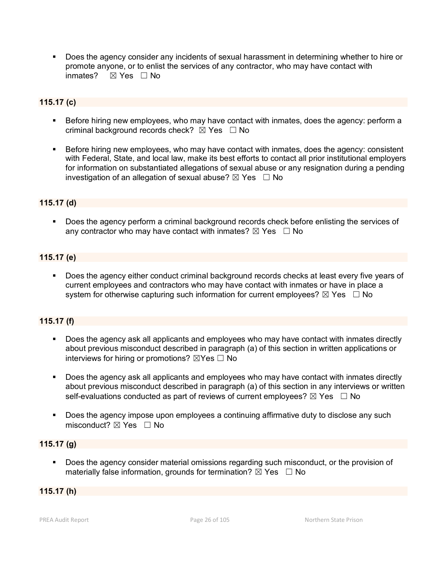Does the agency consider any incidents of sexual harassment in determining whether to hire or promote anyone, or to enlist the services of any contractor, who may have contact with inmates?  $⊠$  Yes  $□$  No

## **115.17 (c)**

- Before hiring new employees, who may have contact with inmates, does the agency: perform a criminal background records check?  $\boxtimes$  Yes  $\Box$  No
- Before hiring new employees, who may have contact with inmates, does the agency: consistent with Federal, State, and local law, make its best efforts to contact all prior institutional employers for information on substantiated allegations of sexual abuse or any resignation during a pending investigation of an allegation of sexual abuse?  $\boxtimes$  Yes  $\Box$  No

#### **115.17 (d)**

 Does the agency perform a criminal background records check before enlisting the services of any contractor who may have contact with inmates?  $\boxtimes$  Yes  $\Box$  No

#### **115.17 (e)**

 Does the agency either conduct criminal background records checks at least every five years of current employees and contractors who may have contact with inmates or have in place a system for otherwise capturing such information for current employees?  $\boxtimes$  Yes  $\Box$  No

#### **115.17 (f)**

- Does the agency ask all applicants and employees who may have contact with inmates directly about previous misconduct described in paragraph (a) of this section in written applications or interviews for hiring or promotions?  $\boxtimes$ Yes  $\Box$  No
- Does the agency ask all applicants and employees who may have contact with inmates directly about previous misconduct described in paragraph (a) of this section in any interviews or written self-evaluations conducted as part of reviews of current employees?  $\boxtimes$  Yes  $\Box$  No
- Does the agency impose upon employees a continuing affirmative duty to disclose any such misconduct?  $\boxtimes$  Yes  $\Box$  No

### **115.17 (g)**

 Does the agency consider material omissions regarding such misconduct, or the provision of materially false information, grounds for termination?  $\boxtimes$  Yes  $\Box$  No

#### **115.17 (h)**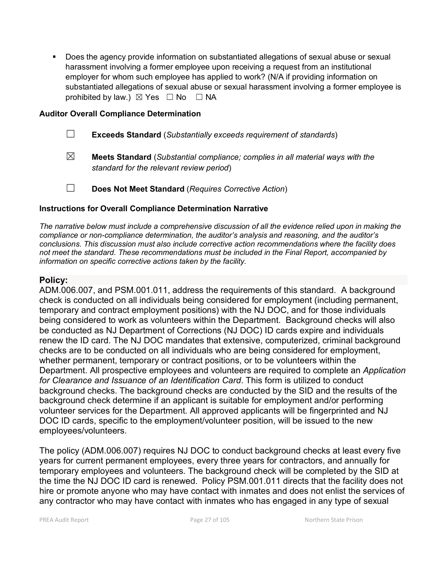Does the agency provide information on substantiated allegations of sexual abuse or sexual harassment involving a former employee upon receiving a request from an institutional employer for whom such employee has applied to work? (N/A if providing information on substantiated allegations of sexual abuse or sexual harassment involving a former employee is prohibited by law.)  $\boxtimes$  Yes  $\Box$  No  $\Box$  NA

### **Auditor Overall Compliance Determination**

| $\Box$ |  | <b>Exceeds Standard</b> (Substantially exceeds requirement of standards) |  |
|--------|--|--------------------------------------------------------------------------|--|
|--------|--|--------------------------------------------------------------------------|--|

- ☒ **Meets Standard** (*Substantial compliance; complies in all material ways with the standard for the relevant review period*)
- ☐ **Does Not Meet Standard** (*Requires Corrective Action*)

## **Instructions for Overall Compliance Determination Narrative**

*The narrative below must include a comprehensive discussion of all the evidence relied upon in making the compliance or non-compliance determination, the auditor's analysis and reasoning, and the auditor's conclusions. This discussion must also include corrective action recommendations where the facility does not meet the standard. These recommendations must be included in the Final Report, accompanied by information on specific corrective actions taken by the facility.*

# **Policy:**

ADM.006.007, and PSM.001.011, address the requirements of this standard. A background check is conducted on all individuals being considered for employment (including permanent, temporary and contract employment positions) with the NJ DOC, and for those individuals being considered to work as volunteers within the Department. Background checks will also be conducted as NJ Department of Corrections (NJ DOC) ID cards expire and individuals renew the ID card. The NJ DOC mandates that extensive, computerized, criminal background checks are to be conducted on all individuals who are being considered for employment, whether permanent, temporary or contract positions, or to be volunteers within the Department. All prospective employees and volunteers are required to complete an *Application for Clearance and Issuance of an Identification Card*. This form is utilized to conduct background checks. The background checks are conducted by the SID and the results of the background check determine if an applicant is suitable for employment and/or performing volunteer services for the Department. All approved applicants will be fingerprinted and NJ DOC ID cards, specific to the employment/volunteer position, will be issued to the new employees/volunteers.

The policy (ADM.006.007) requires NJ DOC to conduct background checks at least every five years for current permanent employees, every three years for contractors, and annually for temporary employees and volunteers. The background check will be completed by the SID at the time the NJ DOC ID card is renewed. Policy PSM.001.011 directs that the facility does not hire or promote anyone who may have contact with inmates and does not enlist the services of any contractor who may have contact with inmates who has engaged in any type of sexual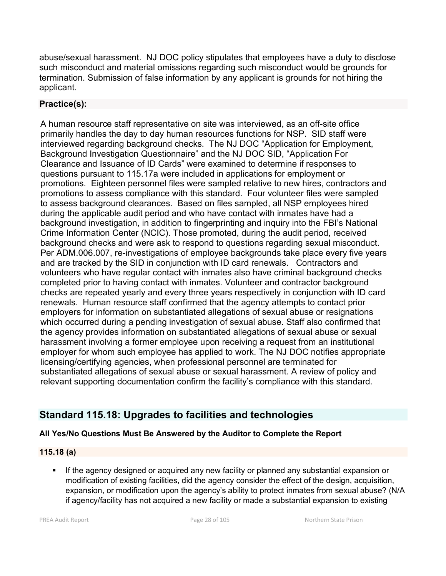abuse/sexual harassment. NJ DOC policy stipulates that employees have a duty to disclose such misconduct and material omissions regarding such misconduct would be grounds for termination. Submission of false information by any applicant is grounds for not hiring the applicant.

# **Practice(s):**

A human resource staff representative on site was interviewed, as an off-site office primarily handles the day to day human resources functions for NSP. SID staff were interviewed regarding background checks. The NJ DOC "Application for Employment, Background Investigation Questionnaire" and the NJ DOC SID, "Application For Clearance and Issuance of ID Cards" were examined to determine if responses to questions pursuant to 115.17a were included in applications for employment or promotions. Eighteen personnel files were sampled relative to new hires, contractors and promotions to assess compliance with this standard. Four volunteer files were sampled to assess background clearances. Based on files sampled, all NSP employees hired during the applicable audit period and who have contact with inmates have had a background investigation, in addition to fingerprinting and inquiry into the FBI's National Crime Information Center (NCIC). Those promoted, during the audit period, received background checks and were ask to respond to questions regarding sexual misconduct. Per ADM.006.007, re-investigations of employee backgrounds take place every five years and are tracked by the SID in conjunction with ID card renewals. Contractors and volunteers who have regular contact with inmates also have criminal background checks completed prior to having contact with inmates. Volunteer and contractor background checks are repeated yearly and every three years respectively in conjunction with ID card renewals. Human resource staff confirmed that the agency attempts to contact prior employers for information on substantiated allegations of sexual abuse or resignations which occurred during a pending investigation of sexual abuse. Staff also confirmed that the agency provides information on substantiated allegations of sexual abuse or sexual harassment involving a former employee upon receiving a request from an institutional employer for whom such employee has applied to work. The NJ DOC notifies appropriate licensing/certifying agencies, when professional personnel are terminated for substantiated allegations of sexual abuse or sexual harassment. A review of policy and relevant supporting documentation confirm the facility's compliance with this standard.

# **Standard 115.18: Upgrades to facilities and technologies**

# **All Yes/No Questions Must Be Answered by the Auditor to Complete the Report**

# **115.18 (a)**

**If the agency designed or acquired any new facility or planned any substantial expansion or** modification of existing facilities, did the agency consider the effect of the design, acquisition, expansion, or modification upon the agency's ability to protect inmates from sexual abuse? (N/A if agency/facility has not acquired a new facility or made a substantial expansion to existing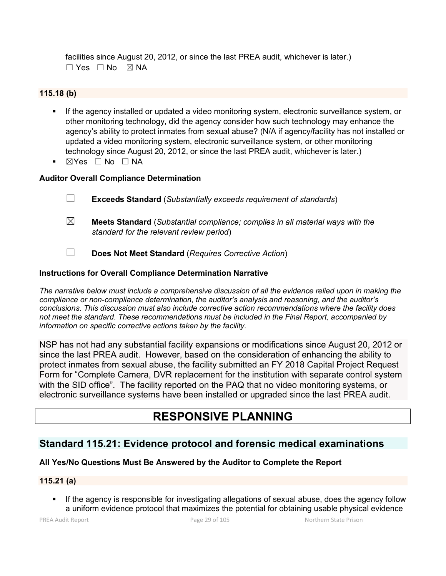facilities since August 20, 2012, or since the last PREA audit, whichever is later.)  $\Box$  Yes  $\Box$  No  $\boxtimes$  NA

#### **115.18 (b)**

- **If the agency installed or updated a video monitoring system, electronic surveillance system, or** other monitoring technology, did the agency consider how such technology may enhance the agency's ability to protect inmates from sexual abuse? (N/A if agency/facility has not installed or updated a video monitoring system, electronic surveillance system, or other monitoring technology since August 20, 2012, or since the last PREA audit, whichever is later.)
- ☒Yes ☐ No ☐ NA

### **Auditor Overall Compliance Determination**

- ☐ **Exceeds Standard** (*Substantially exceeds requirement of standards*)
- ☒ **Meets Standard** (*Substantial compliance; complies in all material ways with the standard for the relevant review period*)
- ☐ **Does Not Meet Standard** (*Requires Corrective Action*)

#### **Instructions for Overall Compliance Determination Narrative**

*The narrative below must include a comprehensive discussion of all the evidence relied upon in making the compliance or non-compliance determination, the auditor's analysis and reasoning, and the auditor's conclusions. This discussion must also include corrective action recommendations where the facility does not meet the standard. These recommendations must be included in the Final Report, accompanied by information on specific corrective actions taken by the facility.*

NSP has not had any substantial facility expansions or modifications since August 20, 2012 or since the last PREA audit. However, based on the consideration of enhancing the ability to protect inmates from sexual abuse, the facility submitted an FY 2018 Capital Project Request Form for "Complete Camera, DVR replacement for the institution with separate control system with the SID office". The facility reported on the PAQ that no video monitoring systems, or electronic surveillance systems have been installed or upgraded since the last PREA audit.

# **RESPONSIVE PLANNING**

# **Standard 115.21: Evidence protocol and forensic medical examinations**

### **All Yes/No Questions Must Be Answered by the Auditor to Complete the Report**

### **115.21 (a)**

 If the agency is responsible for investigating allegations of sexual abuse, does the agency follow a uniform evidence protocol that maximizes the potential for obtaining usable physical evidence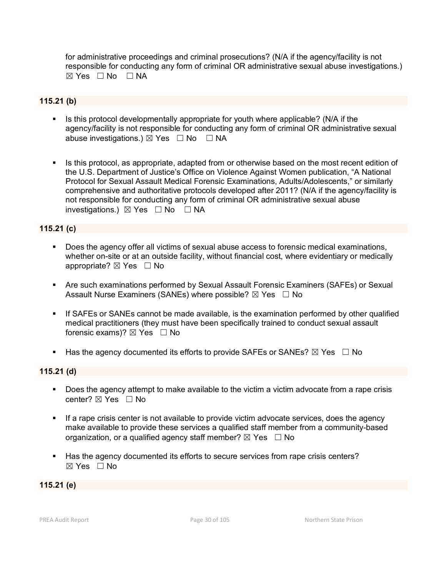for administrative proceedings and criminal prosecutions? (N/A if the agency/facility is not responsible for conducting any form of criminal OR administrative sexual abuse investigations.) ☒ Yes ☐ No ☐ NA

### **115.21 (b)**

- Is this protocol developmentally appropriate for youth where applicable? (N/A if the agency/facility is not responsible for conducting any form of criminal OR administrative sexual abuse investigations.)  $\boxtimes$  Yes  $\Box$  No  $\Box$  NA
- Is this protocol, as appropriate, adapted from or otherwise based on the most recent edition of the U.S. Department of Justice's Office on Violence Against Women publication, "A National Protocol for Sexual Assault Medical Forensic Examinations, Adults/Adolescents," or similarly comprehensive and authoritative protocols developed after 2011? (N/A if the agency/facility is not responsible for conducting any form of criminal OR administrative sexual abuse investigations.)  $\boxtimes$  Yes  $\Box$  No  $\Box$  NA

## **115.21 (c)**

- Does the agency offer all victims of sexual abuse access to forensic medical examinations, whether on-site or at an outside facility, without financial cost, where evidentiary or medically appropriate?  $\boxtimes$  Yes  $\Box$  No
- Are such examinations performed by Sexual Assault Forensic Examiners (SAFEs) or Sexual Assault Nurse Examiners (SANEs) where possible?  $\boxtimes$  Yes  $\Box$  No
- If SAFEs or SANEs cannot be made available, is the examination performed by other qualified medical practitioners (they must have been specifically trained to conduct sexual assault forensic exams)?  $\boxtimes$  Yes  $\Box$  No
- Has the agency documented its efforts to provide SAFEs or SANEs?  $\boxtimes$  Yes  $\Box$  No

### **115.21 (d)**

- Does the agency attempt to make available to the victim a victim advocate from a rape crisis center? ⊠ Yes □ No
- If a rape crisis center is not available to provide victim advocate services, does the agency make available to provide these services a qualified staff member from a community-based organization, or a qualified agency staff member?  $\boxtimes$  Yes  $\Box$  No
- Has the agency documented its efforts to secure services from rape crisis centers? ☒ Yes ☐ No

#### **115.21 (e)**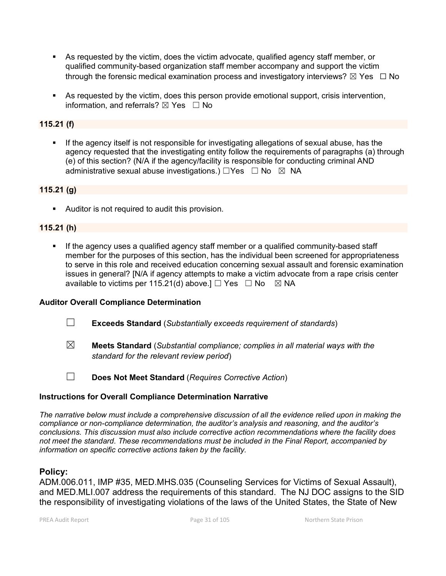- As requested by the victim, does the victim advocate, qualified agency staff member, or qualified community-based organization staff member accompany and support the victim through the forensic medical examination process and investigatory interviews?  $\boxtimes$  Yes  $\Box$  No
- As requested by the victim, does this person provide emotional support, crisis intervention, information, and referrals?  $\boxtimes$  Yes  $\Box$  No

## **115.21 (f)**

 If the agency itself is not responsible for investigating allegations of sexual abuse, has the agency requested that the investigating entity follow the requirements of paragraphs (a) through (e) of this section? (N/A if the agency/facility is responsible for conducting criminal AND administrative sexual abuse investigations.)  $\Box$ Yes  $\Box$  No  $\boxtimes$  NA

## **115.21 (g)**

Auditor is not required to audit this provision.

# **115.21 (h)**

 If the agency uses a qualified agency staff member or a qualified community-based staff member for the purposes of this section, has the individual been screened for appropriateness to serve in this role and received education concerning sexual assault and forensic examination issues in general? [N/A if agency attempts to make a victim advocate from a rape crisis center available to victims per 115.21(d) above.]  $\Box$  Yes  $\Box$  No  $\boxtimes$  NA

### **Auditor Overall Compliance Determination**

- ☐ **Exceeds Standard** (*Substantially exceeds requirement of standards*)
- 
- ☒ **Meets Standard** (*Substantial compliance; complies in all material ways with the standard for the relevant review period*)

☐ **Does Not Meet Standard** (*Requires Corrective Action*)

### **Instructions for Overall Compliance Determination Narrative**

*The narrative below must include a comprehensive discussion of all the evidence relied upon in making the compliance or non-compliance determination, the auditor's analysis and reasoning, and the auditor's conclusions. This discussion must also include corrective action recommendations where the facility does not meet the standard. These recommendations must be included in the Final Report, accompanied by information on specific corrective actions taken by the facility.*

### **Policy:**

ADM.006.011, IMP #35, MED.MHS.035 (Counseling Services for Victims of Sexual Assault), and MED.MLI.007 address the requirements of this standard. The NJ DOC assigns to the SID the responsibility of investigating violations of the laws of the United States, the State of New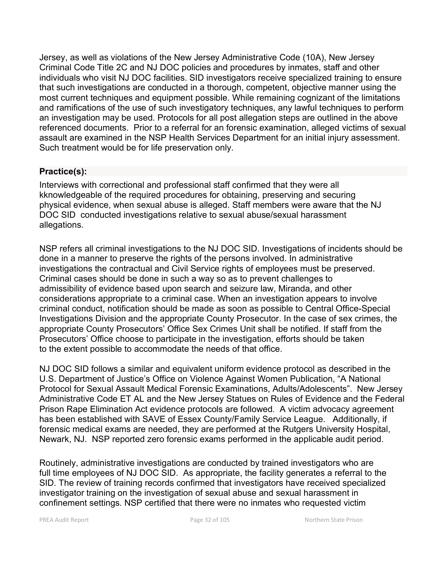Jersey, as well as violations of the New Jersey Administrative Code (10A), New Jersey Criminal Code Title 2C and NJ DOC policies and procedures by inmates, staff and other individuals who visit NJ DOC facilities. SID investigators receive specialized training to ensure that such investigations are conducted in a thorough, competent, objective manner using the most current techniques and equipment possible. While remaining cognizant of the limitations and ramifications of the use of such investigatory techniques, any lawful techniques to perform an investigation may be used. Protocols for all post allegation steps are outlined in the above referenced documents. Prior to a referral for an forensic examination, alleged victims of sexual assault are examined in the NSP Health Services Department for an initial injury assessment. Such treatment would be for life preservation only.

# **Practice(s):**

Interviews with correctional and professional staff confirmed that they were all kknowledgeable of the required procedures for obtaining, preserving and securing physical evidence, when sexual abuse is alleged. Staff members were aware that the NJ DOC SID conducted investigations relative to sexual abuse/sexual harassment allegations.

NSP refers all criminal investigations to the NJ DOC SID. Investigations of incidents should be done in a manner to preserve the rights of the persons involved. In administrative investigations the contractual and Civil Service rights of employees must be preserved. Criminal cases should be done in such a way so as to prevent challenges to admissibility of evidence based upon search and seizure law, Miranda, and other considerations appropriate to a criminal case. When an investigation appears to involve criminal conduct, notification should be made as soon as possible to Central Office-Special Investigations Division and the appropriate County Prosecutor. In the case of sex crimes, the appropriate County Prosecutors' Office Sex Crimes Unit shall be notified. If staff from the Prosecutors' Office choose to participate in the investigation, efforts should be taken to the extent possible to accommodate the needs of that office.

NJ DOC SID follows a similar and equivalent uniform evidence protocol as described in the U.S. Department of Justice's Office on Violence Against Women Publication, "A National Protocol for Sexual Assault Medical Forensic Examinations, Adults/Adolescents". New Jersey Administrative Code ET AL and the New Jersey Statues on Rules of Evidence and the Federal Prison Rape Elimination Act evidence protocols are followed. A victim advocacy agreement has been established with SAVE of Essex County/Family Service League. Additionally, if forensic medical exams are needed, they are performed at the Rutgers University Hospital, Newark, NJ. NSP reported zero forensic exams performed in the applicable audit period.

Routinely, administrative investigations are conducted by trained investigators who are full time employees of NJ DOC SID. As appropriate, the facility generates a referral to the SID. The review of training records confirmed that investigators have received specialized investigator training on the investigation of sexual abuse and sexual harassment in confinement settings. NSP certified that there were no inmates who requested victim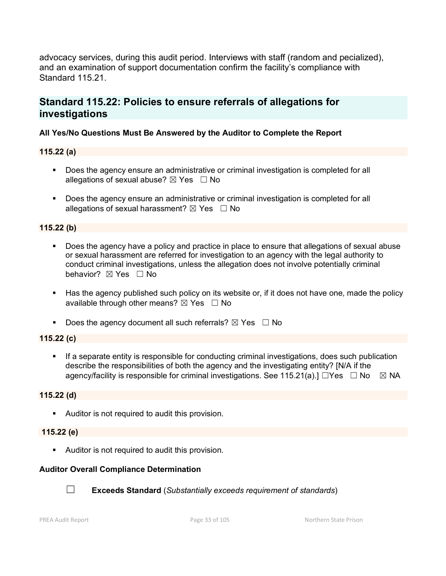advocacy services, during this audit period. Interviews with staff (random and pecialized), and an examination of support documentation confirm the facility's compliance with Standard 115.21.

# **Standard 115.22: Policies to ensure referrals of allegations for investigations**

## **All Yes/No Questions Must Be Answered by the Auditor to Complete the Report**

## **115.22 (a)**

- Does the agency ensure an administrative or criminal investigation is completed for all allegations of sexual abuse?  $\boxtimes$  Yes  $\Box$  No
- **Does the agency ensure an administrative or criminal investigation is completed for all** allegations of sexual harassment?  $\boxtimes$  Yes  $\Box$  No

## **115.22 (b)**

- Does the agency have a policy and practice in place to ensure that allegations of sexual abuse or sexual harassment are referred for investigation to an agency with the legal authority to conduct criminal investigations, unless the allegation does not involve potentially criminal behavior? **⊠** Yes □ No
- Has the agency published such policy on its website or, if it does not have one, made the policy available through other means?  $\boxtimes$  Yes  $\Box$  No
- Does the agency document all such referrals?  $\boxtimes$  Yes  $\Box$  No

### **115.22 (c)**

 If a separate entity is responsible for conducting criminal investigations, does such publication describe the responsibilities of both the agency and the investigating entity? [N/A if the agency/facility is responsible for criminal investigations. See 115.21(a).]  $\Box$ Yes  $\Box$  No  $\boxtimes$  NA

### **115.22 (d)**

Auditor is not required to audit this provision.

### **115.22 (e)**

Auditor is not required to audit this provision.

# **Auditor Overall Compliance Determination**



☐ **Exceeds Standard** (*Substantially exceeds requirement of standards*)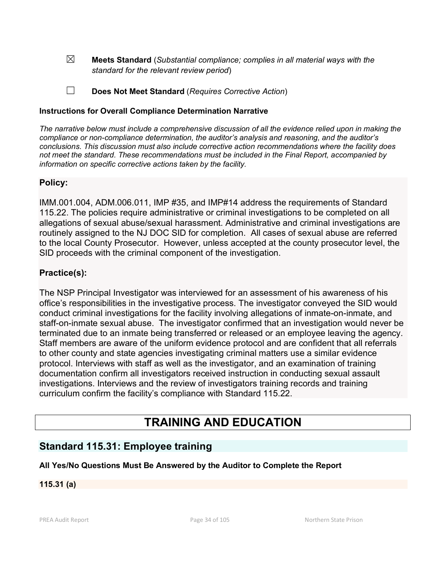☒ **Meets Standard** (*Substantial compliance; complies in all material ways with the standard for the relevant review period*)

☐ **Does Not Meet Standard** (*Requires Corrective Action*)

### **Instructions for Overall Compliance Determination Narrative**

*The narrative below must include a comprehensive discussion of all the evidence relied upon in making the compliance or non-compliance determination, the auditor's analysis and reasoning, and the auditor's conclusions. This discussion must also include corrective action recommendations where the facility does not meet the standard. These recommendations must be included in the Final Report, accompanied by information on specific corrective actions taken by the facility.*

# **Policy:**

IMM.001.004, ADM.006.011, IMP #35, and IMP#14 address the requirements of Standard 115.22. The policies require administrative or criminal investigations to be completed on all allegations of sexual abuse/sexual harassment. Administrative and criminal investigations are routinely assigned to the NJ DOC SID for completion. All cases of sexual abuse are referred to the local County Prosecutor. However, unless accepted at the county prosecutor level, the SID proceeds with the criminal component of the investigation.

# **Practice(s):**

The NSP Principal Investigator was interviewed for an assessment of his awareness of his office's responsibilities in the investigative process. The investigator conveyed the SID would conduct criminal investigations for the facility involving allegations of inmate-on-inmate, and staff-on-inmate sexual abuse. The investigator confirmed that an investigation would never be terminated due to an inmate being transferred or released or an employee leaving the agency. Staff members are aware of the uniform evidence protocol and are confident that all referrals to other county and state agencies investigating criminal matters use a similar evidence protocol. Interviews with staff as well as the investigator, and an examination of training documentation confirm all investigators received instruction in conducting sexual assault investigations. Interviews and the review of investigators training records and training curriculum confirm the facility's compliance with Standard 115.22.

# **TRAINING AND EDUCATION**

# **Standard 115.31: Employee training**

### **All Yes/No Questions Must Be Answered by the Auditor to Complete the Report**

### **115.31 (a)**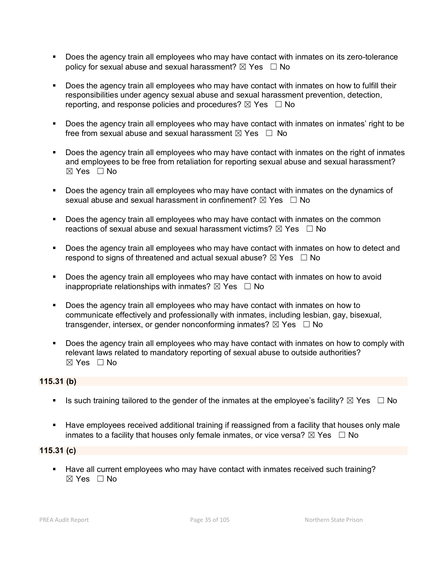- Does the agency train all employees who may have contact with inmates on its zero-tolerance policy for sexual abuse and sexual harassment?  $\boxtimes$  Yes  $\Box$  No
- Does the agency train all employees who may have contact with inmates on how to fulfill their responsibilities under agency sexual abuse and sexual harassment prevention, detection, reporting, and response policies and procedures?  $\boxtimes$  Yes  $\Box$  No
- **Does the agency train all employees who may have contact with inmates on inmates' right to be** free from sexual abuse and sexual harassment  $\boxtimes$  Yes  $\Box$  No
- Does the agency train all employees who may have contact with inmates on the right of inmates and employees to be free from retaliation for reporting sexual abuse and sexual harassment?  $\boxtimes$  Yes  $\Box$  No
- Does the agency train all employees who may have contact with inmates on the dynamics of sexual abuse and sexual harassment in confinement?  $\boxtimes$  Yes  $\Box$  No
- **Does the agency train all employees who may have contact with inmates on the common** reactions of sexual abuse and sexual harassment victims?  $\boxtimes$  Yes  $\Box$  No
- **Does the agency train all employees who may have contact with inmates on how to detect and** respond to signs of threatened and actual sexual abuse?  $\boxtimes$  Yes  $\Box$  No
- Does the agency train all employees who may have contact with inmates on how to avoid inappropriate relationships with inmates?  $\boxtimes$  Yes  $\Box$  No
- Does the agency train all employees who may have contact with inmates on how to communicate effectively and professionally with inmates, including lesbian, gay, bisexual, transgender, intersex, or gender nonconforming inmates?  $\boxtimes$  Yes  $\Box$  No
- Does the agency train all employees who may have contact with inmates on how to comply with relevant laws related to mandatory reporting of sexual abuse to outside authorities?  $\boxtimes$  Yes  $\Box$  No

## **115.31 (b)**

- Is such training tailored to the gender of the inmates at the employee's facility?  $\boxtimes$  Yes  $\Box$  No
- Have employees received additional training if reassigned from a facility that houses only male inmates to a facility that houses only female inmates, or vice versa?  $\boxtimes$  Yes  $\Box$  No

### **115.31 (c)**

 Have all current employees who may have contact with inmates received such training?  $\boxtimes$  Yes  $\Box$  No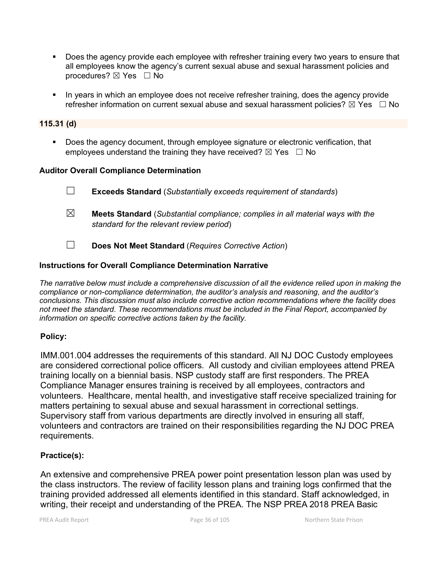- Does the agency provide each employee with refresher training every two years to ensure that all employees know the agency's current sexual abuse and sexual harassment policies and procedures? ⊠ Yes □ No
- In years in which an employee does not receive refresher training, does the agency provide refresher information on current sexual abuse and sexual harassment policies?  $\boxtimes$  Yes  $\Box$  No

#### **115.31 (d)**

**Does the agency document, through employee signature or electronic verification, that** employees understand the training they have received?  $\boxtimes$  Yes  $\Box$  No

#### **Auditor Overall Compliance Determination**

☐ **Exceeds Standard** (*Substantially exceeds requirement of standards*) ☒ **Meets Standard** (*Substantial compliance; complies in all material ways with the* 

*standard for the relevant review period*) ☐ **Does Not Meet Standard** (*Requires Corrective Action*)

## **Instructions for Overall Compliance Determination Narrative**

*The narrative below must include a comprehensive discussion of all the evidence relied upon in making the compliance or non-compliance determination, the auditor's analysis and reasoning, and the auditor's conclusions. This discussion must also include corrective action recommendations where the facility does not meet the standard. These recommendations must be included in the Final Report, accompanied by information on specific corrective actions taken by the facility.*

### **Policy:**

IMM.001.004 addresses the requirements of this standard. All NJ DOC Custody employees are considered correctional police officers. All custody and civilian employees attend PREA training locally on a biennial basis. NSP custody staff are first responders. The PREA Compliance Manager ensures training is received by all employees, contractors and volunteers. Healthcare, mental health, and investigative staff receive specialized training for matters pertaining to sexual abuse and sexual harassment in correctional settings. Supervisory staff from various departments are directly involved in ensuring all staff, volunteers and contractors are trained on their responsibilities regarding the NJ DOC PREA requirements.

### **Practice(s):**

An extensive and comprehensive PREA power point presentation lesson plan was used by the class instructors. The review of facility lesson plans and training logs confirmed that the training provided addressed all elements identified in this standard. Staff acknowledged, in writing, their receipt and understanding of the PREA. The NSP PREA 2018 PREA Basic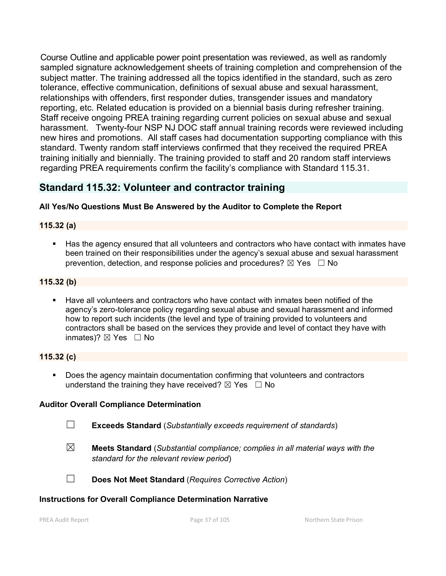Course Outline and applicable power point presentation was reviewed, as well as randomly sampled signature acknowledgement sheets of training completion and comprehension of the subject matter. The training addressed all the topics identified in the standard, such as zero tolerance, effective communication, definitions of sexual abuse and sexual harassment, relationships with offenders, first responder duties, transgender issues and mandatory reporting, etc. Related education is provided on a biennial basis during refresher training. Staff receive ongoing PREA training regarding current policies on sexual abuse and sexual harassment. Twenty-four NSP NJ DOC staff annual training records were reviewed including new hires and promotions. All staff cases had documentation supporting compliance with this standard. Twenty random staff interviews confirmed that they received the required PREA training initially and biennially. The training provided to staff and 20 random staff interviews regarding PREA requirements confirm the facility's compliance with Standard 115.31.

# **Standard 115.32: Volunteer and contractor training**

### **All Yes/No Questions Must Be Answered by the Auditor to Complete the Report**

### **115.32 (a)**

 Has the agency ensured that all volunteers and contractors who have contact with inmates have been trained on their responsibilities under the agency's sexual abuse and sexual harassment prevention, detection, and response policies and procedures?  $\boxtimes$  Yes  $\Box$  No

### **115.32 (b)**

 Have all volunteers and contractors who have contact with inmates been notified of the agency's zero-tolerance policy regarding sexual abuse and sexual harassment and informed how to report such incidents (the level and type of training provided to volunteers and contractors shall be based on the services they provide and level of contact they have with inmates)?  $\boxtimes$  Yes  $\Box$  No

#### **115.32 (c)**

 Does the agency maintain documentation confirming that volunteers and contractors understand the training they have received?  $\boxtimes$  Yes  $\Box$  No

#### **Auditor Overall Compliance Determination**

- ☐ **Exceeds Standard** (*Substantially exceeds requirement of standards*)
- ☒ **Meets Standard** (*Substantial compliance; complies in all material ways with the standard for the relevant review period*)
- 
- ☐ **Does Not Meet Standard** (*Requires Corrective Action*)

#### **Instructions for Overall Compliance Determination Narrative**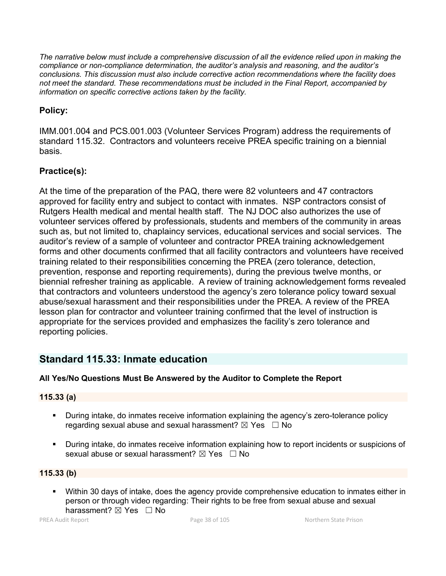*The narrative below must include a comprehensive discussion of all the evidence relied upon in making the compliance or non-compliance determination, the auditor's analysis and reasoning, and the auditor's conclusions. This discussion must also include corrective action recommendations where the facility does not meet the standard. These recommendations must be included in the Final Report, accompanied by information on specific corrective actions taken by the facility.*

# **Policy:**

IMM.001.004 and PCS.001.003 (Volunteer Services Program) address the requirements of standard 115.32. Contractors and volunteers receive PREA specific training on a biennial basis.

# **Practice(s):**

At the time of the preparation of the PAQ, there were 82 volunteers and 47 contractors approved for facility entry and subject to contact with inmates. NSP contractors consist of Rutgers Health medical and mental health staff. The NJ DOC also authorizes the use of volunteer services offered by professionals, students and members of the community in areas such as, but not limited to, chaplaincy services, educational services and social services. The auditor's review of a sample of volunteer and contractor PREA training acknowledgement forms and other documents confirmed that all facility contractors and volunteers have received training related to their responsibilities concerning the PREA (zero tolerance, detection, prevention, response and reporting requirements), during the previous twelve months, or biennial refresher training as applicable. A review of training acknowledgement forms revealed that contractors and volunteers understood the agency's zero tolerance policy toward sexual abuse/sexual harassment and their responsibilities under the PREA. A review of the PREA lesson plan for contractor and volunteer training confirmed that the level of instruction is appropriate for the services provided and emphasizes the facility's zero tolerance and reporting policies.

# **Standard 115.33: Inmate education**

# **All Yes/No Questions Must Be Answered by the Auditor to Complete the Report**

## **115.33 (a)**

- **During intake, do inmates receive information explaining the agency's zero-tolerance policy** regarding sexual abuse and sexual harassment?  $\boxtimes$  Yes  $\Box$  No
- During intake, do inmates receive information explaining how to report incidents or suspicions of sexual abuse or sexual harassment?  $\boxtimes$  Yes  $\Box$  No

## **115.33 (b)**

 Within 30 days of intake, does the agency provide comprehensive education to inmates either in person or through video regarding: Their rights to be free from sexual abuse and sexual harassment? ⊠ Yes □ No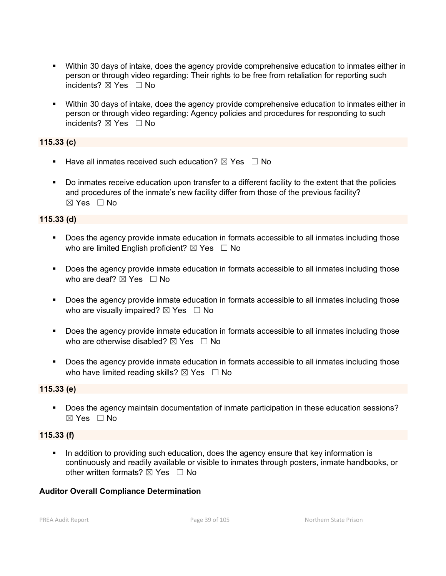- Within 30 days of intake, does the agency provide comprehensive education to inmates either in person or through video regarding: Their rights to be free from retaliation for reporting such incidents? ⊠ Yes □ No
- Within 30 days of intake, does the agency provide comprehensive education to inmates either in person or through video regarding: Agency policies and procedures for responding to such incidents? ☒ Yes ☐ No

### **115.33 (c)**

- Have all inmates received such education?  $\boxtimes$  Yes  $\Box$  No
- Do inmates receive education upon transfer to a different facility to the extent that the policies and procedures of the inmate's new facility differ from those of the previous facility?  $\boxtimes$  Yes  $\Box$  No

### **115.33 (d)**

- Does the agency provide inmate education in formats accessible to all inmates including those who are limited English proficient?  $\boxtimes$  Yes  $\Box$  No
- Does the agency provide inmate education in formats accessible to all inmates including those who are deaf?  $\boxtimes$  Yes  $\Box$  No
- **Does the agency provide inmate education in formats accessible to all inmates including those** who are visually impaired?  $\boxtimes$  Yes  $\Box$  No
- Does the agency provide inmate education in formats accessible to all inmates including those who are otherwise disabled?  $\boxtimes$  Yes  $\Box$  No
- Does the agency provide inmate education in formats accessible to all inmates including those who have limited reading skills?  $\boxtimes$  Yes  $\Box$  No

### **115.33 (e)**

Does the agency maintain documentation of inmate participation in these education sessions? ☒ Yes ☐ No

#### **115.33 (f)**

 In addition to providing such education, does the agency ensure that key information is continuously and readily available or visible to inmates through posters, inmate handbooks, or other written formats?  $\boxtimes$  Yes  $\Box$  No

### **Auditor Overall Compliance Determination**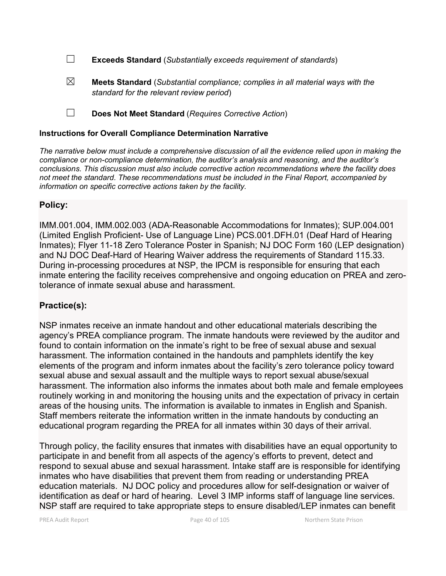☐ **Exceeds Standard** (*Substantially exceeds requirement of standards*)

- ☒ **Meets Standard** (*Substantial compliance; complies in all material ways with the standard for the relevant review period*)
- ☐ **Does Not Meet Standard** (*Requires Corrective Action*)

### **Instructions for Overall Compliance Determination Narrative**

*The narrative below must include a comprehensive discussion of all the evidence relied upon in making the compliance or non-compliance determination, the auditor's analysis and reasoning, and the auditor's conclusions. This discussion must also include corrective action recommendations where the facility does not meet the standard. These recommendations must be included in the Final Report, accompanied by information on specific corrective actions taken by the facility.*

## **Policy:**

IMM.001.004, IMM.002.003 (ADA-Reasonable Accommodations for Inmates); SUP.004.001 (Limited English Proficient- Use of Language Line) PCS.001.DFH.01 (Deaf Hard of Hearing Inmates); Flyer 11-18 Zero Tolerance Poster in Spanish; NJ DOC Form 160 (LEP designation) and NJ DOC Deaf-Hard of Hearing Waiver address the requirements of Standard 115.33. During in-processing procedures at NSP, the IPCM is responsible for ensuring that each inmate entering the facility receives comprehensive and ongoing education on PREA and zerotolerance of inmate sexual abuse and harassment.

## **Practice(s):**

NSP inmates receive an inmate handout and other educational materials describing the agency's PREA compliance program. The inmate handouts were reviewed by the auditor and found to contain information on the inmate's right to be free of sexual abuse and sexual harassment. The information contained in the handouts and pamphlets identify the key elements of the program and inform inmates about the facility's zero tolerance policy toward sexual abuse and sexual assault and the multiple ways to report sexual abuse/sexual harassment. The information also informs the inmates about both male and female employees routinely working in and monitoring the housing units and the expectation of privacy in certain areas of the housing units. The information is available to inmates in English and Spanish. Staff members reiterate the information written in the inmate handouts by conducting an educational program regarding the PREA for all inmates within 30 days of their arrival.

Through policy, the facility ensures that inmates with disabilities have an equal opportunity to participate in and benefit from all aspects of the agency's efforts to prevent, detect and respond to sexual abuse and sexual harassment. Intake staff are is responsible for identifying inmates who have disabilities that prevent them from reading or understanding PREA education materials. NJ DOC policy and procedures allow for self-designation or waiver of identification as deaf or hard of hearing. Level 3 IMP informs staff of language line services. NSP staff are required to take appropriate steps to ensure disabled/LEP inmates can benefit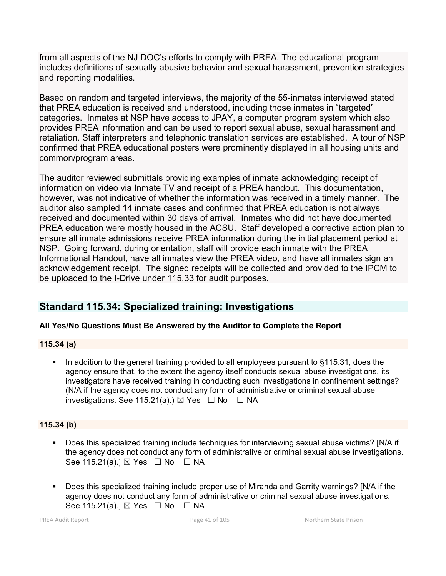from all aspects of the NJ DOC's efforts to comply with PREA. The educational program includes definitions of sexually abusive behavior and sexual harassment, prevention strategies and reporting modalities.

Based on random and targeted interviews, the majority of the 55-inmates interviewed stated that PREA education is received and understood, including those inmates in "targeted" categories. Inmates at NSP have access to JPAY, a computer program system which also provides PREA information and can be used to report sexual abuse, sexual harassment and retaliation. Staff interpreters and telephonic translation services are established. A tour of NSP confirmed that PREA educational posters were prominently displayed in all housing units and common/program areas.

The auditor reviewed submittals providing examples of inmate acknowledging receipt of information on video via Inmate TV and receipt of a PREA handout. This documentation, however, was not indicative of whether the information was received in a timely manner. The auditor also sampled 14 inmate cases and confirmed that PREA education is not always received and documented within 30 days of arrival. Inmates who did not have documented PREA education were mostly housed in the ACSU. Staff developed a corrective action plan to ensure all inmate admissions receive PREA information during the initial placement period at NSP. Going forward, during orientation, staff will provide each inmate with the PREA Informational Handout, have all inmates view the PREA video, and have all inmates sign an acknowledgement receipt. The signed receipts will be collected and provided to the IPCM to be uploaded to the I-Drive under 115.33 for audit purposes.

# **Standard 115.34: Specialized training: Investigations**

# **All Yes/No Questions Must Be Answered by the Auditor to Complete the Report**

## **115.34 (a)**

 In addition to the general training provided to all employees pursuant to §115.31, does the agency ensure that, to the extent the agency itself conducts sexual abuse investigations, its investigators have received training in conducting such investigations in confinement settings? (N/A if the agency does not conduct any form of administrative or criminal sexual abuse investigations. See 115.21(a).)  $\boxtimes$  Yes  $\Box$  No  $\Box$  NA

# **115.34 (b)**

- Does this specialized training include techniques for interviewing sexual abuse victims? [N/A if the agency does not conduct any form of administrative or criminal sexual abuse investigations. See 115.21(a).]  $\boxtimes$  Yes  $\Box$  No  $\Box$  NA
- Does this specialized training include proper use of Miranda and Garrity warnings? [N/A if the agency does not conduct any form of administrative or criminal sexual abuse investigations. See 115.21(a).]  $\boxtimes$  Yes  $\Box$  No  $\Box$  NA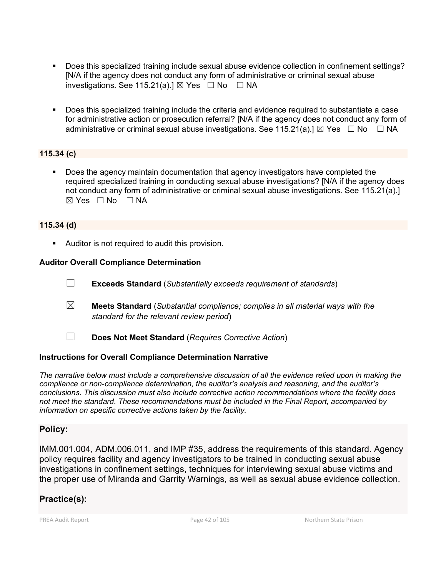- Does this specialized training include sexual abuse evidence collection in confinement settings? [N/A if the agency does not conduct any form of administrative or criminal sexual abuse investigations. See 115.21(a).]  $\boxtimes$  Yes  $\Box$  No  $\Box$  NA
- Does this specialized training include the criteria and evidence required to substantiate a case for administrative action or prosecution referral? [N/A if the agency does not conduct any form of administrative or criminal sexual abuse investigations. See 115.21(a).]  $\boxtimes$  Yes  $\Box$  No  $\Box$  NA

## **115.34 (c)**

 Does the agency maintain documentation that agency investigators have completed the required specialized training in conducting sexual abuse investigations? [N/A if the agency does not conduct any form of administrative or criminal sexual abuse investigations. See 115.21(a).]  $\boxtimes$  Yes  $\Box$  No  $\Box$  NA

### **115.34 (d)**

**Auditor is not required to audit this provision.** 

## **Auditor Overall Compliance Determination**

- ☐ **Exceeds Standard** (*Substantially exceeds requirement of standards*)
- ☒ **Meets Standard** (*Substantial compliance; complies in all material ways with the standard for the relevant review period*)
- ☐ **Does Not Meet Standard** (*Requires Corrective Action*)

## **Instructions for Overall Compliance Determination Narrative**

*The narrative below must include a comprehensive discussion of all the evidence relied upon in making the compliance or non-compliance determination, the auditor's analysis and reasoning, and the auditor's conclusions. This discussion must also include corrective action recommendations where the facility does not meet the standard. These recommendations must be included in the Final Report, accompanied by information on specific corrective actions taken by the facility.*

## **Policy:**

IMM.001.004, ADM.006.011, and IMP #35, address the requirements of this standard. Agency policy requires facility and agency investigators to be trained in conducting sexual abuse investigations in confinement settings, techniques for interviewing sexual abuse victims and the proper use of Miranda and Garrity Warnings, as well as sexual abuse evidence collection.

## **Practice(s):**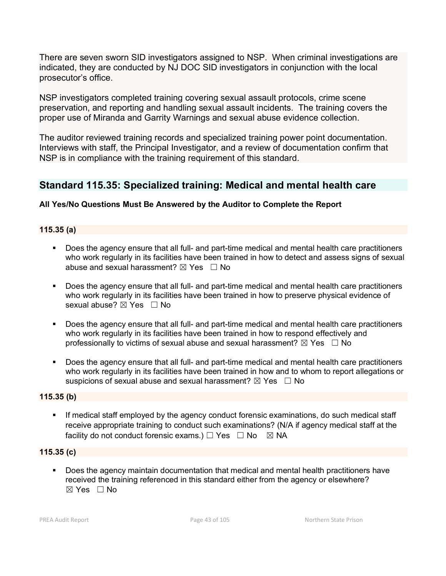There are seven sworn SID investigators assigned to NSP. When criminal investigations are indicated, they are conducted by NJ DOC SID investigators in conjunction with the local prosecutor's office.

NSP investigators completed training covering sexual assault protocols, crime scene preservation, and reporting and handling sexual assault incidents. The training covers the proper use of Miranda and Garrity Warnings and sexual abuse evidence collection.

The auditor reviewed training records and specialized training power point documentation. Interviews with staff, the Principal Investigator, and a review of documentation confirm that NSP is in compliance with the training requirement of this standard.

# **Standard 115.35: Specialized training: Medical and mental health care**

## **All Yes/No Questions Must Be Answered by the Auditor to Complete the Report**

### **115.35 (a)**

- Does the agency ensure that all full- and part-time medical and mental health care practitioners who work regularly in its facilities have been trained in how to detect and assess signs of sexual abuse and sexual harassment?  $\boxtimes$  Yes  $\Box$  No
- Does the agency ensure that all full- and part-time medical and mental health care practitioners who work regularly in its facilities have been trained in how to preserve physical evidence of sexual abuse? ⊠ Yes □ No
- Does the agency ensure that all full- and part-time medical and mental health care practitioners who work regularly in its facilities have been trained in how to respond effectively and professionally to victims of sexual abuse and sexual harassment?  $\boxtimes$  Yes  $\Box$  No
- Does the agency ensure that all full- and part-time medical and mental health care practitioners who work regularly in its facilities have been trained in how and to whom to report allegations or suspicions of sexual abuse and sexual harassment?  $\boxtimes$  Yes  $\Box$  No

### **115.35 (b)**

 If medical staff employed by the agency conduct forensic examinations, do such medical staff receive appropriate training to conduct such examinations? (N/A if agency medical staff at the facility do not conduct forensic exams.)  $\Box$  Yes  $\Box$  No  $\boxtimes$  NA

### **115.35 (c)**

 Does the agency maintain documentation that medical and mental health practitioners have received the training referenced in this standard either from the agency or elsewhere? ☒ Yes ☐ No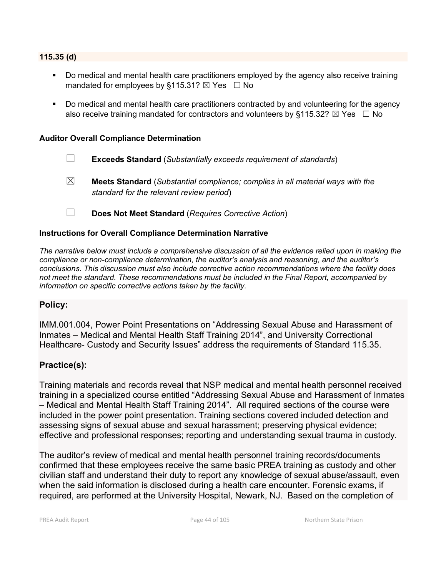#### **115.35 (d)**

- Do medical and mental health care practitioners employed by the agency also receive training mandated for employees by §115.31?  $\boxtimes$  Yes  $\Box$  No
- Do medical and mental health care practitioners contracted by and volunteering for the agency also receive training mandated for contractors and volunteers by §115.32?  $\boxtimes$  Yes  $\Box$  No

#### **Auditor Overall Compliance Determination**

- ☐ **Exceeds Standard** (*Substantially exceeds requirement of standards*)
- ☒ **Meets Standard** (*Substantial compliance; complies in all material ways with the standard for the relevant review period*)
- ☐ **Does Not Meet Standard** (*Requires Corrective Action*)

#### **Instructions for Overall Compliance Determination Narrative**

*The narrative below must include a comprehensive discussion of all the evidence relied upon in making the compliance or non-compliance determination, the auditor's analysis and reasoning, and the auditor's conclusions. This discussion must also include corrective action recommendations where the facility does not meet the standard. These recommendations must be included in the Final Report, accompanied by information on specific corrective actions taken by the facility.*

### **Policy:**

IMM.001.004, Power Point Presentations on "Addressing Sexual Abuse and Harassment of Inmates – Medical and Mental Health Staff Training 2014", and University Correctional Healthcare- Custody and Security Issues" address the requirements of Standard 115.35.

### **Practice(s):**

Training materials and records reveal that NSP medical and mental health personnel received training in a specialized course entitled "Addressing Sexual Abuse and Harassment of Inmates – Medical and Mental Health Staff Training 2014". All required sections of the course were included in the power point presentation. Training sections covered included detection and assessing signs of sexual abuse and sexual harassment; preserving physical evidence; effective and professional responses; reporting and understanding sexual trauma in custody.

The auditor's review of medical and mental health personnel training records/documents confirmed that these employees receive the same basic PREA training as custody and other civilian staff and understand their duty to report any knowledge of sexual abuse/assault, even when the said information is disclosed during a health care encounter. Forensic exams, if required, are performed at the University Hospital, Newark, NJ. Based on the completion of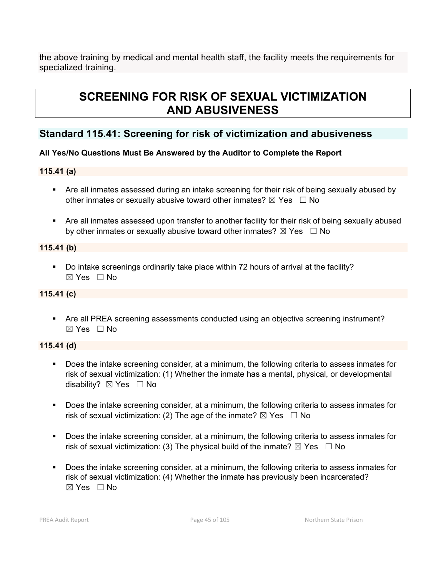the above training by medical and mental health staff, the facility meets the requirements for specialized training.

# **SCREENING FOR RISK OF SEXUAL VICTIMIZATION AND ABUSIVENESS**

# **Standard 115.41: Screening for risk of victimization and abusiveness**

# **All Yes/No Questions Must Be Answered by the Auditor to Complete the Report**

# **115.41 (a)**

- Are all inmates assessed during an intake screening for their risk of being sexually abused by other inmates or sexually abusive toward other inmates?  $\boxtimes$  Yes  $\Box$  No
- Are all inmates assessed upon transfer to another facility for their risk of being sexually abused by other inmates or sexually abusive toward other inmates?  $\boxtimes$  Yes  $\Box$  No

# **115.41 (b)**

 Do intake screenings ordinarily take place within 72 hours of arrival at the facility? ☒ Yes ☐ No

# **115.41 (c)**

 Are all PREA screening assessments conducted using an objective screening instrument? ☒ Yes ☐ No

# **115.41 (d)**

- Does the intake screening consider, at a minimum, the following criteria to assess inmates for risk of sexual victimization: (1) Whether the inmate has a mental, physical, or developmental disability? ⊠ Yes □ No
- Does the intake screening consider, at a minimum, the following criteria to assess inmates for risk of sexual victimization: (2) The age of the inmate?  $\boxtimes$  Yes  $\Box$  No
- Does the intake screening consider, at a minimum, the following criteria to assess inmates for risk of sexual victimization: (3) The physical build of the inmate?  $\boxtimes$  Yes  $\Box$  No
- **Does the intake screening consider, at a minimum, the following criteria to assess inmates for** risk of sexual victimization: (4) Whether the inmate has previously been incarcerated?  $\boxtimes$  Yes  $\Box$  No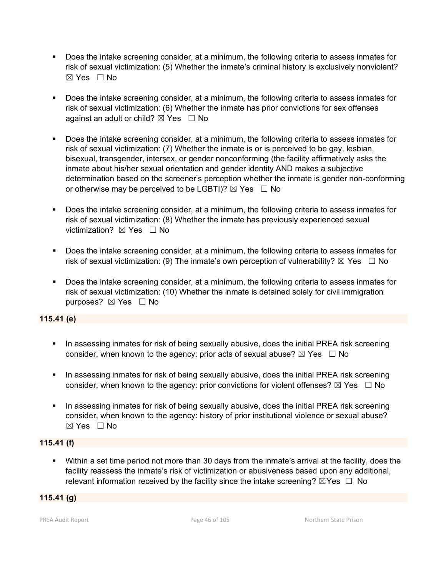- Does the intake screening consider, at a minimum, the following criteria to assess inmates for risk of sexual victimization: (5) Whether the inmate's criminal history is exclusively nonviolent?  $\boxtimes$  Yes  $\Box$  No
- Does the intake screening consider, at a minimum, the following criteria to assess inmates for risk of sexual victimization: (6) Whether the inmate has prior convictions for sex offenses against an adult or child?  $\boxtimes$  Yes  $\Box$  No
- Does the intake screening consider, at a minimum, the following criteria to assess inmates for risk of sexual victimization: (7) Whether the inmate is or is perceived to be gay, lesbian, bisexual, transgender, intersex, or gender nonconforming (the facility affirmatively asks the inmate about his/her sexual orientation and gender identity AND makes a subjective determination based on the screener's perception whether the inmate is gender non-conforming or otherwise may be perceived to be LGBTI)?  $\boxtimes$  Yes  $\Box$  No
- Does the intake screening consider, at a minimum, the following criteria to assess inmates for risk of sexual victimization: (8) Whether the inmate has previously experienced sexual victimization? **⊠ Yes** □ No
- Does the intake screening consider, at a minimum, the following criteria to assess inmates for risk of sexual victimization: (9) The inmate's own perception of vulnerability?  $\boxtimes$  Yes  $\Box$  No
- Does the intake screening consider, at a minimum, the following criteria to assess inmates for risk of sexual victimization: (10) Whether the inmate is detained solely for civil immigration purposes? ⊠ Yes □ No

## **115.41 (e)**

- In assessing inmates for risk of being sexually abusive, does the initial PREA risk screening consider, when known to the agency: prior acts of sexual abuse?  $\boxtimes$  Yes  $\Box$  No
- **IF In assessing inmates for risk of being sexually abusive, does the initial PREA risk screening** consider, when known to the agency: prior convictions for violent offenses?  $\boxtimes$  Yes  $\Box$  No
- In assessing inmates for risk of being sexually abusive, does the initial PREA risk screening consider, when known to the agency: history of prior institutional violence or sexual abuse?  $\boxtimes$  Yes  $\Box$  No

### **115.41 (f)**

 Within a set time period not more than 30 days from the inmate's arrival at the facility, does the facility reassess the inmate's risk of victimization or abusiveness based upon any additional, relevant information received by the facility since the intake screening?  $\boxtimes$ Yes  $\Box$  No

## **115.41 (g)**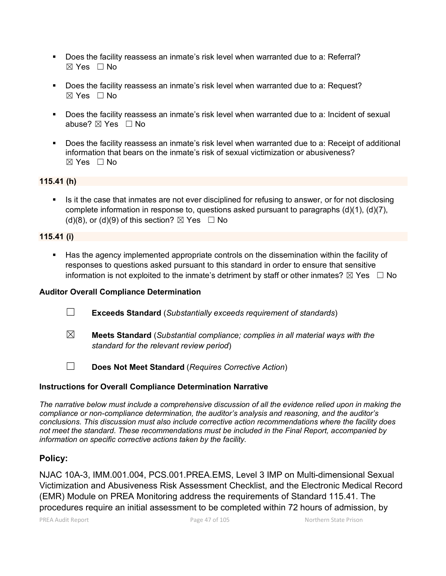- Does the facility reassess an inmate's risk level when warranted due to a: Referral? ☒ Yes ☐ No
- Does the facility reassess an inmate's risk level when warranted due to a: Request?  $\boxtimes$  Yes  $\Box$  No
- Does the facility reassess an inmate's risk level when warranted due to a: Incident of sexual abuse? ☒ Yes ☐ No
- Does the facility reassess an inmate's risk level when warranted due to a: Receipt of additional information that bears on the inmate's risk of sexual victimization or abusiveness?  $\boxtimes$  Yes  $\Box$  No

### **115.41 (h)**

 Is it the case that inmates are not ever disciplined for refusing to answer, or for not disclosing complete information in response to, questions asked pursuant to paragraphs (d)(1), (d)(7), (d)(8), or (d)(9) of this section?  $\boxtimes$  Yes  $\Box$  No

#### **115.41 (i)**

 Has the agency implemented appropriate controls on the dissemination within the facility of responses to questions asked pursuant to this standard in order to ensure that sensitive information is not exploited to the inmate's detriment by staff or other inmates?  $\boxtimes$  Yes  $\Box$  No

### **Auditor Overall Compliance Determination**

- ☐ **Exceeds Standard** (*Substantially exceeds requirement of standards*)
- ☒ **Meets Standard** (*Substantial compliance; complies in all material ways with the standard for the relevant review period*)
- ☐ **Does Not Meet Standard** (*Requires Corrective Action*)

### **Instructions for Overall Compliance Determination Narrative**

*The narrative below must include a comprehensive discussion of all the evidence relied upon in making the compliance or non-compliance determination, the auditor's analysis and reasoning, and the auditor's conclusions. This discussion must also include corrective action recommendations where the facility does not meet the standard. These recommendations must be included in the Final Report, accompanied by information on specific corrective actions taken by the facility.*

## **Policy:**

NJAC 10A-3, IMM.001.004, PCS.001.PREA.EMS, Level 3 IMP on Multi-dimensional Sexual Victimization and Abusiveness Risk Assessment Checklist, and the Electronic Medical Record (EMR) Module on PREA Monitoring address the requirements of Standard 115.41. The procedures require an initial assessment to be completed within 72 hours of admission, by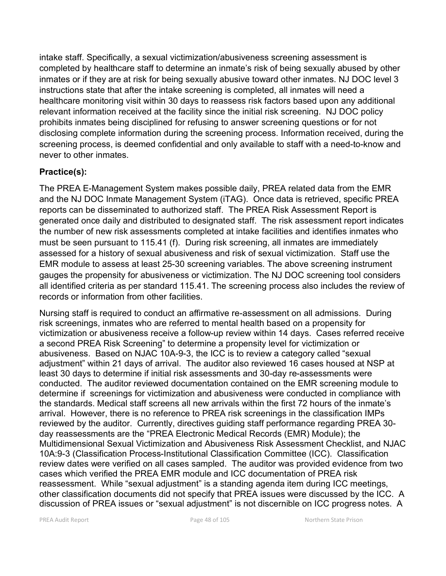intake staff. Specifically, a sexual victimization/abusiveness screening assessment is completed by healthcare staff to determine an inmate's risk of being sexually abused by other inmates or if they are at risk for being sexually abusive toward other inmates. NJ DOC level 3 instructions state that after the intake screening is completed, all inmates will need a healthcare monitoring visit within 30 days to reassess risk factors based upon any additional relevant information received at the facility since the initial risk screening. NJ DOC policy prohibits inmates being disciplined for refusing to answer screening questions or for not disclosing complete information during the screening process. Information received, during the screening process, is deemed confidential and only available to staff with a need-to-know and never to other inmates.

# **Practice(s):**

The PREA E-Management System makes possible daily, PREA related data from the EMR and the NJ DOC Inmate Management System (iTAG). Once data is retrieved, specific PREA reports can be disseminated to authorized staff. The PREA Risk Assessment Report is generated once daily and distributed to designated staff. The risk assessment report indicates the number of new risk assessments completed at intake facilities and identifies inmates who must be seen pursuant to 115.41 (f). During risk screening, all inmates are immediately assessed for a history of sexual abusiveness and risk of sexual victimization. Staff use the EMR module to assess at least 25-30 screening variables. The above screening instrument gauges the propensity for abusiveness or victimization. The NJ DOC screening tool considers all identified criteria as per standard 115.41. The screening process also includes the review of records or information from other facilities.

Nursing staff is required to conduct an affirmative re-assessment on all admissions. During risk screenings, inmates who are referred to mental health based on a propensity for victimization or abusiveness receive a follow-up review within 14 days. Cases referred receive a second PREA Risk Screening" to determine a propensity level for victimization or abusiveness. Based on NJAC 10A-9-3, the ICC is to review a category called "sexual adjustment" within 21 days of arrival. The auditor also reviewed 16 cases housed at NSP at least 30 days to determine if initial risk assessments and 30-day re-assessments were conducted. The auditor reviewed documentation contained on the EMR screening module to determine if screenings for victimization and abusiveness were conducted in compliance with the standards. Medical staff screens all new arrivals within the first 72 hours of the inmate's arrival. However, there is no reference to PREA risk screenings in the classification IMPs reviewed by the auditor. Currently, directives guiding staff performance regarding PREA 30 day reassessments are the "PREA Electronic Medical Records (EMR) Module); the Multidimensional Sexual Victimization and Abusiveness Risk Assessment Checklist, and NJAC 10A:9-3 (Classification Process-Institutional Classification Committee (ICC). Classification review dates were verified on all cases sampled. The auditor was provided evidence from two cases which verified the PREA EMR module and ICC documentation of PREA risk reassessment. While "sexual adjustment" is a standing agenda item during ICC meetings, other classification documents did not specify that PREA issues were discussed by the ICC. A discussion of PREA issues or "sexual adjustment" is not discernible on ICC progress notes. A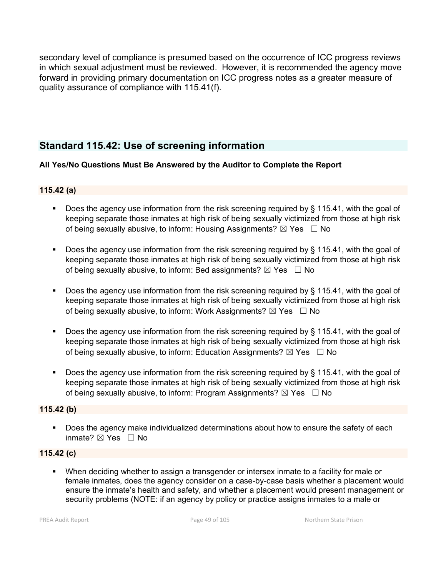secondary level of compliance is presumed based on the occurrence of ICC progress reviews in which sexual adjustment must be reviewed. However, it is recommended the agency move forward in providing primary documentation on ICC progress notes as a greater measure of quality assurance of compliance with 115.41(f).

# **Standard 115.42: Use of screening information**

## **All Yes/No Questions Must Be Answered by the Auditor to Complete the Report**

## **115.42 (a)**

- Does the agency use information from the risk screening required by § 115.41, with the goal of keeping separate those inmates at high risk of being sexually victimized from those at high risk of being sexually abusive, to inform: Housing Assignments?  $\boxtimes$  Yes  $\Box$  No
- Does the agency use information from the risk screening required by § 115.41, with the goal of keeping separate those inmates at high risk of being sexually victimized from those at high risk of being sexually abusive, to inform: Bed assignments?  $\boxtimes$  Yes  $\Box$  No
- Does the agency use information from the risk screening required by § 115.41, with the goal of keeping separate those inmates at high risk of being sexually victimized from those at high risk of being sexually abusive, to inform: Work Assignments?  $\boxtimes$  Yes  $\Box$  No
- Does the agency use information from the risk screening required by  $\S$  115.41, with the goal of keeping separate those inmates at high risk of being sexually victimized from those at high risk of being sexually abusive, to inform: Education Assignments?  $\boxtimes$  Yes  $\Box$  No
- Does the agency use information from the risk screening required by § 115.41, with the goal of keeping separate those inmates at high risk of being sexually victimized from those at high risk of being sexually abusive, to inform: Program Assignments?  $\boxtimes$  Yes  $\Box$  No

# **115.42 (b)**

**Does the agency make individualized determinations about how to ensure the safety of each** inmate? ☒ Yes ☐ No

### **115.42 (c)**

 When deciding whether to assign a transgender or intersex inmate to a facility for male or female inmates, does the agency consider on a case-by-case basis whether a placement would ensure the inmate's health and safety, and whether a placement would present management or security problems (NOTE: if an agency by policy or practice assigns inmates to a male or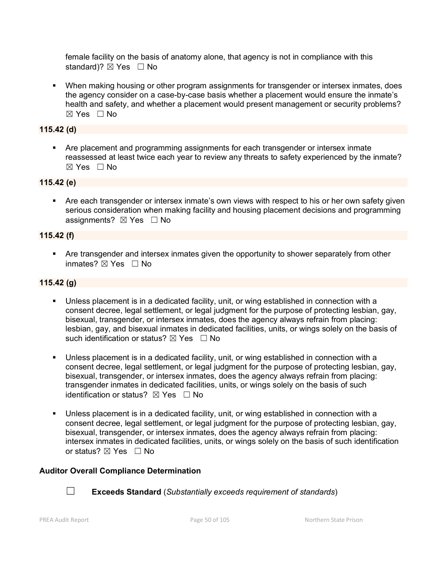female facility on the basis of anatomy alone, that agency is not in compliance with this standard)?  $\boxtimes$  Yes  $\Box$  No

**• When making housing or other program assignments for transgender or intersex inmates, does** the agency consider on a case-by-case basis whether a placement would ensure the inmate's health and safety, and whether a placement would present management or security problems?  $\boxtimes$  Yes  $\Box$  No

### **115.42 (d)**

**• Are placement and programming assignments for each transgender or intersex inmate** reassessed at least twice each year to review any threats to safety experienced by the inmate?  $\boxtimes$  Yes  $\Box$  No

### **115.42 (e)**

 Are each transgender or intersex inmate's own views with respect to his or her own safety given serious consideration when making facility and housing placement decisions and programming assignments?  $\boxtimes$  Yes  $\Box$  No

### **115.42 (f)**

 Are transgender and intersex inmates given the opportunity to shower separately from other inmates? ⊠ Yes □ No

### **115.42 (g)**

- Unless placement is in a dedicated facility, unit, or wing established in connection with a consent decree, legal settlement, or legal judgment for the purpose of protecting lesbian, gay, bisexual, transgender, or intersex inmates, does the agency always refrain from placing: lesbian, gay, and bisexual inmates in dedicated facilities, units, or wings solely on the basis of such identification or status?  $\boxtimes$  Yes  $\Box$  No
- Unless placement is in a dedicated facility, unit, or wing established in connection with a consent decree, legal settlement, or legal judgment for the purpose of protecting lesbian, gay, bisexual, transgender, or intersex inmates, does the agency always refrain from placing: transgender inmates in dedicated facilities, units, or wings solely on the basis of such identification or status?  $\boxtimes$  Yes  $\Box$  No
- Unless placement is in a dedicated facility, unit, or wing established in connection with a consent decree, legal settlement, or legal judgment for the purpose of protecting lesbian, gay, bisexual, transgender, or intersex inmates, does the agency always refrain from placing: intersex inmates in dedicated facilities, units, or wings solely on the basis of such identification or status? ⊠ Yes □ No

### **Auditor Overall Compliance Determination**



☐ **Exceeds Standard** (*Substantially exceeds requirement of standards*)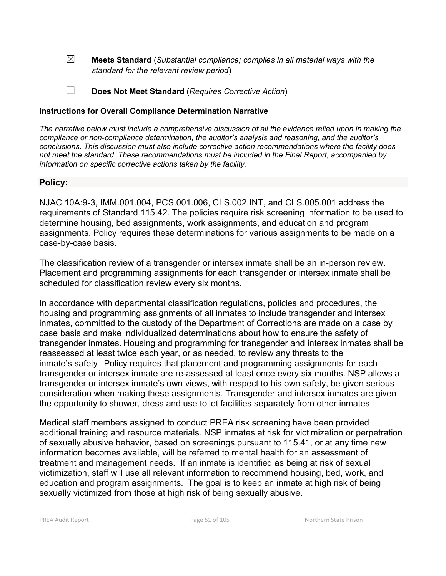☒ **Meets Standard** (*Substantial compliance; complies in all material ways with the standard for the relevant review period*)

☐ **Does Not Meet Standard** (*Requires Corrective Action*)

### **Instructions for Overall Compliance Determination Narrative**

*The narrative below must include a comprehensive discussion of all the evidence relied upon in making the compliance or non-compliance determination, the auditor's analysis and reasoning, and the auditor's conclusions. This discussion must also include corrective action recommendations where the facility does not meet the standard. These recommendations must be included in the Final Report, accompanied by information on specific corrective actions taken by the facility.*

## **Policy:**

NJAC 10A:9-3, IMM.001.004, PCS.001.006, CLS.002.INT, and CLS.005.001 address the requirements of Standard 115.42. The policies require risk screening information to be used to determine housing, bed assignments, work assignments, and education and program assignments. Policy requires these determinations for various assignments to be made on a case-by-case basis.

The classification review of a transgender or intersex inmate shall be an in-person review. Placement and programming assignments for each transgender or intersex inmate shall be scheduled for classification review every six months.

In accordance with departmental classification regulations, policies and procedures, the housing and programming assignments of all inmates to include transgender and intersex inmates, committed to the custody of the Department of Corrections are made on a case by case basis and make individualized determinations about how to ensure the safety of transgender inmates. Housing and programming for transgender and intersex inmates shall be reassessed at least twice each year, or as needed, to review any threats to the inmate's safety. Policy requires that placement and programming assignments for each transgender or intersex inmate are re-assessed at least once every six months. NSP allows a transgender or intersex inmate's own views, with respect to his own safety, be given serious consideration when making these assignments. Transgender and intersex inmates are given the opportunity to shower, dress and use toilet facilities separately from other inmates

Medical staff members assigned to conduct PREA risk screening have been provided additional training and resource materials. NSP inmates at risk for victimization or perpetration of sexually abusive behavior, based on screenings pursuant to 115.41, or at any time new information becomes available, will be referred to mental health for an assessment of treatment and management needs. If an inmate is identified as being at risk of sexual victimization, staff will use all relevant information to recommend housing, bed, work, and education and program assignments. The goal is to keep an inmate at high risk of being sexually victimized from those at high risk of being sexually abusive.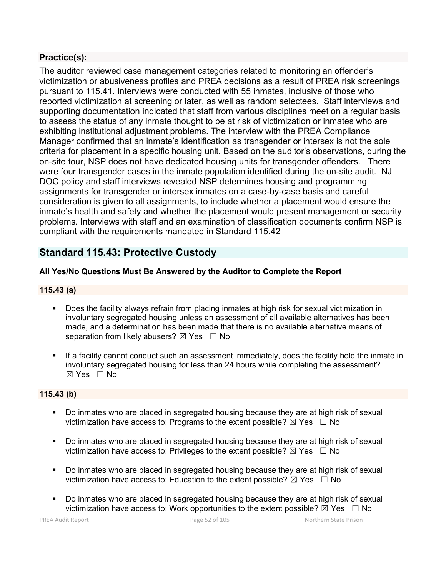# **Practice(s):**

The auditor reviewed case management categories related to monitoring an offender's victimization or abusiveness profiles and PREA decisions as a result of PREA risk screenings pursuant to 115.41. Interviews were conducted with 55 inmates, inclusive of those who reported victimization at screening or later, as well as random selectees. Staff interviews and supporting documentation indicated that staff from various disciplines meet on a regular basis to assess the status of any inmate thought to be at risk of victimization or inmates who are exhibiting institutional adjustment problems. The interview with the PREA Compliance Manager confirmed that an inmate's identification as transgender or intersex is not the sole criteria for placement in a specific housing unit. Based on the auditor's observations, during the on-site tour, NSP does not have dedicated housing units for transgender offenders. There were four transgender cases in the inmate population identified during the on-site audit. NJ DOC policy and staff interviews revealed NSP determines housing and programming assignments for transgender or intersex inmates on a case-by-case basis and careful consideration is given to all assignments, to include whether a placement would ensure the inmate's health and safety and whether the placement would present management or security problems. Interviews with staff and an examination of classification documents confirm NSP is compliant with the requirements mandated in Standard 115.42

# **Standard 115.43: Protective Custody**

# **All Yes/No Questions Must Be Answered by the Auditor to Complete the Report**

## **115.43 (a)**

- Does the facility always refrain from placing inmates at high risk for sexual victimization in involuntary segregated housing unless an assessment of all available alternatives has been made, and a determination has been made that there is no available alternative means of separation from likely abusers?  $\boxtimes$  Yes  $\Box$  No
- If a facility cannot conduct such an assessment immediately, does the facility hold the inmate in involuntary segregated housing for less than 24 hours while completing the assessment?  $\boxtimes$  Yes  $\Box$  No

## **115.43 (b)**

- Do inmates who are placed in segregated housing because they are at high risk of sexual victimization have access to: Programs to the extent possible?  $\boxtimes$  Yes  $\Box$  No
- Do inmates who are placed in segregated housing because they are at high risk of sexual victimization have access to: Privileges to the extent possible?  $\boxtimes$  Yes  $\Box$  No
- Do inmates who are placed in segregated housing because they are at high risk of sexual victimization have access to: Education to the extent possible?  $\boxtimes$  Yes  $\Box$  No
- Do inmates who are placed in segregated housing because they are at high risk of sexual victimization have access to: Work opportunities to the extent possible?  $\boxtimes$  Yes  $\Box$  No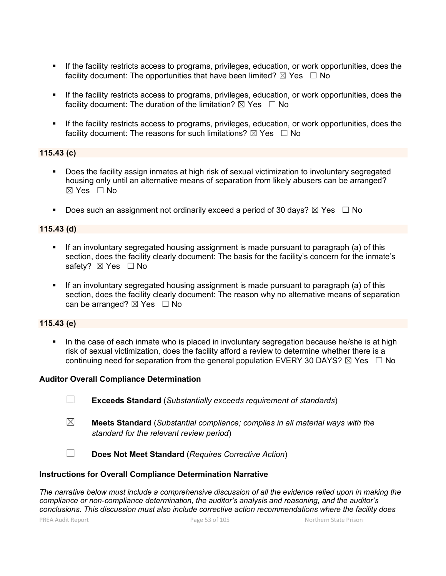- If the facility restricts access to programs, privileges, education, or work opportunities, does the facility document: The opportunities that have been limited?  $\boxtimes$  Yes  $\Box$  No
- **If the facility restricts access to programs, privileges, education, or work opportunities, does the** facility document: The duration of the limitation?  $\boxtimes$  Yes  $\Box$  No
- If the facility restricts access to programs, privileges, education, or work opportunities, does the facility document: The reasons for such limitations?  $\boxtimes$  Yes  $\Box$  No

### **115.43 (c)**

- Does the facility assign inmates at high risk of sexual victimization to involuntary segregated housing only until an alternative means of separation from likely abusers can be arranged?  $\boxtimes$  Yes  $\Box$  No
- Does such an assignment not ordinarily exceed a period of 30 days?  $\boxtimes$  Yes  $\Box$  No

#### **115.43 (d)**

- If an involuntary segregated housing assignment is made pursuant to paragraph (a) of this section, does the facility clearly document: The basis for the facility's concern for the inmate's safety? ⊠ Yes □ No
- If an involuntary segregated housing assignment is made pursuant to paragraph (a) of this section, does the facility clearly document: The reason why no alternative means of separation can be arranged?  $\boxtimes$  Yes  $\Box$  No

#### **115.43 (e)**

In the case of each inmate who is placed in involuntary segregation because he/she is at high risk of sexual victimization, does the facility afford a review to determine whether there is a continuing need for separation from the general population EVERY 30 DAYS?  $\boxtimes$  Yes  $\Box$  No

#### **Auditor Overall Compliance Determination**

- ☐ **Exceeds Standard** (*Substantially exceeds requirement of standards*)
- ☒ **Meets Standard** (*Substantial compliance; complies in all material ways with the standard for the relevant review period*)

☐ **Does Not Meet Standard** (*Requires Corrective Action*)

#### **Instructions for Overall Compliance Determination Narrative**

*The narrative below must include a comprehensive discussion of all the evidence relied upon in making the compliance or non-compliance determination, the auditor's analysis and reasoning, and the auditor's conclusions. This discussion must also include corrective action recommendations where the facility does*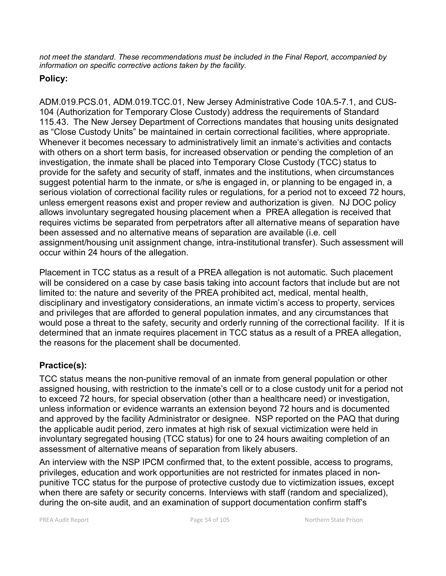*not meet the standard. These recommendations must be included in the Final Report, accompanied by information on specific corrective actions taken by the facility.*

# **Policy:**

ADM.019.PCS.01, ADM.019.TCC.01, New Jersey Administrative Code 10A.5-7.1, and CUS-104 (Authorization for Temporary Close Custody) address the requirements of Standard 115.43. The New Jersey Department of Corrections mandates that housing units designated as "Close Custody Units" be maintained in certain correctional facilities, where appropriate. Whenever it becomes necessary to administratively limit an inmate's activities and contacts with others on a short term basis, for increased observation or pending the completion of an investigation, the inmate shall be placed into Temporary Close Custody (TCC) status to provide for the safety and security of staff, inmates and the institutions, when circumstances suggest potential harm to the inmate, or s/he is engaged in, or planning to be engaged in, a serious violation of correctional facility rules or regulations, for a period not to exceed 72 hours, unless emergent reasons exist and proper review and authorization is given. NJ DOC policy allows involuntary segregated housing placement when a PREA allegation is received that requires victims be separated from perpetrators after all alternative means of separation have been assessed and no alternative means of separation are available (i.e. cell assignment/housing unit assignment change, intra-institutional transfer). Such assessment will occur within 24 hours of the allegation.

Placement in TCC status as a result of a PREA allegation is not automatic. Such placement will be considered on a case by case basis taking into account factors that include but are not limited to: the nature and severity of the PREA prohibited act, medical, mental health, disciplinary and investigatory considerations, an inmate victim's access to property, services and privileges that are afforded to general population inmates, and any circumstances that would pose a threat to the safety, security and orderly running of the correctional facility. If it is determined that an inmate requires placement in TCC status as a result of a PREA allegation, the reasons for the placement shall be documented.

# **Practice(s):**

TCC status means the non-punitive removal of an inmate from general population or other assigned housing, with restriction to the inmate's cell or to a close custody unit for a period not to exceed 72 hours, for special observation (other than a healthcare need) or investigation, unless information or evidence warrants an extension beyond 72 hours and is documented and approved by the facility Administrator or designee. NSP reported on the PAQ that during the applicable audit period, zero inmates at high risk of sexual victimization were held in involuntary segregated housing (TCC status) for one to 24 hours awaiting completion of an assessment of alternative means of separation from likely abusers.

An interview with the NSP IPCM confirmed that, to the extent possible, access to programs, privileges, education and work opportunities are not restricted for inmates placed in nonpunitive TCC status for the purpose of protective custody due to victimization issues, except when there are safety or security concerns. Interviews with staff (random and specialized), during the on-site audit, and an examination of support documentation confirm staff's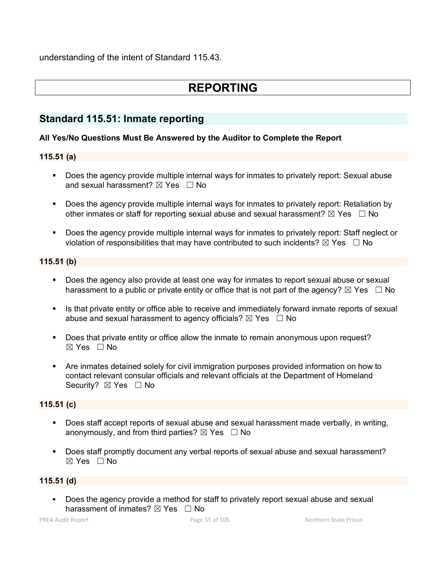understanding of the intent of Standard 115.43.

# **REPORTING**

# **Standard 115.51: Inmate reporting**

### **All Yes/No Questions Must Be Answered by the Auditor to Complete the Report**

# **115.51 (a)**

- **Does the agency provide multiple internal ways for inmates to privately report: Sexual abuse** and sexual harassment?  $\boxtimes$  Yes  $\Box$  No
- **Does the agency provide multiple internal ways for inmates to privately report: Retaliation by** other inmates or staff for reporting sexual abuse and sexual harassment?  $\boxtimes$  Yes  $\Box$  No
- Does the agency provide multiple internal ways for inmates to privately report: Staff neglect or violation of responsibilities that may have contributed to such incidents?  $\boxtimes$  Yes  $\Box$  No

### **115.51 (b)**

- Does the agency also provide at least one way for inmates to report sexual abuse or sexual harassment to a public or private entity or office that is not part of the agency?  $\boxtimes$  Yes  $\Box$  No
- Inter 15 that private entity or office able to receive and immediately forward inmate reports of sexual abuse and sexual harassment to agency officials?  $\boxtimes$  Yes  $\Box$  No
- Does that private entity or office allow the inmate to remain anonymous upon request?  $\boxtimes$  Yes  $\Box$  No
- Are inmates detained solely for civil immigration purposes provided information on how to contact relevant consular officials and relevant officials at the Department of Homeland Security? ⊠ Yes □ No

### **115.51 (c)**

- Does staff accept reports of sexual abuse and sexual harassment made verbally, in writing, anonymously, and from third parties?  $\boxtimes$  Yes  $\Box$  No
- Does staff promptly document any verbal reports of sexual abuse and sexual harassment?  $\boxtimes$  Yes  $\Box$  No

### **115.51 (d)**

 Does the agency provide a method for staff to privately report sexual abuse and sexual harassment of inmates?  $\boxtimes$  Yes  $\Box$  No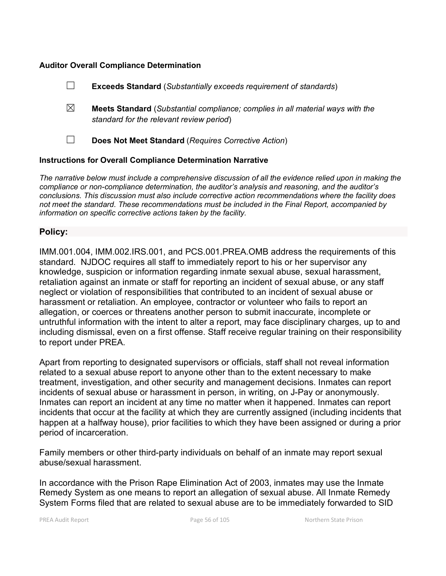#### **Auditor Overall Compliance Determination**

|                                                                    |   | <b>Exceeds Standard</b> (Substantially exceeds requirement of standards)                                                          |
|--------------------------------------------------------------------|---|-----------------------------------------------------------------------------------------------------------------------------------|
|                                                                    | ⊠ | <b>Meets Standard</b> (Substantial compliance; complies in all material ways with the<br>standard for the relevant review period) |
|                                                                    |   | Does Not Meet Standard (Requires Corrective Action)                                                                               |
| <b>Instructions for Overall Compliance Determination Narrative</b> |   |                                                                                                                                   |

*The narrative below must include a comprehensive discussion of all the evidence relied upon in making the compliance or non-compliance determination, the auditor's analysis and reasoning, and the auditor's conclusions. This discussion must also include corrective action recommendations where the facility does not meet the standard. These recommendations must be included in the Final Report, accompanied by information on specific corrective actions taken by the facility.*

### **Policy:**

IMM.001.004, IMM.002.IRS.001, and PCS.001.PREA.OMB address the requirements of this standard. NJDOC requires all staff to immediately report to his or her supervisor any knowledge, suspicion or information regarding inmate sexual abuse, sexual harassment, retaliation against an inmate or staff for reporting an incident of sexual abuse, or any staff neglect or violation of responsibilities that contributed to an incident of sexual abuse or harassment or retaliation. An employee, contractor or volunteer who fails to report an allegation, or coerces or threatens another person to submit inaccurate, incomplete or untruthful information with the intent to alter a report, may face disciplinary charges, up to and including dismissal, even on a first offense. Staff receive regular training on their responsibility to report under PREA.

Apart from reporting to designated supervisors or officials, staff shall not reveal information related to a sexual abuse report to anyone other than to the extent necessary to make treatment, investigation, and other security and management decisions. Inmates can report incidents of sexual abuse or harassment in person, in writing, on J-Pay or anonymously. Inmates can report an incident at any time no matter when it happened. Inmates can report incidents that occur at the facility at which they are currently assigned (including incidents that happen at a halfway house), prior facilities to which they have been assigned or during a prior period of incarceration.

Family members or other third-party individuals on behalf of an inmate may report sexual abuse/sexual harassment.

In accordance with the Prison Rape Elimination Act of 2003, inmates may use the Inmate Remedy System as one means to report an allegation of sexual abuse. All Inmate Remedy System Forms filed that are related to sexual abuse are to be immediately forwarded to SID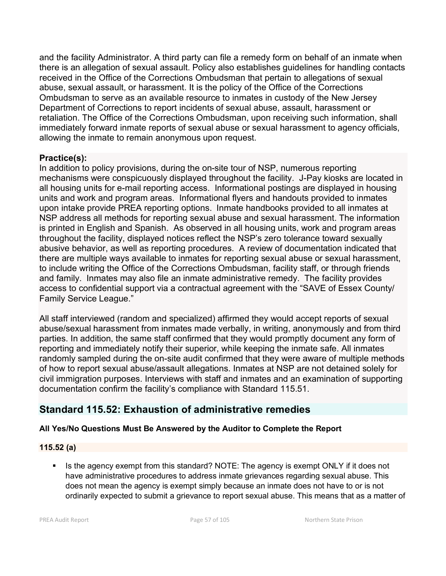and the facility Administrator. A third party can file a remedy form on behalf of an inmate when there is an allegation of sexual assault. Policy also establishes guidelines for handling contacts received in the Office of the Corrections Ombudsman that pertain to allegations of sexual abuse, sexual assault, or harassment. It is the policy of the Office of the Corrections Ombudsman to serve as an available resource to inmates in custody of the New Jersey Department of Corrections to report incidents of sexual abuse, assault, harassment or retaliation. The Office of the Corrections Ombudsman, upon receiving such information, shall immediately forward inmate reports of sexual abuse or sexual harassment to agency officials, allowing the inmate to remain anonymous upon request.

# **Practice(s):**

In addition to policy provisions, during the on-site tour of NSP, numerous reporting mechanisms were conspicuously displayed throughout the facility. J-Pay kiosks are located in all housing units for e-mail reporting access. Informational postings are displayed in housing units and work and program areas. Informational flyers and handouts provided to inmates upon intake provide PREA reporting options. Inmate handbooks provided to all inmates at NSP address all methods for reporting sexual abuse and sexual harassment. The information is printed in English and Spanish. As observed in all housing units, work and program areas throughout the facility, displayed notices reflect the NSP's zero tolerance toward sexually abusive behavior, as well as reporting procedures. A review of documentation indicated that there are multiple ways available to inmates for reporting sexual abuse or sexual harassment, to include writing the Office of the Corrections Ombudsman, facility staff, or through friends and family. Inmates may also file an inmate administrative remedy. The facility provides access to confidential support via a contractual agreement with the "SAVE of Essex County/ Family Service League."

All staff interviewed (random and specialized) affirmed they would accept reports of sexual abuse/sexual harassment from inmates made verbally, in writing, anonymously and from third parties. In addition, the same staff confirmed that they would promptly document any form of reporting and immediately notify their superior, while keeping the inmate safe. All inmates randomly sampled during the on-site audit confirmed that they were aware of multiple methods of how to report sexual abuse/assault allegations. Inmates at NSP are not detained solely for civil immigration purposes. Interviews with staff and inmates and an examination of supporting documentation confirm the facility's compliance with Standard 115.51.

# **Standard 115.52: Exhaustion of administrative remedies**

# **All Yes/No Questions Must Be Answered by the Auditor to Complete the Report**

# **115.52 (a)**

 Is the agency exempt from this standard? NOTE: The agency is exempt ONLY if it does not have administrative procedures to address inmate grievances regarding sexual abuse. This does not mean the agency is exempt simply because an inmate does not have to or is not ordinarily expected to submit a grievance to report sexual abuse. This means that as a matter of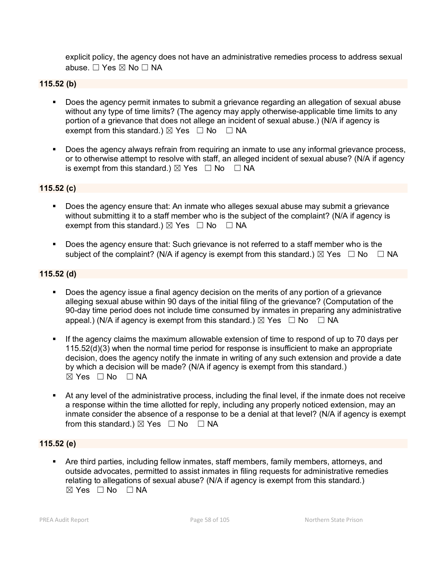explicit policy, the agency does not have an administrative remedies process to address sexual abuse. ☐ Yes ☒ No ☐ NA

### **115.52 (b)**

- Does the agency permit inmates to submit a grievance regarding an allegation of sexual abuse without any type of time limits? (The agency may apply otherwise-applicable time limits to any portion of a grievance that does not allege an incident of sexual abuse.) (N/A if agency is exempt from this standard.)  $\boxtimes$  Yes  $\Box$  No  $\Box$  NA
- Does the agency always refrain from requiring an inmate to use any informal grievance process, or to otherwise attempt to resolve with staff, an alleged incident of sexual abuse? (N/A if agency is exempt from this standard.)  $\boxtimes$  Yes  $\Box$  No  $\Box$  NA

#### **115.52 (c)**

- Does the agency ensure that: An inmate who alleges sexual abuse may submit a grievance without submitting it to a staff member who is the subject of the complaint? (N/A if agency is exempt from this standard.)  $\boxtimes$  Yes  $\Box$  No  $\Box$  NA
- Does the agency ensure that: Such grievance is not referred to a staff member who is the subject of the complaint? (N/A if agency is exempt from this standard.)  $\boxtimes$  Yes  $\Box$  No  $\Box$  NA

#### **115.52 (d)**

- Does the agency issue a final agency decision on the merits of any portion of a grievance alleging sexual abuse within 90 days of the initial filing of the grievance? (Computation of the 90-day time period does not include time consumed by inmates in preparing any administrative appeal.) (N/A if agency is exempt from this standard.)  $\boxtimes$  Yes  $\Box$  No  $\Box$  NA
- If the agency claims the maximum allowable extension of time to respond of up to 70 days per 115.52(d)(3) when the normal time period for response is insufficient to make an appropriate decision, does the agency notify the inmate in writing of any such extension and provide a date by which a decision will be made? (N/A if agency is exempt from this standard.)  $\boxtimes$  Yes  $\Box$  No  $\Box$  NA
- At any level of the administrative process, including the final level, if the inmate does not receive a response within the time allotted for reply, including any properly noticed extension, may an inmate consider the absence of a response to be a denial at that level? (N/A if agency is exempt from this standard.)  $\boxtimes$  Yes  $\Box$  No  $\Box$  NA

### **115.52 (e)**

 Are third parties, including fellow inmates, staff members, family members, attorneys, and outside advocates, permitted to assist inmates in filing requests for administrative remedies relating to allegations of sexual abuse? (N/A if agency is exempt from this standard.)  $\boxtimes$  Yes  $\Box$  No  $\Box$  NA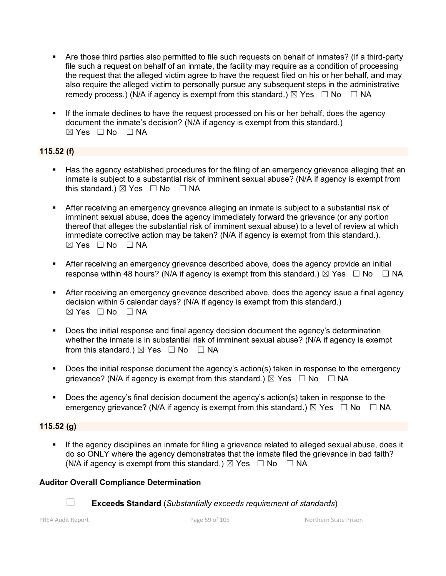- Are those third parties also permitted to file such requests on behalf of inmates? (If a third-party file such a request on behalf of an inmate, the facility may require as a condition of processing the request that the alleged victim agree to have the request filed on his or her behalf, and may also require the alleged victim to personally pursue any subsequent steps in the administrative remedy process.) (N/A if agency is exempt from this standard.)  $\boxtimes$  Yes  $\Box$  No  $\Box$  NA
- If the inmate declines to have the request processed on his or her behalf, does the agency document the inmate's decision? (N/A if agency is exempt from this standard.)  $\boxtimes$  Yes  $\Box$  No  $\Box$  NA

## **115.52 (f)**

- Has the agency established procedures for the filing of an emergency grievance alleging that an inmate is subject to a substantial risk of imminent sexual abuse? (N/A if agency is exempt from this standard.)  $\boxtimes$  Yes  $\Box$  No  $\Box$  NA
- After receiving an emergency grievance alleging an inmate is subject to a substantial risk of imminent sexual abuse, does the agency immediately forward the grievance (or any portion thereof that alleges the substantial risk of imminent sexual abuse) to a level of review at which immediate corrective action may be taken? (N/A if agency is exempt from this standard.).  $\boxtimes$  Yes  $\Box$  No  $\Box$  NA
- After receiving an emergency grievance described above, does the agency provide an initial response within 48 hours? (N/A if agency is exempt from this standard.)  $\boxtimes$  Yes  $\Box$  No  $\Box$  NA
- After receiving an emergency grievance described above, does the agency issue a final agency decision within 5 calendar days? (N/A if agency is exempt from this standard.)  $\boxtimes$  Yes  $\Box$  No  $\Box$  NA
- Does the initial response and final agency decision document the agency's determination whether the inmate is in substantial risk of imminent sexual abuse? (N/A if agency is exempt from this standard.)  $\boxtimes$  Yes  $\Box$  No  $\Box$  NA
- Does the initial response document the agency's action(s) taken in response to the emergency grievance? (N/A if agency is exempt from this standard.)  $\boxtimes$  Yes  $\Box$  No  $\Box$  NA
- Does the agency's final decision document the agency's action(s) taken in response to the emergency grievance? (N/A if agency is exempt from this standard.)  $\boxtimes$  Yes  $\Box$  No  $\Box$  NA

### **115.52 (g)**

 If the agency disciplines an inmate for filing a grievance related to alleged sexual abuse, does it do so ONLY where the agency demonstrates that the inmate filed the grievance in bad faith? (N/A if agency is exempt from this standard.)  $\boxtimes$  Yes  $\Box$  No  $\Box$  NA

### **Auditor Overall Compliance Determination**



☐ **Exceeds Standard** (*Substantially exceeds requirement of standards*)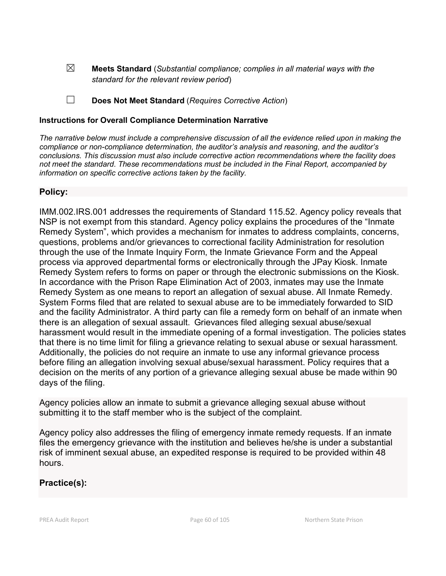☒ **Meets Standard** (*Substantial compliance; complies in all material ways with the standard for the relevant review period*)

☐ **Does Not Meet Standard** (*Requires Corrective Action*)

### **Instructions for Overall Compliance Determination Narrative**

*The narrative below must include a comprehensive discussion of all the evidence relied upon in making the compliance or non-compliance determination, the auditor's analysis and reasoning, and the auditor's conclusions. This discussion must also include corrective action recommendations where the facility does not meet the standard. These recommendations must be included in the Final Report, accompanied by information on specific corrective actions taken by the facility.*

## **Policy:**

IMM.002.IRS.001 addresses the requirements of Standard 115.52. Agency policy reveals that NSP is not exempt from this standard. Agency policy explains the procedures of the "Inmate Remedy System", which provides a mechanism for inmates to address complaints, concerns, questions, problems and/or grievances to correctional facility Administration for resolution through the use of the Inmate Inquiry Form, the Inmate Grievance Form and the Appeal process via approved departmental forms or electronically through the JPay Kiosk. Inmate Remedy System refers to forms on paper or through the electronic submissions on the Kiosk. In accordance with the Prison Rape Elimination Act of 2003, inmates may use the Inmate Remedy System as one means to report an allegation of sexual abuse. All Inmate Remedy. System Forms filed that are related to sexual abuse are to be immediately forwarded to SID and the facility Administrator. A third party can file a remedy form on behalf of an inmate when there is an allegation of sexual assault. Grievances filed alleging sexual abuse/sexual harassment would result in the immediate opening of a formal investigation. The policies states that there is no time limit for filing a grievance relating to sexual abuse or sexual harassment. Additionally, the policies do not require an inmate to use any informal grievance process before filing an allegation involving sexual abuse/sexual harassment. Policy requires that a decision on the merits of any portion of a grievance alleging sexual abuse be made within 90 days of the filing.

Agency policies allow an inmate to submit a grievance alleging sexual abuse without submitting it to the staff member who is the subject of the complaint.

Agency policy also addresses the filing of emergency inmate remedy requests. If an inmate files the emergency grievance with the institution and believes he/she is under a substantial risk of imminent sexual abuse, an expedited response is required to be provided within 48 hours.

# **Practice(s):**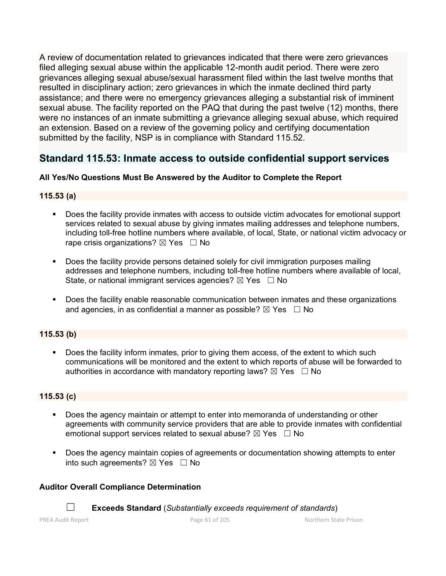A review of documentation related to grievances indicated that there were zero grievances filed alleging sexual abuse within the applicable 12-month audit period. There were zero grievances alleging sexual abuse/sexual harassment filed within the last twelve months that resulted in disciplinary action; zero grievances in which the inmate declined third party assistance; and there were no emergency grievances alleging a substantial risk of imminent sexual abuse. The facility reported on the PAQ that during the past twelve (12) months, there were no instances of an inmate submitting a grievance alleging sexual abuse, which required an extension. Based on a review of the governing policy and certifying documentation submitted by the facility, NSP is in compliance with Standard 115.52.

# **Standard 115.53: Inmate access to outside confidential support services**

# **All Yes/No Questions Must Be Answered by the Auditor to Complete the Report**

## **115.53 (a)**

- Does the facility provide inmates with access to outside victim advocates for emotional support services related to sexual abuse by giving inmates mailing addresses and telephone numbers, including toll-free hotline numbers where available, of local, State, or national victim advocacy or rape crisis organizations?  $\boxtimes$  Yes  $\Box$  No
- **Does the facility provide persons detained solely for civil immigration purposes mailing** addresses and telephone numbers, including toll-free hotline numbers where available of local, State, or national immigrant services agencies?  $\boxtimes$  Yes  $\Box$  No
- **Does the facility enable reasonable communication between inmates and these organizations** and agencies, in as confidential a manner as possible?  $\boxtimes$  Yes  $\Box$  No

# **115.53 (b)**

 Does the facility inform inmates, prior to giving them access, of the extent to which such communications will be monitored and the extent to which reports of abuse will be forwarded to authorities in accordance with mandatory reporting laws?  $\boxtimes$  Yes  $\Box$  No

## **115.53 (c)**

- Does the agency maintain or attempt to enter into memoranda of understanding or other agreements with community service providers that are able to provide inmates with confidential emotional support services related to sexual abuse?  $\boxtimes$  Yes  $\Box$  No
- Does the agency maintain copies of agreements or documentation showing attempts to enter into such agreements?  $\boxtimes$  Yes  $\Box$  No

## **Auditor Overall Compliance Determination**

☐ **Exceeds Standard** (*Substantially exceeds requirement of standards*)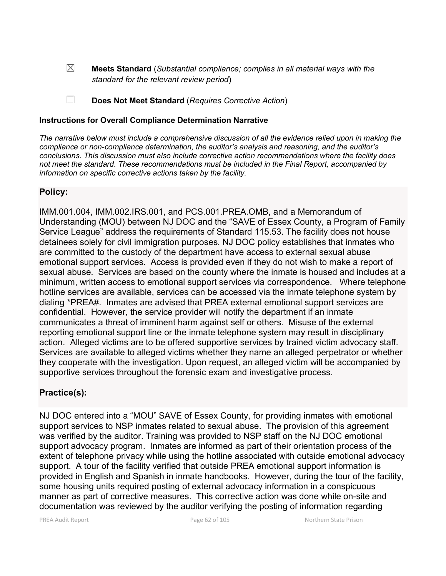☒ **Meets Standard** (*Substantial compliance; complies in all material ways with the standard for the relevant review period*)

☐ **Does Not Meet Standard** (*Requires Corrective Action*)

### **Instructions for Overall Compliance Determination Narrative**

*The narrative below must include a comprehensive discussion of all the evidence relied upon in making the compliance or non-compliance determination, the auditor's analysis and reasoning, and the auditor's conclusions. This discussion must also include corrective action recommendations where the facility does not meet the standard. These recommendations must be included in the Final Report, accompanied by information on specific corrective actions taken by the facility.*

## **Policy:**

IMM.001.004, IMM.002.IRS.001, and PCS.001.PREA.OMB, and a Memorandum of Understanding (MOU) between NJ DOC and the "SAVE of Essex County, a Program of Family Service League" address the requirements of Standard 115.53. The facility does not house detainees solely for civil immigration purposes. NJ DOC policy establishes that inmates who are committed to the custody of the department have access to external sexual abuse emotional support services. Access is provided even if they do not wish to make a report of sexual abuse. Services are based on the county where the inmate is housed and includes at a minimum, written access to emotional support services via correspondence. Where telephone hotline services are available, services can be accessed via the inmate telephone system by dialing \*PREA#. Inmates are advised that PREA external emotional support services are confidential. However, the service provider will notify the department if an inmate communicates a threat of imminent harm against self or others. Misuse of the external reporting emotional support line or the inmate telephone system may result in disciplinary action. Alleged victims are to be offered supportive services by trained victim advocacy staff. Services are available to alleged victims whether they name an alleged perpetrator or whether they cooperate with the investigation. Upon request, an alleged victim will be accompanied by supportive services throughout the forensic exam and investigative process.

# **Practice(s):**

NJ DOC entered into a "MOU" SAVE of Essex County, for providing inmates with emotional support services to NSP inmates related to sexual abuse. The provision of this agreement was verified by the auditor. Training was provided to NSP staff on the NJ DOC emotional support advocacy program. Inmates are informed as part of their orientation process of the extent of telephone privacy while using the hotline associated with outside emotional advocacy support. A tour of the facility verified that outside PREA emotional support information is provided in English and Spanish in inmate handbooks. However, during the tour of the facility, some housing units required posting of external advocacy information in a conspicuous manner as part of corrective measures. This corrective action was done while on-site and documentation was reviewed by the auditor verifying the posting of information regarding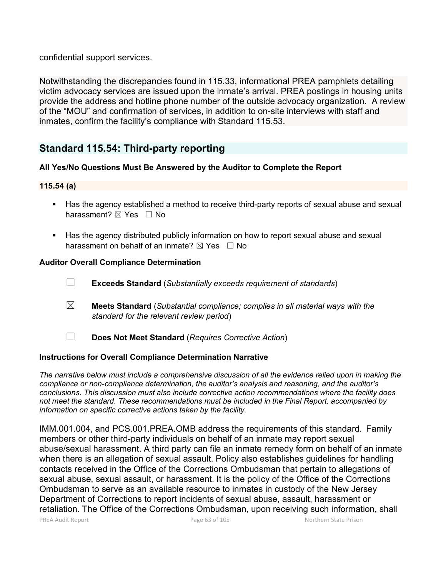confidential support services.

Notwithstanding the discrepancies found in 115.33, informational PREA pamphlets detailing victim advocacy services are issued upon the inmate's arrival. PREA postings in housing units provide the address and hotline phone number of the outside advocacy organization. A review of the "MOU" and confirmation of services, in addition to on-site interviews with staff and inmates, confirm the facility's compliance with Standard 115.53.

# **Standard 115.54: Third-party reporting**

# **All Yes/No Questions Must Be Answered by the Auditor to Complete the Report**

## **115.54 (a)**

- Has the agency established a method to receive third-party reports of sexual abuse and sexual harassment? ⊠ Yes □ No
- **Has the agency distributed publicly information on how to report sexual abuse and sexual** harassment on behalf of an inmate?  $\boxtimes$  Yes  $\Box$  No

## **Auditor Overall Compliance Determination**

- ☐ **Exceeds Standard** (*Substantially exceeds requirement of standards*)
- ☒ **Meets Standard** (*Substantial compliance; complies in all material ways with the standard for the relevant review period*)
- ☐ **Does Not Meet Standard** (*Requires Corrective Action*)

# **Instructions for Overall Compliance Determination Narrative**

*The narrative below must include a comprehensive discussion of all the evidence relied upon in making the compliance or non-compliance determination, the auditor's analysis and reasoning, and the auditor's conclusions. This discussion must also include corrective action recommendations where the facility does not meet the standard. These recommendations must be included in the Final Report, accompanied by information on specific corrective actions taken by the facility.*

PREA Audit Report **Page 63 of 105** Page 63 of 105 Northern State Prison IMM.001.004, and PCS.001.PREA.OMB address the requirements of this standard. Family members or other third-party individuals on behalf of an inmate may report sexual abuse/sexual harassment. A third party can file an inmate remedy form on behalf of an inmate when there is an allegation of sexual assault. Policy also establishes guidelines for handling contacts received in the Office of the Corrections Ombudsman that pertain to allegations of sexual abuse, sexual assault, or harassment. It is the policy of the Office of the Corrections Ombudsman to serve as an available resource to inmates in custody of the New Jersey Department of Corrections to report incidents of sexual abuse, assault, harassment or retaliation. The Office of the Corrections Ombudsman, upon receiving such information, shall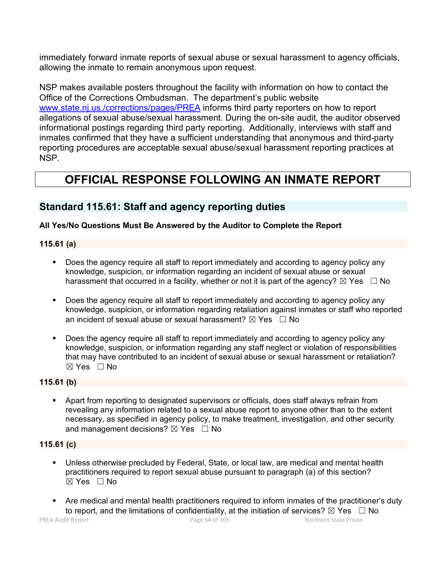immediately forward inmate reports of sexual abuse or sexual harassment to agency officials, allowing the inmate to remain anonymous upon request.

NSP makes available posters throughout the facility with information on how to contact the Office of the Corrections Ombudsman. The department's public website [www.state.nj.us./corrections/pages/PREA](http://www.state.nj.us./corrections/pages/PREA) informs third party reporters on how to report allegations of sexual abuse/sexual harassment. During the on-site audit, the auditor observed informational postings regarding third party reporting. Additionally, interviews with staff and inmates confirmed that they have a sufficient understanding that anonymous and third-party reporting procedures are acceptable sexual abuse/sexual harassment reporting practices at NSP.

# **OFFICIAL RESPONSE FOLLOWING AN INMATE REPORT**

# **Standard 115.61: Staff and agency reporting duties**

# **All Yes/No Questions Must Be Answered by the Auditor to Complete the Report**

**115.61 (a)**

- Does the agency require all staff to report immediately and according to agency policy any knowledge, suspicion, or information regarding an incident of sexual abuse or sexual harassment that occurred in a facility, whether or not it is part of the agency?  $\boxtimes$  Yes  $\Box$  No
- Does the agency require all staff to report immediately and according to agency policy any knowledge, suspicion, or information regarding retaliation against inmates or staff who reported an incident of sexual abuse or sexual harassment?  $\boxtimes$  Yes  $\Box$  No
- Does the agency require all staff to report immediately and according to agency policy any knowledge, suspicion, or information regarding any staff neglect or violation of responsibilities that may have contributed to an incident of sexual abuse or sexual harassment or retaliation?  $\boxtimes$  Yes  $\Box$  No

# **115.61 (b)**

 Apart from reporting to designated supervisors or officials, does staff always refrain from revealing any information related to a sexual abuse report to anyone other than to the extent necessary, as specified in agency policy, to make treatment, investigation, and other security and management decisions?  $\boxtimes$  Yes  $\Box$  No

## **115.61 (c)**

- Unless otherwise precluded by Federal, State, or local law, are medical and mental health practitioners required to report sexual abuse pursuant to paragraph (a) of this section? ☒ Yes ☐ No
- Are medical and mental health practitioners required to inform inmates of the practitioner's duty to report, and the limitations of confidentiality, at the initiation of services?  $\boxtimes$  Yes  $\Box$  No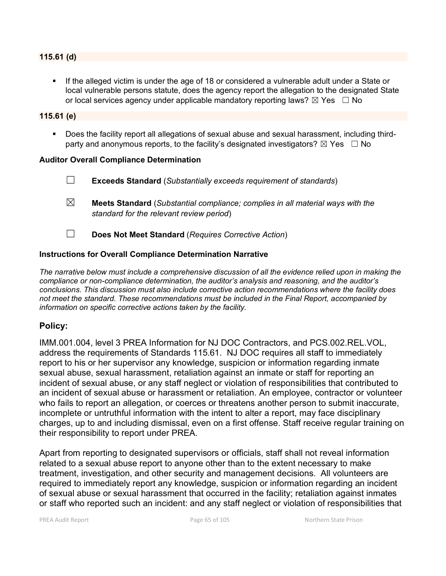#### **115.61 (d)**

 If the alleged victim is under the age of 18 or considered a vulnerable adult under a State or local vulnerable persons statute, does the agency report the allegation to the designated State or local services agency under applicable mandatory reporting laws?  $\boxtimes$  Yes  $\Box$  No

#### **115.61 (e)**

 Does the facility report all allegations of sexual abuse and sexual harassment, including thirdparty and anonymous reports, to the facility's designated investigators?  $\boxtimes$  Yes  $\Box$  No

#### **Auditor Overall Compliance Determination**

|   | <b>Exceeds Standard</b> (Substantially exceeds requirement of standards)                                                          |
|---|-----------------------------------------------------------------------------------------------------------------------------------|
| ⊠ | <b>Meets Standard</b> (Substantial compliance; complies in all material ways with the<br>standard for the relevant review period) |
|   | Does Not Meet Standard (Requires Corrective Action)                                                                               |

#### **Instructions for Overall Compliance Determination Narrative**

*The narrative below must include a comprehensive discussion of all the evidence relied upon in making the compliance or non-compliance determination, the auditor's analysis and reasoning, and the auditor's conclusions. This discussion must also include corrective action recommendations where the facility does not meet the standard. These recommendations must be included in the Final Report, accompanied by information on specific corrective actions taken by the facility.*

## **Policy:**

IMM.001.004, level 3 PREA Information for NJ DOC Contractors, and PCS.002.REL.VOL, address the requirements of Standards 115.61. NJ DOC requires all staff to immediately report to his or her supervisor any knowledge, suspicion or information regarding inmate sexual abuse, sexual harassment, retaliation against an inmate or staff for reporting an incident of sexual abuse, or any staff neglect or violation of responsibilities that contributed to an incident of sexual abuse or harassment or retaliation. An employee, contractor or volunteer who fails to report an allegation, or coerces or threatens another person to submit inaccurate, incomplete or untruthful information with the intent to alter a report, may face disciplinary charges, up to and including dismissal, even on a first offense. Staff receive regular training on their responsibility to report under PREA.

Apart from reporting to designated supervisors or officials, staff shall not reveal information related to a sexual abuse report to anyone other than to the extent necessary to make treatment, investigation, and other security and management decisions. All volunteers are required to immediately report any knowledge, suspicion or information regarding an incident of sexual abuse or sexual harassment that occurred in the facility; retaliation against inmates or staff who reported such an incident: and any staff neglect or violation of responsibilities that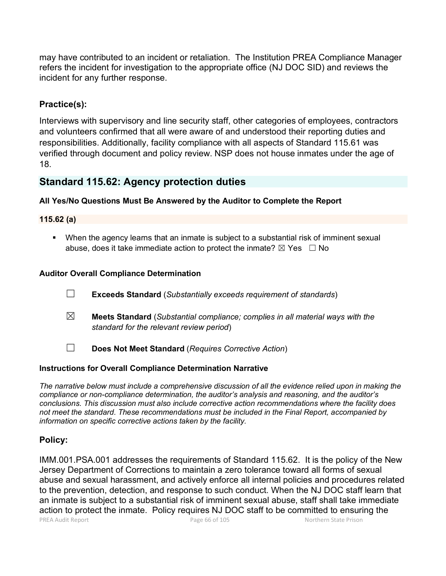may have contributed to an incident or retaliation. The Institution PREA Compliance Manager refers the incident for investigation to the appropriate office (NJ DOC SID) and reviews the incident for any further response.

# **Practice(s):**

Interviews with supervisory and line security staff, other categories of employees, contractors and volunteers confirmed that all were aware of and understood their reporting duties and responsibilities. Additionally, facility compliance with all aspects of Standard 115.61 was verified through document and policy review. NSP does not house inmates under the age of 18.

# **Standard 115.62: Agency protection duties**

### **All Yes/No Questions Must Be Answered by the Auditor to Complete the Report**

#### **115.62 (a)**

 When the agency learns that an inmate is subject to a substantial risk of imminent sexual abuse, does it take immediate action to protect the inmate?  $\boxtimes$  Yes  $\Box$  No

### **Auditor Overall Compliance Determination**

- ☐ **Exceeds Standard** (*Substantially exceeds requirement of standards*)
- ☒ **Meets Standard** (*Substantial compliance; complies in all material ways with the standard for the relevant review period*)
- ☐ **Does Not Meet Standard** (*Requires Corrective Action*)

### **Instructions for Overall Compliance Determination Narrative**

*The narrative below must include a comprehensive discussion of all the evidence relied upon in making the compliance or non-compliance determination, the auditor's analysis and reasoning, and the auditor's conclusions. This discussion must also include corrective action recommendations where the facility does not meet the standard. These recommendations must be included in the Final Report, accompanied by information on specific corrective actions taken by the facility.*

## **Policy:**

PREA Audit Report **Page 66 of 105** Page 66 of 105 Northern State Prison IMM.001.PSA.001 addresses the requirements of Standard 115.62. It is the policy of the New Jersey Department of Corrections to maintain a zero tolerance toward all forms of sexual abuse and sexual harassment, and actively enforce all internal policies and procedures related to the prevention, detection, and response to such conduct. When the NJ DOC staff learn that an inmate is subject to a substantial risk of imminent sexual abuse, staff shall take immediate action to protect the inmate. Policy requires NJ DOC staff to be committed to ensuring the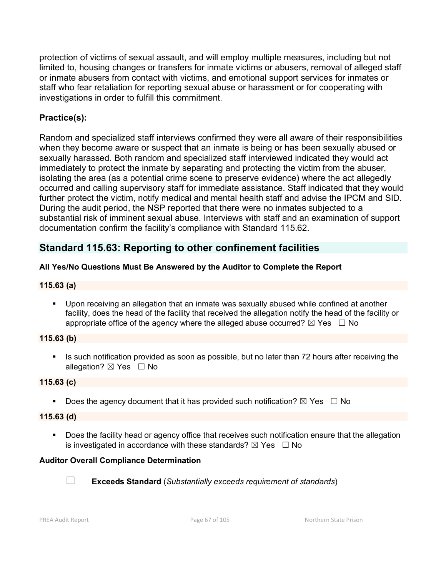protection of victims of sexual assault, and will employ multiple measures, including but not limited to, housing changes or transfers for inmate victims or abusers, removal of alleged staff or inmate abusers from contact with victims, and emotional support services for inmates or staff who fear retaliation for reporting sexual abuse or harassment or for cooperating with investigations in order to fulfill this commitment.

# **Practice(s):**

Random and specialized staff interviews confirmed they were all aware of their responsibilities when they become aware or suspect that an inmate is being or has been sexually abused or sexually harassed. Both random and specialized staff interviewed indicated they would act immediately to protect the inmate by separating and protecting the victim from the abuser, isolating the area (as a potential crime scene to preserve evidence) where the act allegedly occurred and calling supervisory staff for immediate assistance. Staff indicated that they would further protect the victim, notify medical and mental health staff and advise the IPCM and SID. During the audit period, the NSP reported that there were no inmates subjected to a substantial risk of imminent sexual abuse. Interviews with staff and an examination of support documentation confirm the facility's compliance with Standard 115.62.

# **Standard 115.63: Reporting to other confinement facilities**

# **All Yes/No Questions Must Be Answered by the Auditor to Complete the Report**

### **115.63 (a)**

 Upon receiving an allegation that an inmate was sexually abused while confined at another facility, does the head of the facility that received the allegation notify the head of the facility or appropriate office of the agency where the alleged abuse occurred?  $\boxtimes$  Yes  $\Box$  No

### **115.63 (b)**

Is such notification provided as soon as possible, but no later than 72 hours after receiving the allegation?  $\boxtimes$  Yes  $\Box$  No

## **115.63 (c)**

Does the agency document that it has provided such notification?  $\boxtimes$  Yes  $\Box$  No

### **115.63 (d)**

Does the facility head or agency office that receives such notification ensure that the allegation is investigated in accordance with these standards?  $\boxtimes$  Yes  $\Box$  No

## **Auditor Overall Compliance Determination**



☐ **Exceeds Standard** (*Substantially exceeds requirement of standards*)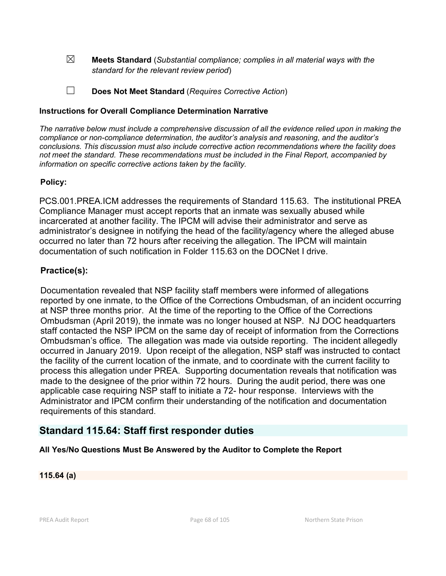☒ **Meets Standard** (*Substantial compliance; complies in all material ways with the standard for the relevant review period*)

☐ **Does Not Meet Standard** (*Requires Corrective Action*)

### **Instructions for Overall Compliance Determination Narrative**

*The narrative below must include a comprehensive discussion of all the evidence relied upon in making the compliance or non-compliance determination, the auditor's analysis and reasoning, and the auditor's conclusions. This discussion must also include corrective action recommendations where the facility does not meet the standard. These recommendations must be included in the Final Report, accompanied by information on specific corrective actions taken by the facility.*

## **Policy:**

PCS.001.PREA.ICM addresses the requirements of Standard 115.63. The institutional PREA Compliance Manager must accept reports that an inmate was sexually abused while incarcerated at another facility. The IPCM will advise their administrator and serve as administrator's designee in notifying the head of the facility/agency where the alleged abuse occurred no later than 72 hours after receiving the allegation. The IPCM will maintain documentation of such notification in Folder 115.63 on the DOCNet I drive.

# **Practice(s):**

Documentation revealed that NSP facility staff members were informed of allegations reported by one inmate, to the Office of the Corrections Ombudsman, of an incident occurring at NSP three months prior. At the time of the reporting to the Office of the Corrections Ombudsman (April 2019), the inmate was no longer housed at NSP. NJ DOC headquarters staff contacted the NSP IPCM on the same day of receipt of information from the Corrections Ombudsman's office. The allegation was made via outside reporting. The incident allegedly occurred in January 2019. Upon receipt of the allegation, NSP staff was instructed to contact the facility of the current location of the inmate, and to coordinate with the current facility to process this allegation under PREA. Supporting documentation reveals that notification was made to the designee of the prior within 72 hours. During the audit period, there was one applicable case requiring NSP staff to initiate a 72- hour response. Interviews with the Administrator and IPCM confirm their understanding of the notification and documentation requirements of this standard.

# **Standard 115.64: Staff first responder duties**

## **All Yes/No Questions Must Be Answered by the Auditor to Complete the Report**

### **115.64 (a)**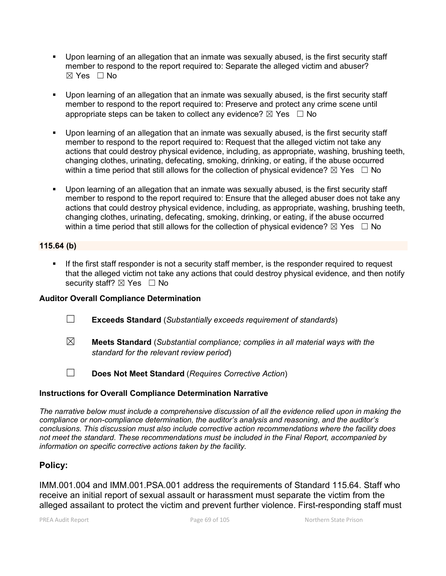- Upon learning of an allegation that an inmate was sexually abused, is the first security staff member to respond to the report required to: Separate the alleged victim and abuser? ☒ Yes ☐ No
- Upon learning of an allegation that an inmate was sexually abused, is the first security staff member to respond to the report required to: Preserve and protect any crime scene until appropriate steps can be taken to collect any evidence?  $\boxtimes$  Yes  $\Box$  No
- Upon learning of an allegation that an inmate was sexually abused, is the first security staff member to respond to the report required to: Request that the alleged victim not take any actions that could destroy physical evidence, including, as appropriate, washing, brushing teeth, changing clothes, urinating, defecating, smoking, drinking, or eating, if the abuse occurred within a time period that still allows for the collection of physical evidence?  $\boxtimes$  Yes  $\Box$  No
- Upon learning of an allegation that an inmate was sexually abused, is the first security staff member to respond to the report required to: Ensure that the alleged abuser does not take any actions that could destroy physical evidence, including, as appropriate, washing, brushing teeth, changing clothes, urinating, defecating, smoking, drinking, or eating, if the abuse occurred within a time period that still allows for the collection of physical evidence?  $\boxtimes$  Yes  $\Box$  No

## **115.64 (b)**

**If the first staff responder is not a security staff member, is the responder required to request** that the alleged victim not take any actions that could destroy physical evidence, and then notify security staff? ⊠ Yes □ No

### **Auditor Overall Compliance Determination**

- ☐ **Exceeds Standard** (*Substantially exceeds requirement of standards*)
- ☒ **Meets Standard** (*Substantial compliance; complies in all material ways with the standard for the relevant review period*)
- 
- ☐ **Does Not Meet Standard** (*Requires Corrective Action*)

### **Instructions for Overall Compliance Determination Narrative**

*The narrative below must include a comprehensive discussion of all the evidence relied upon in making the compliance or non-compliance determination, the auditor's analysis and reasoning, and the auditor's conclusions. This discussion must also include corrective action recommendations where the facility does not meet the standard. These recommendations must be included in the Final Report, accompanied by information on specific corrective actions taken by the facility.*

## **Policy:**

IMM.001.004 and IMM.001.PSA.001 address the requirements of Standard 115.64. Staff who receive an initial report of sexual assault or harassment must separate the victim from the alleged assailant to protect the victim and prevent further violence. First-responding staff must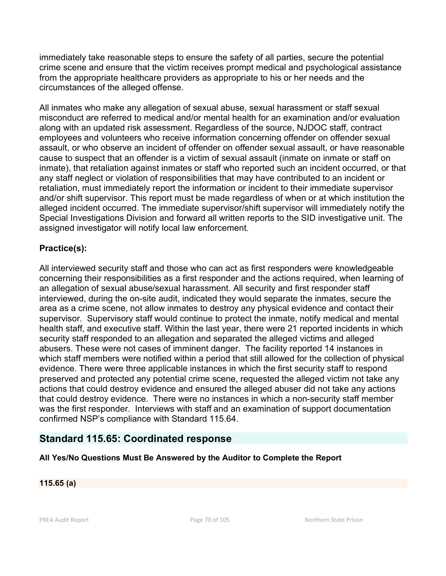immediately take reasonable steps to ensure the safety of all parties, secure the potential crime scene and ensure that the victim receives prompt medical and psychological assistance from the appropriate healthcare providers as appropriate to his or her needs and the circumstances of the alleged offense.

All inmates who make any allegation of sexual abuse, sexual harassment or staff sexual misconduct are referred to medical and/or mental health for an examination and/or evaluation along with an updated risk assessment. Regardless of the source, NJDOC staff, contract employees and volunteers who receive information concerning offender on offender sexual assault, or who observe an incident of offender on offender sexual assault, or have reasonable cause to suspect that an offender is a victim of sexual assault (inmate on inmate or staff on inmate), that retaliation against inmates or staff who reported such an incident occurred, or that any staff neglect or violation of responsibilities that may have contributed to an incident or retaliation, must immediately report the information or incident to their immediate supervisor and/or shift supervisor. This report must be made regardless of when or at which institution the alleged incident occurred. The immediate supervisor/shift supervisor will immediately notify the Special Investigations Division and forward all written reports to the SID investigative unit. The assigned investigator will notify local law enforcement.

# **Practice(s):**

All interviewed security staff and those who can act as first responders were knowledgeable concerning their responsibilities as a first responder and the actions required, when learning of an allegation of sexual abuse/sexual harassment. All security and first responder staff interviewed, during the on-site audit, indicated they would separate the inmates, secure the area as a crime scene, not allow inmates to destroy any physical evidence and contact their supervisor. Supervisory staff would continue to protect the inmate, notify medical and mental health staff, and executive staff. Within the last year, there were 21 reported incidents in which security staff responded to an allegation and separated the alleged victims and alleged abusers. These were not cases of imminent danger. The facility reported 14 instances in which staff members were notified within a period that still allowed for the collection of physical evidence. There were three applicable instances in which the first security staff to respond preserved and protected any potential crime scene, requested the alleged victim not take any actions that could destroy evidence and ensured the alleged abuser did not take any actions that could destroy evidence. There were no instances in which a non-security staff member was the first responder. Interviews with staff and an examination of support documentation confirmed NSP's compliance with Standard 115.64.

# **Standard 115.65: Coordinated response**

# **All Yes/No Questions Must Be Answered by the Auditor to Complete the Report**

### **115.65 (a)**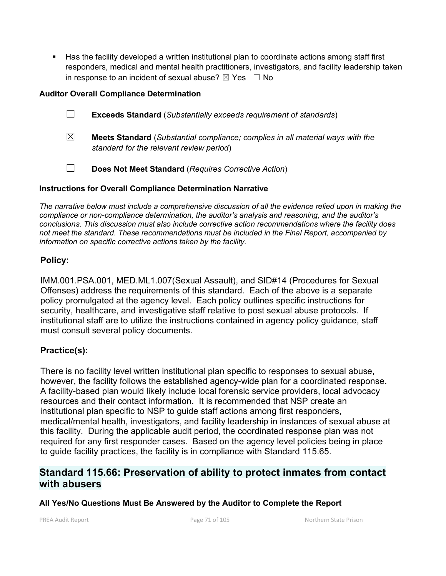Has the facility developed a written institutional plan to coordinate actions among staff first responders, medical and mental health practitioners, investigators, and facility leadership taken in response to an incident of sexual abuse?  $\boxtimes$  Yes  $\Box$  No

## **Auditor Overall Compliance Determination**

- ☐ **Exceeds Standard** (*Substantially exceeds requirement of standards*)
- ☒ **Meets Standard** (*Substantial compliance; complies in all material ways with the standard for the relevant review period*)
- ☐ **Does Not Meet Standard** (*Requires Corrective Action*)

# **Instructions for Overall Compliance Determination Narrative**

*The narrative below must include a comprehensive discussion of all the evidence relied upon in making the compliance or non-compliance determination, the auditor's analysis and reasoning, and the auditor's conclusions. This discussion must also include corrective action recommendations where the facility does not meet the standard. These recommendations must be included in the Final Report, accompanied by information on specific corrective actions taken by the facility.*

# **Policy:**

IMM.001.PSA.001, MED.ML1.007(Sexual Assault), and SID#14 (Procedures for Sexual Offenses) address the requirements of this standard. Each of the above is a separate policy promulgated at the agency level. Each policy outlines specific instructions for security, healthcare, and investigative staff relative to post sexual abuse protocols. If institutional staff are to utilize the instructions contained in agency policy guidance, staff must consult several policy documents.

# **Practice(s):**

There is no facility level written institutional plan specific to responses to sexual abuse, however, the facility follows the established agency-wide plan for a coordinated response. A facility-based plan would likely include local forensic service providers, local advocacy resources and their contact information. It is recommended that NSP create an institutional plan specific to NSP to guide staff actions among first responders, medical/mental health, investigators, and facility leadership in instances of sexual abuse at this facility. During the applicable audit period, the coordinated response plan was not required for any first responder cases. Based on the agency level policies being in place to guide facility practices, the facility is in compliance with Standard 115.65.

# **Standard 115.66: Preservation of ability to protect inmates from contact with abusers**

**All Yes/No Questions Must Be Answered by the Auditor to Complete the Report**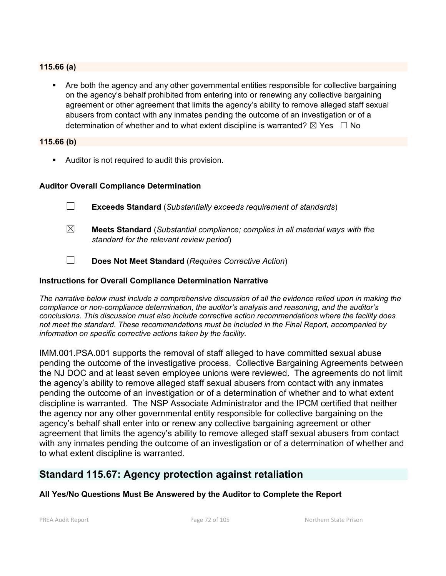#### **115.66 (a)**

 Are both the agency and any other governmental entities responsible for collective bargaining on the agency's behalf prohibited from entering into or renewing any collective bargaining agreement or other agreement that limits the agency's ability to remove alleged staff sexual abusers from contact with any inmates pending the outcome of an investigation or of a determination of whether and to what extent discipline is warranted?  $\boxtimes$  Yes  $\Box$  No

#### **115.66 (b)**

Auditor is not required to audit this provision.

#### **Auditor Overall Compliance Determination**

- ☐ **Exceeds Standard** (*Substantially exceeds requirement of standards*)
- ☒ **Meets Standard** (*Substantial compliance; complies in all material ways with the standard for the relevant review period*)
- ☐ **Does Not Meet Standard** (*Requires Corrective Action*)

#### **Instructions for Overall Compliance Determination Narrative**

*The narrative below must include a comprehensive discussion of all the evidence relied upon in making the compliance or non-compliance determination, the auditor's analysis and reasoning, and the auditor's conclusions. This discussion must also include corrective action recommendations where the facility does not meet the standard. These recommendations must be included in the Final Report, accompanied by information on specific corrective actions taken by the facility.*

IMM.001.PSA.001 supports the removal of staff alleged to have committed sexual abuse pending the outcome of the investigative process. Collective Bargaining Agreements between the NJ DOC and at least seven employee unions were reviewed. The agreements do not limit the agency's ability to remove alleged staff sexual abusers from contact with any inmates pending the outcome of an investigation or of a determination of whether and to what extent discipline is warranted. The NSP Associate Administrator and the IPCM certified that neither the agency nor any other governmental entity responsible for collective bargaining on the agency's behalf shall enter into or renew any collective bargaining agreement or other agreement that limits the agency's ability to remove alleged staff sexual abusers from contact with any inmates pending the outcome of an investigation or of a determination of whether and to what extent discipline is warranted.

# **Standard 115.67: Agency protection against retaliation**

### **All Yes/No Questions Must Be Answered by the Auditor to Complete the Report**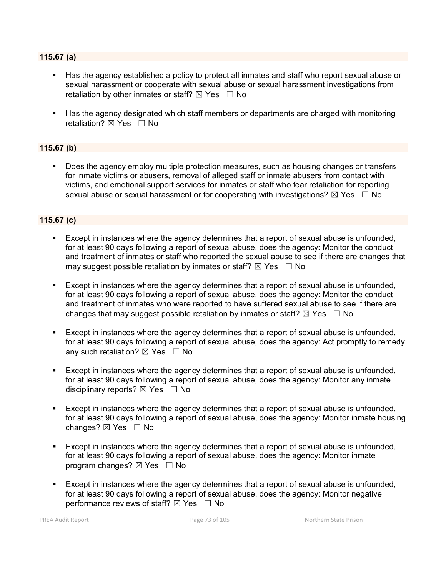### **115.67 (a)**

- Has the agency established a policy to protect all inmates and staff who report sexual abuse or sexual harassment or cooperate with sexual abuse or sexual harassment investigations from retaliation by other inmates or staff?  $\boxtimes$  Yes  $\Box$  No
- Has the agency designated which staff members or departments are charged with monitoring retaliation?  $\boxtimes$  Yes  $\Box$  No

### **115.67 (b)**

 Does the agency employ multiple protection measures, such as housing changes or transfers for inmate victims or abusers, removal of alleged staff or inmate abusers from contact with victims, and emotional support services for inmates or staff who fear retaliation for reporting sexual abuse or sexual harassment or for cooperating with investigations?  $\boxtimes$  Yes  $\Box$  No

### **115.67 (c)**

- Except in instances where the agency determines that a report of sexual abuse is unfounded, for at least 90 days following a report of sexual abuse, does the agency: Monitor the conduct and treatment of inmates or staff who reported the sexual abuse to see if there are changes that may suggest possible retaliation by inmates or staff?  $\boxtimes$  Yes  $\Box$  No
- Except in instances where the agency determines that a report of sexual abuse is unfounded, for at least 90 days following a report of sexual abuse, does the agency: Monitor the conduct and treatment of inmates who were reported to have suffered sexual abuse to see if there are changes that may suggest possible retaliation by inmates or staff?  $\boxtimes$  Yes  $\Box$  No
- Except in instances where the agency determines that a report of sexual abuse is unfounded, for at least 90 days following a report of sexual abuse, does the agency: Act promptly to remedy any such retaliation?  $\boxtimes$  Yes  $\Box$  No
- Except in instances where the agency determines that a report of sexual abuse is unfounded, for at least 90 days following a report of sexual abuse, does the agency: Monitor any inmate disciplinary reports?  $\boxtimes$  Yes  $\Box$  No
- Except in instances where the agency determines that a report of sexual abuse is unfounded, for at least 90 days following a report of sexual abuse, does the agency: Monitor inmate housing changes?  $\boxtimes$  Yes  $\Box$  No
- Except in instances where the agency determines that a report of sexual abuse is unfounded, for at least 90 days following a report of sexual abuse, does the agency: Monitor inmate program changes?  $\boxtimes$  Yes  $\Box$  No
- Except in instances where the agency determines that a report of sexual abuse is unfounded, for at least 90 days following a report of sexual abuse, does the agency: Monitor negative performance reviews of staff?  $\boxtimes$  Yes  $\Box$  No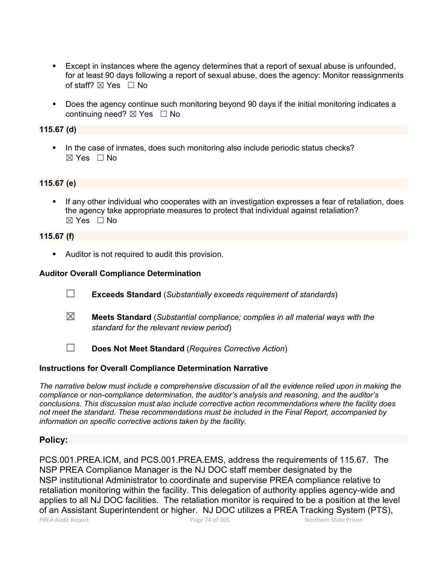- Except in instances where the agency determines that a report of sexual abuse is unfounded, for at least 90 days following a report of sexual abuse, does the agency: Monitor reassignments of staff?  $\boxtimes$  Yes  $\Box$  No
- Does the agency continue such monitoring beyond 90 days if the initial monitoring indicates a continuing need? ⊠ Yes □ No

### **115.67 (d)**

In the case of inmates, does such monitoring also include periodic status checks?  $\boxtimes$  Yes  $\Box$  No

#### **115.67 (e)**

 If any other individual who cooperates with an investigation expresses a fear of retaliation, does the agency take appropriate measures to protect that individual against retaliation? ☒ Yes ☐ No

#### **115.67 (f)**

Auditor is not required to audit this provision.

### **Auditor Overall Compliance Determination**

- ☐ **Exceeds Standard** (*Substantially exceeds requirement of standards*)
- ☒ **Meets Standard** (*Substantial compliance; complies in all material ways with the standard for the relevant review period*)
- ☐ **Does Not Meet Standard** (*Requires Corrective Action*)

#### **Instructions for Overall Compliance Determination Narrative**

*The narrative below must include a comprehensive discussion of all the evidence relied upon in making the compliance or non-compliance determination, the auditor's analysis and reasoning, and the auditor's conclusions. This discussion must also include corrective action recommendations where the facility does not meet the standard. These recommendations must be included in the Final Report, accompanied by information on specific corrective actions taken by the facility.*

### **Policy:**

PCS.001.PREA.ICM, and PCS.001.PREA.EMS, address the requirements of 115.67. The NSP PREA Compliance Manager is the NJ DOC staff member designated by the NSP institutional Administrator to coordinate and supervise PREA compliance relative to retaliation monitoring within the facility. This delegation of authority applies agency-wide and applies to all NJ DOC facilities. The retaliation monitor is required to be a position at the level of an Assistant Superintendent or higher. NJ DOC utilizes a PREA Tracking System (PTS),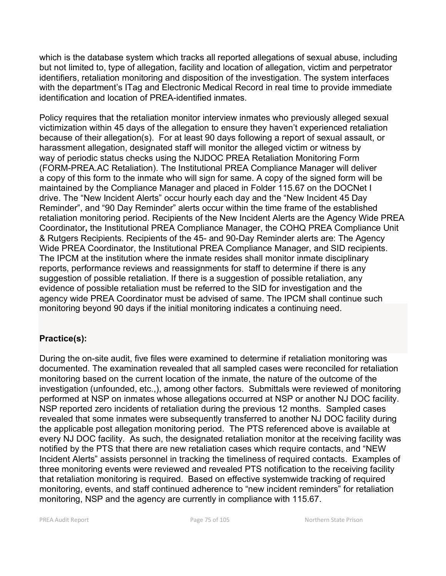which is the database system which tracks all reported allegations of sexual abuse, including but not limited to, type of allegation, facility and location of allegation, victim and perpetrator identifiers, retaliation monitoring and disposition of the investigation. The system interfaces with the department's ITag and Electronic Medical Record in real time to provide immediate identification and location of PREA-identified inmates.

Policy requires that the retaliation monitor interview inmates who previously alleged sexual victimization within 45 days of the allegation to ensure they haven't experienced retaliation because of their allegation(s). For at least 90 days following a report of sexual assault, or harassment allegation, designated staff will monitor the alleged victim or witness by way of periodic status checks using the NJDOC PREA Retaliation Monitoring Form (FORM-PREA.AC Retaliation). The Institutional PREA Compliance Manager will deliver a copy of this form to the inmate who will sign for same. A copy of the signed form will be maintained by the Compliance Manager and placed in Folder 115.67 on the DOCNet I drive. The "New Incident Alerts" occur hourly each day and the "New Incident 45 Day Reminder", and "90 Day Reminder" alerts occur within the time frame of the established retaliation monitoring period. Recipients of the New Incident Alerts are the Agency Wide PREA Coordinator**,** the Institutional PREA Compliance Manager, the COHQ PREA Compliance Unit & Rutgers Recipients. Recipients of the 45- and 90-Day Reminder alerts are: The Agency Wide PREA Coordinator, the Institutional PREA Compliance Manager, and SID recipients. The IPCM at the institution where the inmate resides shall monitor inmate disciplinary reports, performance reviews and reassignments for staff to determine if there is any suggestion of possible retaliation. If there is a suggestion of possible retaliation, any evidence of possible retaliation must be referred to the SID for investigation and the agency wide PREA Coordinator must be advised of same. The IPCM shall continue such monitoring beyond 90 days if the initial monitoring indicates a continuing need.

# **Practice(s):**

During the on-site audit, five files were examined to determine if retaliation monitoring was documented. The examination revealed that all sampled cases were reconciled for retaliation monitoring based on the current location of the inmate, the nature of the outcome of the investigation (unfounded, etc.,), among other factors. Submittals were reviewed of monitoring performed at NSP on inmates whose allegations occurred at NSP or another NJ DOC facility. NSP reported zero incidents of retaliation during the previous 12 months. Sampled cases revealed that some inmates were subsequently transferred to another NJ DOC facility during the applicable post allegation monitoring period. The PTS referenced above is available at every NJ DOC facility. As such, the designated retaliation monitor at the receiving facility was notified by the PTS that there are new retaliation cases which require contacts, and "NEW Incident Alerts" assists personnel in tracking the timeliness of required contacts. Examples of three monitoring events were reviewed and revealed PTS notification to the receiving facility that retaliation monitoring is required. Based on effective systemwide tracking of required monitoring, events, and staff continued adherence to "new incident reminders" for retaliation monitoring, NSP and the agency are currently in compliance with 115.67.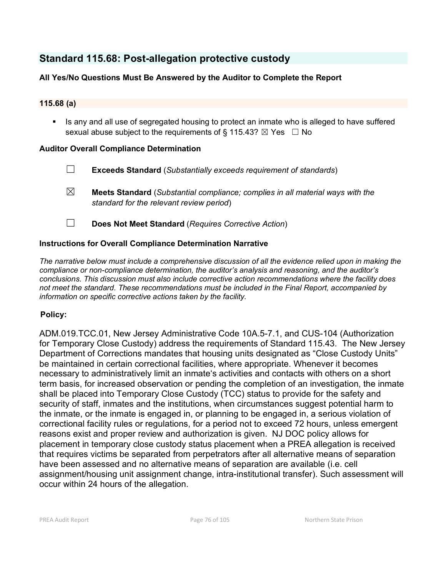# **Standard 115.68: Post-allegation protective custody**

# **All Yes/No Questions Must Be Answered by the Auditor to Complete the Report**

### **115.68 (a)**

Is any and all use of segregated housing to protect an inmate who is alleged to have suffered sexual abuse subject to the requirements of § 115.43?  $\boxtimes$  Yes  $\Box$  No

### **Auditor Overall Compliance Determination**

- ☐ **Exceeds Standard** (*Substantially exceeds requirement of standards*)
- ☒ **Meets Standard** (*Substantial compliance; complies in all material ways with the standard for the relevant review period*)
- ☐ **Does Not Meet Standard** (*Requires Corrective Action*)

### **Instructions for Overall Compliance Determination Narrative**

*The narrative below must include a comprehensive discussion of all the evidence relied upon in making the compliance or non-compliance determination, the auditor's analysis and reasoning, and the auditor's conclusions. This discussion must also include corrective action recommendations where the facility does not meet the standard. These recommendations must be included in the Final Report, accompanied by information on specific corrective actions taken by the facility.*

### **Policy:**

ADM.019.TCC.01, New Jersey Administrative Code 10A.5-7.1, and CUS-104 (Authorization for Temporary Close Custody) address the requirements of Standard 115.43. The New Jersey Department of Corrections mandates that housing units designated as "Close Custody Units" be maintained in certain correctional facilities, where appropriate. Whenever it becomes necessary to administratively limit an inmate's activities and contacts with others on a short term basis, for increased observation or pending the completion of an investigation, the inmate shall be placed into Temporary Close Custody (TCC) status to provide for the safety and security of staff, inmates and the institutions, when circumstances suggest potential harm to the inmate, or the inmate is engaged in, or planning to be engaged in, a serious violation of correctional facility rules or regulations, for a period not to exceed 72 hours, unless emergent reasons exist and proper review and authorization is given. NJ DOC policy allows for placement in temporary close custody status placement when a PREA allegation is received that requires victims be separated from perpetrators after all alternative means of separation have been assessed and no alternative means of separation are available (i.e. cell assignment/housing unit assignment change, intra-institutional transfer). Such assessment will occur within 24 hours of the allegation.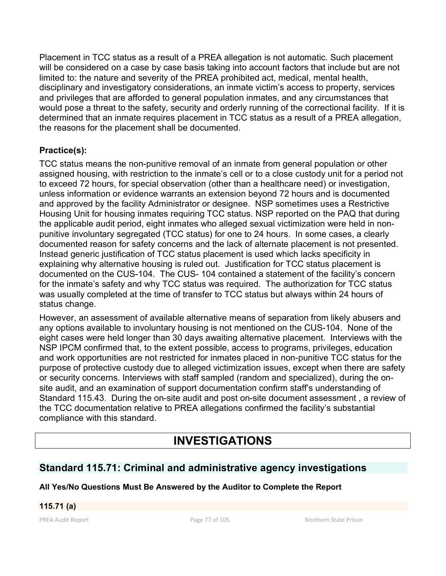Placement in TCC status as a result of a PREA allegation is not automatic. Such placement will be considered on a case by case basis taking into account factors that include but are not limited to: the nature and severity of the PREA prohibited act, medical, mental health, disciplinary and investigatory considerations, an inmate victim's access to property, services and privileges that are afforded to general population inmates, and any circumstances that would pose a threat to the safety, security and orderly running of the correctional facility. If it is determined that an inmate requires placement in TCC status as a result of a PREA allegation, the reasons for the placement shall be documented.

# **Practice(s):**

TCC status means the non-punitive removal of an inmate from general population or other assigned housing, with restriction to the inmate's cell or to a close custody unit for a period not to exceed 72 hours, for special observation (other than a healthcare need) or investigation, unless information or evidence warrants an extension beyond 72 hours and is documented and approved by the facility Administrator or designee. NSP sometimes uses a Restrictive Housing Unit for housing inmates requiring TCC status. NSP reported on the PAQ that during the applicable audit period, eight inmates who alleged sexual victimization were held in nonpunitive involuntary segregated (TCC status) for one to 24 hours. In some cases, a clearly documented reason for safety concerns and the lack of alternate placement is not presented. Instead generic justification of TCC status placement is used which lacks specificity in explaining why alternative housing is ruled out. Justification for TCC status placement is documented on the CUS-104. The CUS- 104 contained a statement of the facility's concern for the inmate's safety and why TCC status was required. The authorization for TCC status was usually completed at the time of transfer to TCC status but always within 24 hours of status change.

However, an assessment of available alternative means of separation from likely abusers and any options available to involuntary housing is not mentioned on the CUS-104. None of the eight cases were held longer than 30 days awaiting alternative placement. Interviews with the NSP IPCM confirmed that, to the extent possible, access to programs, privileges, education and work opportunities are not restricted for inmates placed in non-punitive TCC status for the purpose of protective custody due to alleged victimization issues, except when there are safety or security concerns. Interviews with staff sampled (random and specialized), during the onsite audit, and an examination of support documentation confirm staff's understanding of Standard 115.43. During the on-site audit and post on-site document assessment , a review of the TCC documentation relative to PREA allegations confirmed the facility's substantial compliance with this standard.

# **INVESTIGATIONS**

# **Standard 115.71: Criminal and administrative agency investigations**

# **All Yes/No Questions Must Be Answered by the Auditor to Complete the Report**

# **115.71 (a)**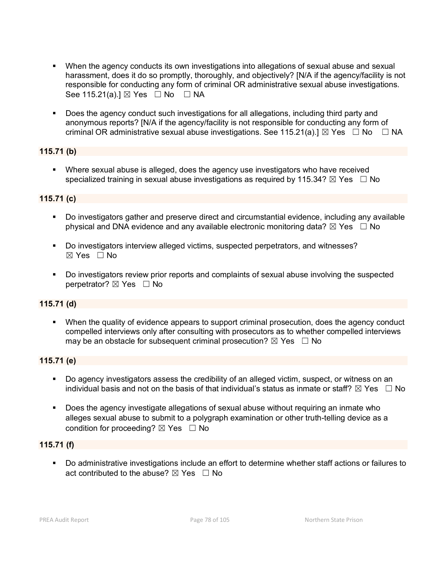- When the agency conducts its own investigations into allegations of sexual abuse and sexual harassment, does it do so promptly, thoroughly, and objectively? [N/A if the agency/facility is not responsible for conducting any form of criminal OR administrative sexual abuse investigations. See 115.21(a).]  $\boxtimes$  Yes  $\Box$  No  $\Box$  NA
- Does the agency conduct such investigations for all allegations, including third party and anonymous reports? [N/A if the agency/facility is not responsible for conducting any form of criminal OR administrative sexual abuse investigations. See 115.21(a).]  $\boxtimes$  Yes  $\Box$  No  $\Box$  NA

### **115.71 (b)**

 Where sexual abuse is alleged, does the agency use investigators who have received specialized training in sexual abuse investigations as required by 115.34?  $\boxtimes$  Yes  $\Box$  No

### **115.71 (c)**

- Do investigators gather and preserve direct and circumstantial evidence, including any available physical and DNA evidence and any available electronic monitoring data?  $\boxtimes$  Yes  $\Box$  No
- Do investigators interview alleged victims, suspected perpetrators, and witnesses?  $\boxtimes$  Yes  $\Box$  No
- Do investigators review prior reports and complaints of sexual abuse involving the suspected perpetrator? ⊠ Yes □ No

### **115.71 (d)**

 When the quality of evidence appears to support criminal prosecution, does the agency conduct compelled interviews only after consulting with prosecutors as to whether compelled interviews may be an obstacle for subsequent criminal prosecution?  $\boxtimes$  Yes  $\Box$  No

### **115.71 (e)**

- Do agency investigators assess the credibility of an alleged victim, suspect, or witness on an individual basis and not on the basis of that individual's status as inmate or staff?  $\boxtimes$  Yes  $\;\;\Box$  No
- **Does the agency investigate allegations of sexual abuse without requiring an inmate who** alleges sexual abuse to submit to a polygraph examination or other truth-telling device as a condition for proceeding?  $\boxtimes$  Yes  $\Box$  No

### **115.71 (f)**

 Do administrative investigations include an effort to determine whether staff actions or failures to act contributed to the abuse?  $\nabla$  Yes  $\Box$  No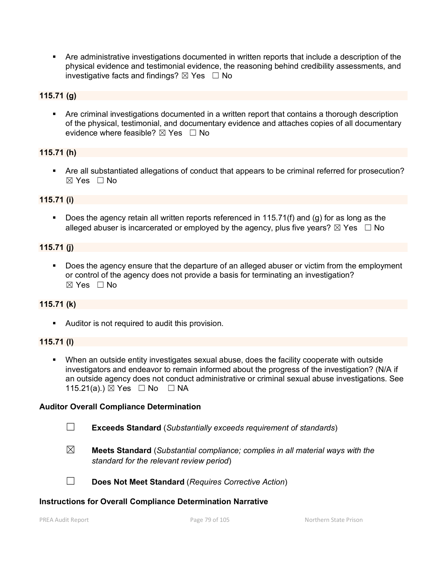Are administrative investigations documented in written reports that include a description of the physical evidence and testimonial evidence, the reasoning behind credibility assessments, and investigative facts and findings?  $\boxtimes$  Yes  $\Box$  No

### **115.71 (g)**

 Are criminal investigations documented in a written report that contains a thorough description of the physical, testimonial, and documentary evidence and attaches copies of all documentary evidence where feasible?  $\boxtimes$  Yes  $\Box$  No

### **115.71 (h)**

 Are all substantiated allegations of conduct that appears to be criminal referred for prosecution? ☒ Yes ☐ No

### **115.71 (i)**

Does the agency retain all written reports referenced in 115.71(f) and (g) for as long as the alleged abuser is incarcerated or employed by the agency, plus five years?  $\boxtimes$  Yes  $\Box$  No

### **115.71 (j)**

 Does the agency ensure that the departure of an alleged abuser or victim from the employment or control of the agency does not provide a basis for terminating an investigation?  $\boxtimes$  Yes  $\Box$  No

### **115.71 (k)**

Auditor is not required to audit this provision.

#### **115.71 (l)**

 When an outside entity investigates sexual abuse, does the facility cooperate with outside investigators and endeavor to remain informed about the progress of the investigation? (N/A if an outside agency does not conduct administrative or criminal sexual abuse investigations. See 115.21(a).) ⊠ Yes □ No □ NA

#### **Auditor Overall Compliance Determination**

- ☐ **Exceeds Standard** (*Substantially exceeds requirement of standards*)
- ☒ **Meets Standard** (*Substantial compliance; complies in all material ways with the standard for the relevant review period*)
- ☐ **Does Not Meet Standard** (*Requires Corrective Action*)

#### **Instructions for Overall Compliance Determination Narrative**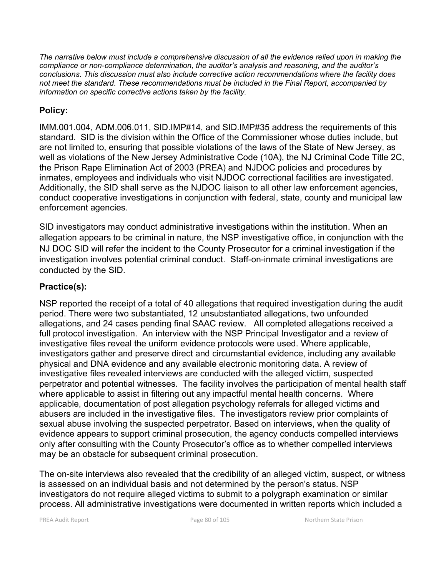*The narrative below must include a comprehensive discussion of all the evidence relied upon in making the compliance or non-compliance determination, the auditor's analysis and reasoning, and the auditor's conclusions. This discussion must also include corrective action recommendations where the facility does not meet the standard. These recommendations must be included in the Final Report, accompanied by information on specific corrective actions taken by the facility.*

# **Policy:**

IMM.001.004, ADM.006.011, SID.IMP#14, and SID.IMP#35 address the requirements of this standard. SID is the division within the Office of the Commissioner whose duties include, but are not limited to, ensuring that possible violations of the laws of the State of New Jersey, as well as violations of the New Jersey Administrative Code (10A), the NJ Criminal Code Title 2C, the Prison Rape Elimination Act of 2003 (PREA) and NJDOC policies and procedures by inmates, employees and individuals who visit NJDOC correctional facilities are investigated. Additionally, the SID shall serve as the NJDOC liaison to all other law enforcement agencies, conduct cooperative investigations in conjunction with federal, state, county and municipal law enforcement agencies.

SID investigators may conduct administrative investigations within the institution. When an allegation appears to be criminal in nature, the NSP investigative office, in conjunction with the NJ DOC SID will refer the incident to the County Prosecutor for a criminal investigation if the investigation involves potential criminal conduct. Staff-on-inmate criminal investigations are conducted by the SID.

# **Practice(s):**

NSP reported the receipt of a total of 40 allegations that required investigation during the audit period. There were two substantiated, 12 unsubstantiated allegations, two unfounded allegations, and 24 cases pending final SAAC review. All completed allegations received a full protocol investigation. An interview with the NSP Principal Investigator and a review of investigative files reveal the uniform evidence protocols were used. Where applicable, investigators gather and preserve direct and circumstantial evidence, including any available physical and DNA evidence and any available electronic monitoring data. A review of investigative files revealed interviews are conducted with the alleged victim, suspected perpetrator and potential witnesses. The facility involves the participation of mental health staff where applicable to assist in filtering out any impactful mental health concerns. Where applicable, documentation of post allegation psychology referrals for alleged victims and abusers are included in the investigative files. The investigators review prior complaints of sexual abuse involving the suspected perpetrator. Based on interviews, when the quality of evidence appears to support criminal prosecution, the agency conducts compelled interviews only after consulting with the County Prosecutor's office as to whether compelled interviews may be an obstacle for subsequent criminal prosecution.

The on-site interviews also revealed that the credibility of an alleged victim, suspect, or witness is assessed on an individual basis and not determined by the person's status. NSP investigators do not require alleged victims to submit to a polygraph examination or similar process. All administrative investigations were documented in written reports which included a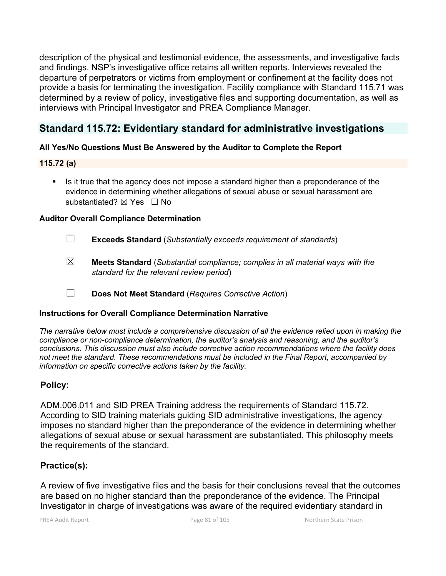description of the physical and testimonial evidence, the assessments, and investigative facts and findings. NSP's investigative office retains all written reports. Interviews revealed the departure of perpetrators or victims from employment or confinement at the facility does not provide a basis for terminating the investigation. Facility compliance with Standard 115.71 was determined by a review of policy, investigative files and supporting documentation, as well as interviews with Principal Investigator and PREA Compliance Manager.

# **Standard 115.72: Evidentiary standard for administrative investigations**

# **All Yes/No Questions Must Be Answered by the Auditor to Complete the Report**

# **115.72 (a)**

 Is it true that the agency does not impose a standard higher than a preponderance of the evidence in determining whether allegations of sexual abuse or sexual harassment are substantiated?  $⊠$  Yes  $□$  No

# **Auditor Overall Compliance Determination**

- ☐ **Exceeds Standard** (*Substantially exceeds requirement of standards*)
- ☒ **Meets Standard** (*Substantial compliance; complies in all material ways with the standard for the relevant review period*)
- ☐ **Does Not Meet Standard** (*Requires Corrective Action*)

# **Instructions for Overall Compliance Determination Narrative**

*The narrative below must include a comprehensive discussion of all the evidence relied upon in making the compliance or non-compliance determination, the auditor's analysis and reasoning, and the auditor's conclusions. This discussion must also include corrective action recommendations where the facility does not meet the standard. These recommendations must be included in the Final Report, accompanied by information on specific corrective actions taken by the facility.*

# **Policy:**

ADM.006.011 and SID PREA Training address the requirements of Standard 115.72. According to SID training materials guiding SID administrative investigations, the agency imposes no standard higher than the preponderance of the evidence in determining whether allegations of sexual abuse or sexual harassment are substantiated. This philosophy meets the requirements of the standard.

# **Practice(s):**

A review of five investigative files and the basis for their conclusions reveal that the outcomes are based on no higher standard than the preponderance of the evidence. The Principal Investigator in charge of investigations was aware of the required evidentiary standard in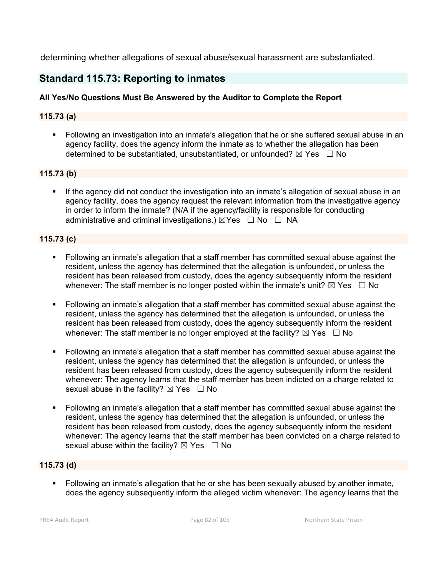determining whether allegations of sexual abuse/sexual harassment are substantiated.

# **Standard 115.73: Reporting to inmates**

# **All Yes/No Questions Must Be Answered by the Auditor to Complete the Report**

# **115.73 (a)**

 Following an investigation into an inmate's allegation that he or she suffered sexual abuse in an agency facility, does the agency inform the inmate as to whether the allegation has been determined to be substantiated, unsubstantiated, or unfounded?  $\boxtimes$  Yes  $\Box$  No

# **115.73 (b)**

 If the agency did not conduct the investigation into an inmate's allegation of sexual abuse in an agency facility, does the agency request the relevant information from the investigative agency in order to inform the inmate? (N/A if the agency/facility is responsible for conducting administrative and criminal investigations.)  $\boxtimes$ Yes  $\Box$  No  $\Box$  NA

# **115.73 (c)**

- Following an inmate's allegation that a staff member has committed sexual abuse against the resident, unless the agency has determined that the allegation is unfounded, or unless the resident has been released from custody, does the agency subsequently inform the resident whenever: The staff member is no longer posted within the inmate's unit?  $\boxtimes$  Yes  $\Box$  No
- Following an inmate's allegation that a staff member has committed sexual abuse against the resident, unless the agency has determined that the allegation is unfounded, or unless the resident has been released from custody, does the agency subsequently inform the resident whenever: The staff member is no longer employed at the facility?  $\boxtimes$  Yes  $\Box$  No
- Following an inmate's allegation that a staff member has committed sexual abuse against the resident, unless the agency has determined that the allegation is unfounded, or unless the resident has been released from custody, does the agency subsequently inform the resident whenever: The agency learns that the staff member has been indicted on a charge related to sexual abuse in the facility?  $\boxtimes$  Yes  $\Box$  No
- Following an inmate's allegation that a staff member has committed sexual abuse against the resident, unless the agency has determined that the allegation is unfounded, or unless the resident has been released from custody, does the agency subsequently inform the resident whenever: The agency learns that the staff member has been convicted on a charge related to sexual abuse within the facility?  $\boxtimes$  Yes  $\Box$  No

# **115.73 (d)**

 Following an inmate's allegation that he or she has been sexually abused by another inmate, does the agency subsequently inform the alleged victim whenever: The agency learns that the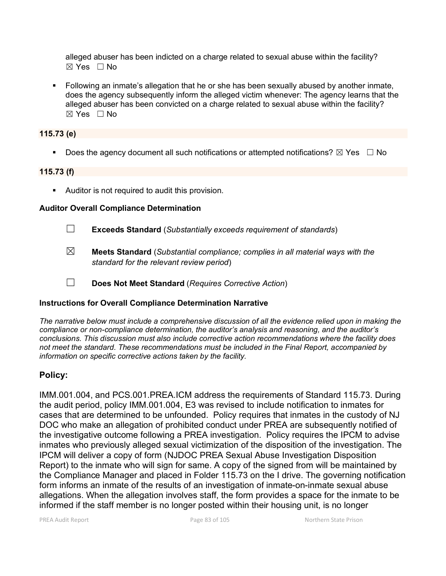alleged abuser has been indicted on a charge related to sexual abuse within the facility? ☒ Yes ☐ No

 Following an inmate's allegation that he or she has been sexually abused by another inmate, does the agency subsequently inform the alleged victim whenever: The agency learns that the alleged abuser has been convicted on a charge related to sexual abuse within the facility?  $\boxtimes$  Yes  $\Box$  No

### **115.73 (e)**

Does the agency document all such notifications or attempted notifications?  $\boxtimes$  Yes  $\Box$  No

### **115.73 (f)**

**Auditor is not required to audit this provision.** 

### **Auditor Overall Compliance Determination**

- ☐ **Exceeds Standard** (*Substantially exceeds requirement of standards*)
- ☒ **Meets Standard** (*Substantial compliance; complies in all material ways with the standard for the relevant review period*)
- ☐ **Does Not Meet Standard** (*Requires Corrective Action*)

### **Instructions for Overall Compliance Determination Narrative**

*The narrative below must include a comprehensive discussion of all the evidence relied upon in making the compliance or non-compliance determination, the auditor's analysis and reasoning, and the auditor's conclusions. This discussion must also include corrective action recommendations where the facility does not meet the standard. These recommendations must be included in the Final Report, accompanied by information on specific corrective actions taken by the facility.*

# **Policy:**

IMM.001.004, and PCS.001.PREA.ICM address the requirements of Standard 115.73. During the audit period, policy IMM.001.004, E3 was revised to include notification to inmates for cases that are determined to be unfounded. Policy requires that inmates in the custody of NJ DOC who make an allegation of prohibited conduct under PREA are subsequently notified of the investigative outcome following a PREA investigation. Policy requires the IPCM to advise inmates who previously alleged sexual victimization of the disposition of the investigation. The IPCM will deliver a copy of form (NJDOC PREA Sexual Abuse Investigation Disposition Report) to the inmate who will sign for same. A copy of the signed from will be maintained by the Compliance Manager and placed in Folder 115.73 on the I drive. The governing notification form informs an inmate of the results of an investigation of inmate-on-inmate sexual abuse allegations. When the allegation involves staff, the form provides a space for the inmate to be informed if the staff member is no longer posted within their housing unit, is no longer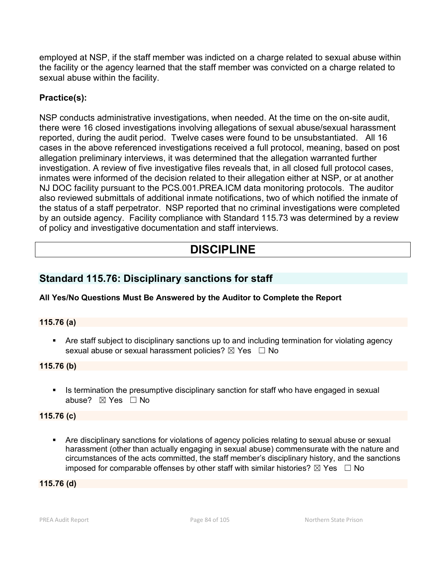employed at NSP, if the staff member was indicted on a charge related to sexual abuse within the facility or the agency learned that the staff member was convicted on a charge related to sexual abuse within the facility.

# **Practice(s):**

NSP conducts administrative investigations, when needed. At the time on the on-site audit, there were 16 closed investigations involving allegations of sexual abuse/sexual harassment reported, during the audit period. Twelve cases were found to be unsubstantiated. All 16 cases in the above referenced investigations received a full protocol, meaning, based on post allegation preliminary interviews, it was determined that the allegation warranted further investigation. A review of five investigative files reveals that, in all closed full protocol cases, inmates were informed of the decision related to their allegation either at NSP, or at another NJ DOC facility pursuant to the PCS.001.PREA.ICM data monitoring protocols. The auditor also reviewed submittals of additional inmate notifications, two of which notified the inmate of the status of a staff perpetrator. NSP reported that no criminal investigations were completed by an outside agency. Facility compliance with Standard 115.73 was determined by a review of policy and investigative documentation and staff interviews.

# **DISCIPLINE**

# **Standard 115.76: Disciplinary sanctions for staff**

# **All Yes/No Questions Must Be Answered by the Auditor to Complete the Report**

# **115.76 (a)**

 Are staff subject to disciplinary sanctions up to and including termination for violating agency sexual abuse or sexual harassment policies?  $\boxtimes$  Yes  $\Box$  No

**115.76 (b)**

Is termination the presumptive disciplinary sanction for staff who have engaged in sexual abuse? ☒ Yes ☐ No

### **115.76 (c)**

 Are disciplinary sanctions for violations of agency policies relating to sexual abuse or sexual harassment (other than actually engaging in sexual abuse) commensurate with the nature and circumstances of the acts committed, the staff member's disciplinary history, and the sanctions imposed for comparable offenses by other staff with similar histories?  $\boxtimes$  Yes  $\Box$  No

### **115.76 (d)**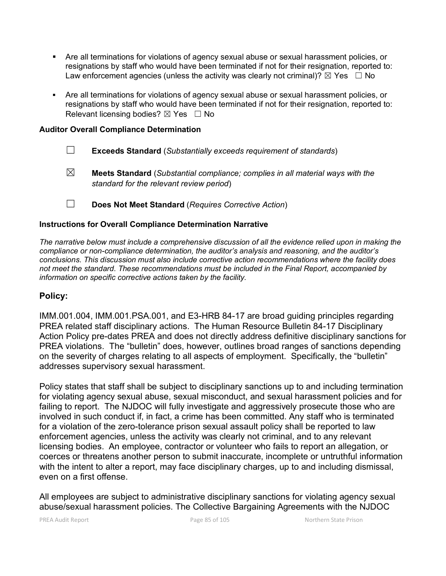- Are all terminations for violations of agency sexual abuse or sexual harassment policies, or resignations by staff who would have been terminated if not for their resignation, reported to: Law enforcement agencies (unless the activity was clearly not criminal)?  $\boxtimes$  Yes  $\Box$  No
- Are all terminations for violations of agency sexual abuse or sexual harassment policies, or resignations by staff who would have been terminated if not for their resignation, reported to: Relevant licensing bodies?  $\boxtimes$  Yes  $\Box$  No

### **Auditor Overall Compliance Determination**

- ☐ **Exceeds Standard** (*Substantially exceeds requirement of standards*)
- ☒ **Meets Standard** (*Substantial compliance; complies in all material ways with the standard for the relevant review period*)
- ☐ **Does Not Meet Standard** (*Requires Corrective Action*)

### **Instructions for Overall Compliance Determination Narrative**

*The narrative below must include a comprehensive discussion of all the evidence relied upon in making the compliance or non-compliance determination, the auditor's analysis and reasoning, and the auditor's conclusions. This discussion must also include corrective action recommendations where the facility does not meet the standard. These recommendations must be included in the Final Report, accompanied by information on specific corrective actions taken by the facility.*

# **Policy:**

IMM.001.004, IMM.001.PSA.001, and E3-HRB 84-17 are broad guiding principles regarding PREA related staff disciplinary actions. The Human Resource Bulletin 84-17 Disciplinary Action Policy pre-dates PREA and does not directly address definitive disciplinary sanctions for PREA violations. The "bulletin" does, however, outlines broad ranges of sanctions depending on the severity of charges relating to all aspects of employment. Specifically, the "bulletin" addresses supervisory sexual harassment.

Policy states that staff shall be subject to disciplinary sanctions up to and including termination for violating agency sexual abuse, sexual misconduct, and sexual harassment policies and for failing to report. The NJDOC will fully investigate and aggressively prosecute those who are involved in such conduct if, in fact, a crime has been committed. Any staff who is terminated for a violation of the zero-tolerance prison sexual assault policy shall be reported to law enforcement agencies, unless the activity was clearly not criminal, and to any relevant licensing bodies. An employee, contractor or volunteer who fails to report an allegation, or coerces or threatens another person to submit inaccurate, incomplete or untruthful information with the intent to alter a report, may face disciplinary charges, up to and including dismissal, even on a first offense.

All employees are subject to administrative disciplinary sanctions for violating agency sexual abuse/sexual harassment policies. The Collective Bargaining Agreements with the NJDOC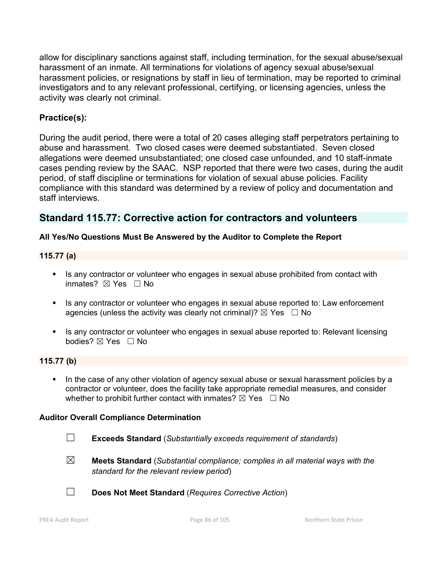allow for disciplinary sanctions against staff, including termination, for the sexual abuse/sexual harassment of an inmate. All terminations for violations of agency sexual abuse/sexual harassment policies, or resignations by staff in lieu of termination, may be reported to criminal investigators and to any relevant professional, certifying, or licensing agencies, unless the activity was clearly not criminal.

# **Practice(s):**

During the audit period, there were a total of 20 cases alleging staff perpetrators pertaining to abuse and harassment. Two closed cases were deemed substantiated. Seven closed allegations were deemed unsubstantiated; one closed case unfounded, and 10 staff-inmate cases pending review by the SAAC. NSP reported that there were two cases, during the audit period, of staff discipline or terminations for violation of sexual abuse policies. Facility compliance with this standard was determined by a review of policy and documentation and staff interviews.

# **Standard 115.77: Corrective action for contractors and volunteers**

# **All Yes/No Questions Must Be Answered by the Auditor to Complete the Report**

### **115.77 (a)**

- Is any contractor or volunteer who engages in sexual abuse prohibited from contact with inmates? ☒ Yes ☐ No
- If any contractor or volunteer who engages in sexual abuse reported to: Law enforcement agencies (unless the activity was clearly not criminal)?  $\boxtimes$  Yes  $\Box$  No
- Is any contractor or volunteer who engages in sexual abuse reported to: Relevant licensing bodies? ☒ Yes ☐ No

### **115.77 (b)**

In the case of any other violation of agency sexual abuse or sexual harassment policies by a contractor or volunteer, does the facility take appropriate remedial measures, and consider whether to prohibit further contact with inmates?  $\boxtimes$  Yes  $\Box$  No

### **Auditor Overall Compliance Determination**

- 
- ☐ **Exceeds Standard** (*Substantially exceeds requirement of standards*)
- ☒ **Meets Standard** (*Substantial compliance; complies in all material ways with the standard for the relevant review period*)



☐ **Does Not Meet Standard** (*Requires Corrective Action*)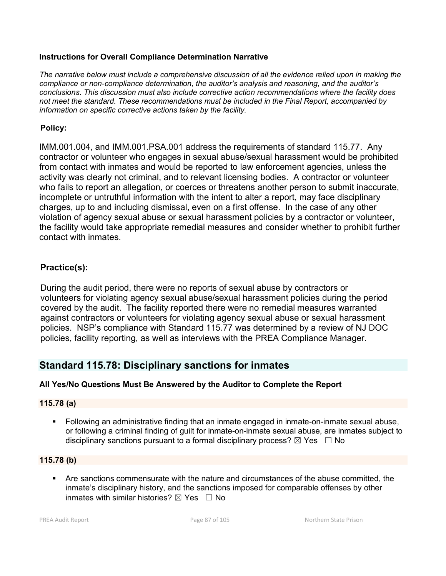### **Instructions for Overall Compliance Determination Narrative**

*The narrative below must include a comprehensive discussion of all the evidence relied upon in making the compliance or non-compliance determination, the auditor's analysis and reasoning, and the auditor's conclusions. This discussion must also include corrective action recommendations where the facility does not meet the standard. These recommendations must be included in the Final Report, accompanied by information on specific corrective actions taken by the facility.*

# **Policy:**

IMM.001.004, and IMM.001.PSA.001 address the requirements of standard 115.77. Any contractor or volunteer who engages in sexual abuse/sexual harassment would be prohibited from contact with inmates and would be reported to law enforcement agencies, unless the activity was clearly not criminal, and to relevant licensing bodies. A contractor or volunteer who fails to report an allegation, or coerces or threatens another person to submit inaccurate, incomplete or untruthful information with the intent to alter a report, may face disciplinary charges, up to and including dismissal, even on a first offense. In the case of any other violation of agency sexual abuse or sexual harassment policies by a contractor or volunteer, the facility would take appropriate remedial measures and consider whether to prohibit further contact with inmates.

# **Practice(s):**

During the audit period, there were no reports of sexual abuse by contractors or volunteers for violating agency sexual abuse/sexual harassment policies during the period covered by the audit. The facility reported there were no remedial measures warranted against contractors or volunteers for violating agency sexual abuse or sexual harassment policies. NSP's compliance with Standard 115.77 was determined by a review of NJ DOC policies, facility reporting, as well as interviews with the PREA Compliance Manager.

# **Standard 115.78: Disciplinary sanctions for inmates**

# **All Yes/No Questions Must Be Answered by the Auditor to Complete the Report**

# **115.78 (a)**

 Following an administrative finding that an inmate engaged in inmate-on-inmate sexual abuse, or following a criminal finding of guilt for inmate-on-inmate sexual abuse, are inmates subject to disciplinary sanctions pursuant to a formal disciplinary process?  $\boxtimes$  Yes  $\Box$  No

### **115.78 (b)**

 Are sanctions commensurate with the nature and circumstances of the abuse committed, the inmate's disciplinary history, and the sanctions imposed for comparable offenses by other inmates with similar histories?  $\boxtimes$  Yes  $\Box$  No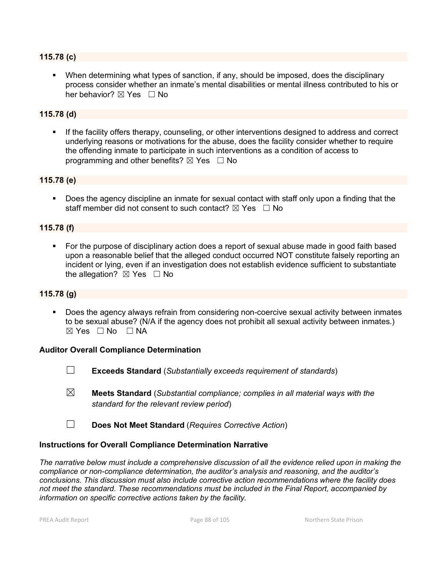### **115.78 (c)**

 When determining what types of sanction, if any, should be imposed, does the disciplinary process consider whether an inmate's mental disabilities or mental illness contributed to his or her behavior?  $\boxtimes$  Yes  $\Box$  No

### **115.78 (d)**

 If the facility offers therapy, counseling, or other interventions designed to address and correct underlying reasons or motivations for the abuse, does the facility consider whether to require the offending inmate to participate in such interventions as a condition of access to programming and other benefits?  $\boxtimes$  Yes  $\Box$  No

### **115.78 (e)**

**Does the agency discipline an inmate for sexual contact with staff only upon a finding that the** staff member did not consent to such contact?  $\boxtimes$  Yes  $\Box$  No

### **115.78 (f)**

 For the purpose of disciplinary action does a report of sexual abuse made in good faith based upon a reasonable belief that the alleged conduct occurred NOT constitute falsely reporting an incident or lying, even if an investigation does not establish evidence sufficient to substantiate the allegation?  $\boxtimes$  Yes  $\Box$  No

#### **115.78 (g)**

 Does the agency always refrain from considering non-coercive sexual activity between inmates to be sexual abuse? (N/A if the agency does not prohibit all sexual activity between inmates.)  $\boxtimes$  Yes  $\Box$  No  $\Box$  NA

#### **Auditor Overall Compliance Determination**

- 
- ☐ **Exceeds Standard** (*Substantially exceeds requirement of standards*)
- ☒ **Meets Standard** (*Substantial compliance; complies in all material ways with the standard for the relevant review period*)
- ☐ **Does Not Meet Standard** (*Requires Corrective Action*)

#### **Instructions for Overall Compliance Determination Narrative**

*The narrative below must include a comprehensive discussion of all the evidence relied upon in making the compliance or non-compliance determination, the auditor's analysis and reasoning, and the auditor's conclusions. This discussion must also include corrective action recommendations where the facility does not meet the standard. These recommendations must be included in the Final Report, accompanied by information on specific corrective actions taken by the facility.*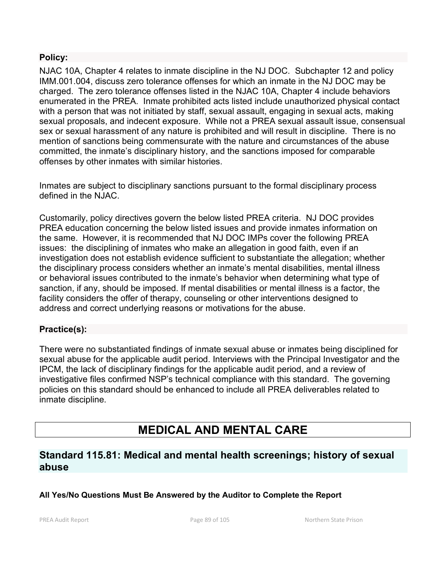# **Policy:**

NJAC 10A, Chapter 4 relates to inmate discipline in the NJ DOC. Subchapter 12 and policy IMM.001.004, discuss zero tolerance offenses for which an inmate in the NJ DOC may be charged. The zero tolerance offenses listed in the NJAC 10A, Chapter 4 include behaviors enumerated in the PREA. Inmate prohibited acts listed include unauthorized physical contact with a person that was not initiated by staff, sexual assault, engaging in sexual acts, making sexual proposals, and indecent exposure. While not a PREA sexual assault issue, consensual sex or sexual harassment of any nature is prohibited and will result in discipline. There is no mention of sanctions being commensurate with the nature and circumstances of the abuse committed, the inmate's disciplinary history, and the sanctions imposed for comparable offenses by other inmates with similar histories.

Inmates are subject to disciplinary sanctions pursuant to the formal disciplinary process defined in the NJAC.

Customarily, policy directives govern the below listed PREA criteria. NJ DOC provides PREA education concerning the below listed issues and provide inmates information on the same. However, it is recommended that NJ DOC IMPs cover the following PREA issues: the disciplining of inmates who make an allegation in good faith, even if an investigation does not establish evidence sufficient to substantiate the allegation; whether the disciplinary process considers whether an inmate's mental disabilities, mental illness or behavioral issues contributed to the inmate's behavior when determining what type of sanction, if any, should be imposed. If mental disabilities or mental illness is a factor, the facility considers the offer of therapy, counseling or other interventions designed to address and correct underlying reasons or motivations for the abuse.

# **Practice(s):**

There were no substantiated findings of inmate sexual abuse or inmates being disciplined for sexual abuse for the applicable audit period. Interviews with the Principal Investigator and the IPCM, the lack of disciplinary findings for the applicable audit period, and a review of investigative files confirmed NSP's technical compliance with this standard. The governing policies on this standard should be enhanced to include all PREA deliverables related to inmate discipline.

# **MEDICAL AND MENTAL CARE**

# **Standard 115.81: Medical and mental health screenings; history of sexual abuse**

# **All Yes/No Questions Must Be Answered by the Auditor to Complete the Report**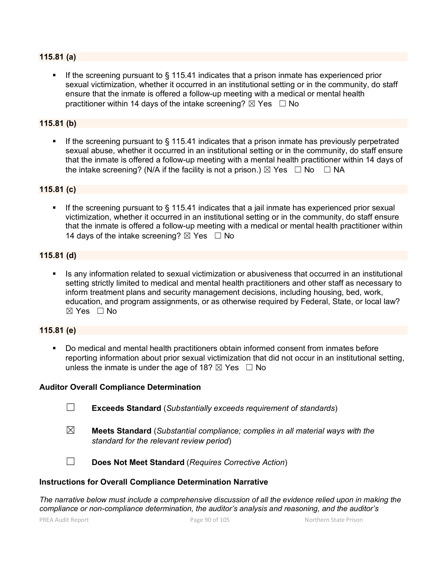### **115.81 (a)**

 If the screening pursuant to § 115.41 indicates that a prison inmate has experienced prior sexual victimization, whether it occurred in an institutional setting or in the community, do staff ensure that the inmate is offered a follow-up meeting with a medical or mental health practitioner within 14 days of the intake screening?  $\boxtimes$  Yes  $\Box$  No

#### **115.81 (b)**

If the screening pursuant to  $\S$  115.41 indicates that a prison inmate has previously perpetrated sexual abuse, whether it occurred in an institutional setting or in the community, do staff ensure that the inmate is offered a follow-up meeting with a mental health practitioner within 14 days of the intake screening? (N/A if the facility is not a prison.)  $\boxtimes$  Yes  $\Box$  No  $\Box$  NA

#### **115.81 (c)**

If the screening pursuant to § 115.41 indicates that a jail inmate has experienced prior sexual victimization, whether it occurred in an institutional setting or in the community, do staff ensure that the inmate is offered a follow-up meeting with a medical or mental health practitioner within 14 days of the intake screening?  $\boxtimes$  Yes  $\Box$  No

#### **115.81 (d)**

 Is any information related to sexual victimization or abusiveness that occurred in an institutional setting strictly limited to medical and mental health practitioners and other staff as necessary to inform treatment plans and security management decisions, including housing, bed, work, education, and program assignments, or as otherwise required by Federal, State, or local law?  $\boxtimes$  Yes  $\Box$  No

#### **115.81 (e)**

 Do medical and mental health practitioners obtain informed consent from inmates before reporting information about prior sexual victimization that did not occur in an institutional setting, unless the inmate is under the age of 18?  $\boxtimes$  Yes  $\Box$  No

#### **Auditor Overall Compliance Determination**

- ☐ **Exceeds Standard** (*Substantially exceeds requirement of standards*)
- ☒ **Meets Standard** (*Substantial compliance; complies in all material ways with the standard for the relevant review period*)

☐ **Does Not Meet Standard** (*Requires Corrective Action*)

#### **Instructions for Overall Compliance Determination Narrative**

*The narrative below must include a comprehensive discussion of all the evidence relied upon in making the compliance or non-compliance determination, the auditor's analysis and reasoning, and the auditor's*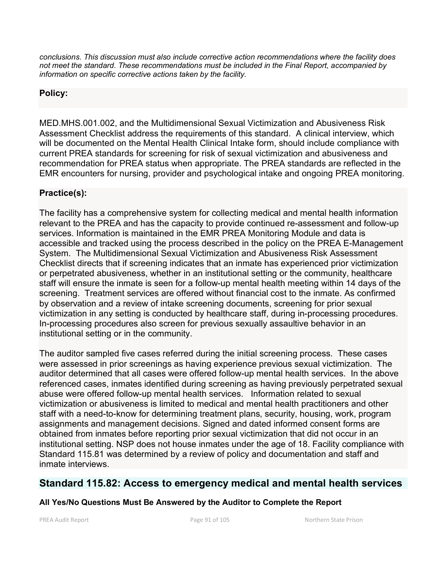*conclusions. This discussion must also include corrective action recommendations where the facility does not meet the standard. These recommendations must be included in the Final Report, accompanied by information on specific corrective actions taken by the facility.*

# **Policy:**

MED.MHS.001.002, and the Multidimensional Sexual Victimization and Abusiveness Risk Assessment Checklist address the requirements of this standard. A clinical interview, which will be documented on the Mental Health Clinical Intake form, should include compliance with current PREA standards for screening for risk of sexual victimization and abusiveness and recommendation for PREA status when appropriate. The PREA standards are reflected in the EMR encounters for nursing, provider and psychological intake and ongoing PREA monitoring.

# **Practice(s):**

The facility has a comprehensive system for collecting medical and mental health information relevant to the PREA and has the capacity to provide continued re-assessment and follow-up services. Information is maintained in the EMR PREA Monitoring Module and data is accessible and tracked using the process described in the policy on the PREA E-Management System. The Multidimensional Sexual Victimization and Abusiveness Risk Assessment Checklist directs that if screening indicates that an inmate has experienced prior victimization or perpetrated abusiveness, whether in an institutional setting or the community, healthcare staff will ensure the inmate is seen for a follow-up mental health meeting within 14 days of the screening. Treatment services are offered without financial cost to the inmate. As confirmed by observation and a review of intake screening documents, screening for prior sexual victimization in any setting is conducted by healthcare staff, during in-processing procedures. In-processing procedures also screen for previous sexually assaultive behavior in an institutional setting or in the community.

The auditor sampled five cases referred during the initial screening process. These cases were assessed in prior screenings as having experience previous sexual victimization. The auditor determined that all cases were offered follow-up mental health services. In the above referenced cases, inmates identified during screening as having previously perpetrated sexual abuse were offered follow-up mental health services. Information related to sexual victimization or abusiveness is limited to medical and mental health practitioners and other staff with a need-to-know for determining treatment plans, security, housing, work, program assignments and management decisions. Signed and dated informed consent forms are obtained from inmates before reporting prior sexual victimization that did not occur in an institutional setting. NSP does not house inmates under the age of 18. Facility compliance with Standard 115.81 was determined by a review of policy and documentation and staff and inmate interviews.

# **Standard 115.82: Access to emergency medical and mental health services**

# **All Yes/No Questions Must Be Answered by the Auditor to Complete the Report**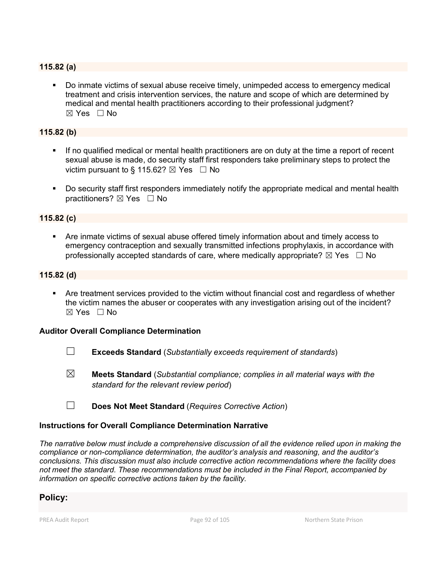### **115.82 (a)**

 Do inmate victims of sexual abuse receive timely, unimpeded access to emergency medical treatment and crisis intervention services, the nature and scope of which are determined by medical and mental health practitioners according to their professional judgment?  $\boxtimes$  Yes  $\Box$  No

### **115.82 (b)**

- If no qualified medical or mental health practitioners are on duty at the time a report of recent sexual abuse is made, do security staff first responders take preliminary steps to protect the victim pursuant to § 115.62?  $\boxtimes$  Yes  $\Box$  No
- Do security staff first responders immediately notify the appropriate medical and mental health practitioners? ⊠ Yes □ No

### **115.82 (c)**

 Are inmate victims of sexual abuse offered timely information about and timely access to emergency contraception and sexually transmitted infections prophylaxis, in accordance with professionally accepted standards of care, where medically appropriate?  $\boxtimes$  Yes  $\Box$  No

#### **115.82 (d)**

 Are treatment services provided to the victim without financial cost and regardless of whether the victim names the abuser or cooperates with any investigation arising out of the incident? ☒ Yes ☐ No

#### **Auditor Overall Compliance Determination**

- ☐ **Exceeds Standard** (*Substantially exceeds requirement of standards*)
- ☒ **Meets Standard** (*Substantial compliance; complies in all material ways with the standard for the relevant review period*)
- ☐ **Does Not Meet Standard** (*Requires Corrective Action*)

#### **Instructions for Overall Compliance Determination Narrative**

*The narrative below must include a comprehensive discussion of all the evidence relied upon in making the compliance or non-compliance determination, the auditor's analysis and reasoning, and the auditor's conclusions. This discussion must also include corrective action recommendations where the facility does not meet the standard. These recommendations must be included in the Final Report, accompanied by information on specific corrective actions taken by the facility.*

### **Policy:**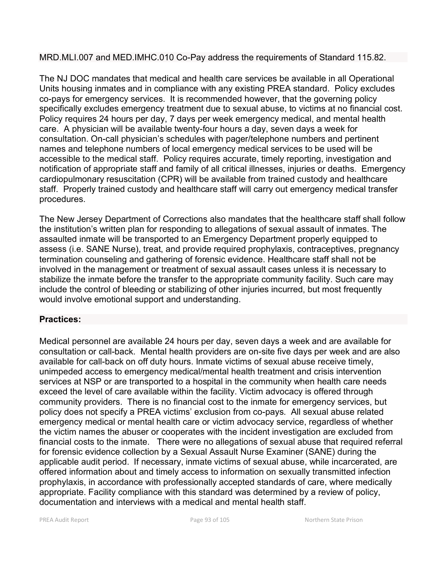# MRD.MLI.007 and MED.IMHC.010 Co-Pay address the requirements of Standard 115.82.

The NJ DOC mandates that medical and health care services be available in all Operational Units housing inmates and in compliance with any existing PREA standard. Policy excludes co-pays for emergency services. It is recommended however, that the governing policy specifically excludes emergency treatment due to sexual abuse, to victims at no financial cost. Policy requires 24 hours per day, 7 days per week emergency medical, and mental health care. A physician will be available twenty-four hours a day, seven days a week for consultation. On-call physician's schedules with pager/telephone numbers and pertinent names and telephone numbers of local emergency medical services to be used will be accessible to the medical staff. Policy requires accurate, timely reporting, investigation and notification of appropriate staff and family of all critical illnesses, injuries or deaths. Emergency cardiopulmonary resuscitation (CPR) will be available from trained custody and healthcare staff. Properly trained custody and healthcare staff will carry out emergency medical transfer procedures.

The New Jersey Department of Corrections also mandates that the healthcare staff shall follow the institution's written plan for responding to allegations of sexual assault of inmates. The assaulted inmate will be transported to an Emergency Department properly equipped to assess (i.e. SANE Nurse), treat, and provide required prophylaxis, contraceptives, pregnancy termination counseling and gathering of forensic evidence. Healthcare staff shall not be involved in the management or treatment of sexual assault cases unless it is necessary to stabilize the inmate before the transfer to the appropriate community facility. Such care may include the control of bleeding or stabilizing of other injuries incurred, but most frequently would involve emotional support and understanding.

# **Practices:**

Medical personnel are available 24 hours per day, seven days a week and are available for consultation or call-back. Mental health providers are on-site five days per week and are also available for call-back on off duty hours. Inmate victims of sexual abuse receive timely, unimpeded access to emergency medical/mental health treatment and crisis intervention services at NSP or are transported to a hospital in the community when health care needs exceed the level of care available within the facility. Victim advocacy is offered through community providers. There is no financial cost to the inmate for emergency services, but policy does not specify a PREA victims' exclusion from co-pays. All sexual abuse related emergency medical or mental health care or victim advocacy service, regardless of whether the victim names the abuser or cooperates with the incident investigation are excluded from financial costs to the inmate. There were no allegations of sexual abuse that required referral for forensic evidence collection by a Sexual Assault Nurse Examiner (SANE) during the applicable audit period. If necessary, inmate victims of sexual abuse, while incarcerated, are offered information about and timely access to information on sexually transmitted infection prophylaxis, in accordance with professionally accepted standards of care, where medically appropriate. Facility compliance with this standard was determined by a review of policy, documentation and interviews with a medical and mental health staff.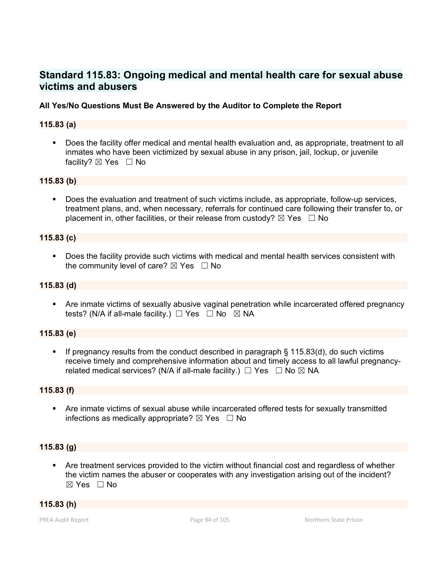# **Standard 115.83: Ongoing medical and mental health care for sexual abuse victims and abusers**

### **All Yes/No Questions Must Be Answered by the Auditor to Complete the Report**

### **115.83 (a)**

 Does the facility offer medical and mental health evaluation and, as appropriate, treatment to all inmates who have been victimized by sexual abuse in any prison, jail, lockup, or juvenile facility? ⊠ Yes □ No

### **115.83 (b)**

 Does the evaluation and treatment of such victims include, as appropriate, follow-up services, treatment plans, and, when necessary, referrals for continued care following their transfer to, or placement in, other facilities, or their release from custody?  $\boxtimes$  Yes  $\Box$  No

### **115.83 (c)**

 Does the facility provide such victims with medical and mental health services consistent with the community level of care?  $\boxtimes$  Yes  $\Box$  No

#### **115.83 (d)**

 Are inmate victims of sexually abusive vaginal penetration while incarcerated offered pregnancy tests? (N/A if all-male facility.)  $\Box$  Yes  $\Box$  No  $\boxtimes$  NA

### **115.83 (e)**

 If pregnancy results from the conduct described in paragraph § 115.83(d), do such victims receive timely and comprehensive information about and timely access to all lawful pregnancyrelated medical services? (N/A if all-male facility.)  $\Box$  Yes  $\Box$  No  $\boxtimes$  NA

#### **115.83 (f)**

 Are inmate victims of sexual abuse while incarcerated offered tests for sexually transmitted infections as medically appropriate?  $\boxtimes$  Yes  $\Box$  No

#### **115.83 (g)**

 Are treatment services provided to the victim without financial cost and regardless of whether the victim names the abuser or cooperates with any investigation arising out of the incident?  $\boxtimes$  Yes  $\Box$  No

### **115.83 (h)**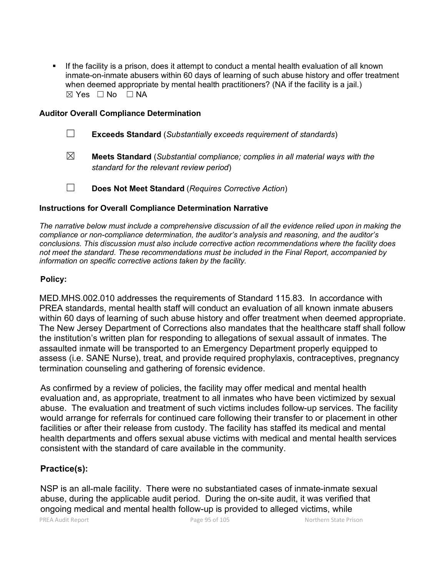If the facility is a prison, does it attempt to conduct a mental health evaluation of all known inmate-on-inmate abusers within 60 days of learning of such abuse history and offer treatment when deemed appropriate by mental health practitioners? (NA if the facility is a jail.)  $\boxtimes$  Yes  $\Box$  No  $\Box$  NA

### **Auditor Overall Compliance Determination**

- ☐ **Exceeds Standard** (*Substantially exceeds requirement of standards*)
- ☒ **Meets Standard** (*Substantial compliance; complies in all material ways with the standard for the relevant review period*)
- ☐ **Does Not Meet Standard** (*Requires Corrective Action*)

### **Instructions for Overall Compliance Determination Narrative**

*The narrative below must include a comprehensive discussion of all the evidence relied upon in making the compliance or non-compliance determination, the auditor's analysis and reasoning, and the auditor's conclusions. This discussion must also include corrective action recommendations where the facility does not meet the standard. These recommendations must be included in the Final Report, accompanied by information on specific corrective actions taken by the facility.*

### **Policy:**

MED.MHS.002.010 addresses the requirements of Standard 115.83. In accordance with PREA standards, mental health staff will conduct an evaluation of all known inmate abusers within 60 days of learning of such abuse history and offer treatment when deemed appropriate. The New Jersey Department of Corrections also mandates that the healthcare staff shall follow the institution's written plan for responding to allegations of sexual assault of inmates. The assaulted inmate will be transported to an Emergency Department properly equipped to assess (i.e. SANE Nurse), treat, and provide required prophylaxis, contraceptives, pregnancy termination counseling and gathering of forensic evidence.

As confirmed by a review of policies, the facility may offer medical and mental health evaluation and, as appropriate, treatment to all inmates who have been victimized by sexual abuse. The evaluation and treatment of such victims includes follow-up services. The facility would arrange for referrals for continued care following their transfer to or placement in other facilities or after their release from custody. The facility has staffed its medical and mental health departments and offers sexual abuse victims with medical and mental health services consistent with the standard of care available in the community.

# **Practice(s):**

NSP is an all-male facility. There were no substantiated cases of inmate-inmate sexual abuse, during the applicable audit period. During the on-site audit, it was verified that ongoing medical and mental health follow-up is provided to alleged victims, while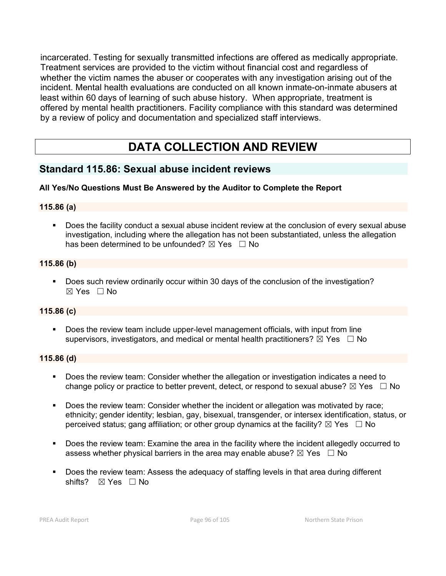incarcerated. Testing for sexually transmitted infections are offered as medically appropriate. Treatment services are provided to the victim without financial cost and regardless of whether the victim names the abuser or cooperates with any investigation arising out of the incident. Mental health evaluations are conducted on all known inmate-on-inmate abusers at least within 60 days of learning of such abuse history. When appropriate, treatment is offered by mental health practitioners. Facility compliance with this standard was determined by a review of policy and documentation and specialized staff interviews.

# **DATA COLLECTION AND REVIEW**

# **Standard 115.86: Sexual abuse incident reviews**

# **All Yes/No Questions Must Be Answered by the Auditor to Complete the Report**

### **115.86 (a)**

 Does the facility conduct a sexual abuse incident review at the conclusion of every sexual abuse investigation, including where the allegation has not been substantiated, unless the allegation has been determined to be unfounded?  $\boxtimes$  Yes  $\Box$  No

### **115.86 (b)**

Does such review ordinarily occur within 30 days of the conclusion of the investigation?  $\boxtimes$  Yes  $\Box$  No

### **115.86 (c)**

 Does the review team include upper-level management officials, with input from line supervisors, investigators, and medical or mental health practitioners?  $\boxtimes$  Yes  $\Box$  No

### **115.86 (d)**

- Does the review team: Consider whether the allegation or investigation indicates a need to change policy or practice to better prevent, detect, or respond to sexual abuse?  $\boxtimes$  Yes  $\Box$  No
- Does the review team: Consider whether the incident or allegation was motivated by race; ethnicity; gender identity; lesbian, gay, bisexual, transgender, or intersex identification, status, or perceived status; gang affiliation; or other group dynamics at the facility?  $\boxtimes$  Yes  $\Box$  No
- **Does the review team: Examine the area in the facility where the incident allegedly occurred to** assess whether physical barriers in the area may enable abuse?  $\boxtimes$  Yes  $\Box$  No
- Does the review team: Assess the adequacy of staffing levels in that area during different shifts? ⊠ Yes □ No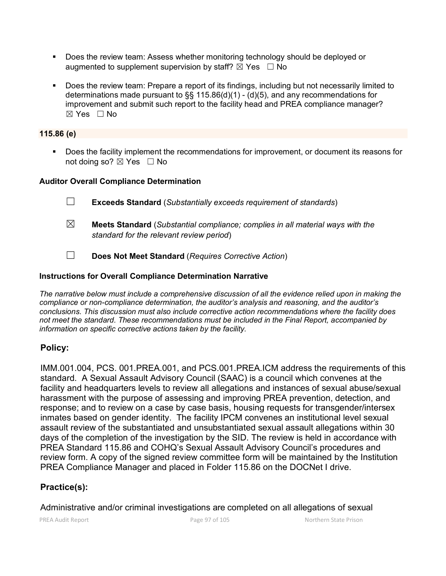- Does the review team: Assess whether monitoring technology should be deployed or augmented to supplement supervision by staff?  $\boxtimes$  Yes  $\Box$  No
- Does the review team: Prepare a report of its findings, including but not necessarily limited to determinations made pursuant to  $\S\S 115.86(d)(1)$  - (d)(5), and any recommendations for improvement and submit such report to the facility head and PREA compliance manager?  $\boxtimes$  Yes  $\Box$  No

# **115.86 (e)**

 Does the facility implement the recommendations for improvement, or document its reasons for not doing so?  $\boxtimes$  Yes  $\Box$  No

# **Auditor Overall Compliance Determination**

- ☐ **Exceeds Standard** (*Substantially exceeds requirement of standards*)
- ☒ **Meets Standard** (*Substantial compliance; complies in all material ways with the standard for the relevant review period*)
- ☐ **Does Not Meet Standard** (*Requires Corrective Action*)

# **Instructions for Overall Compliance Determination Narrative**

*The narrative below must include a comprehensive discussion of all the evidence relied upon in making the compliance or non-compliance determination, the auditor's analysis and reasoning, and the auditor's conclusions. This discussion must also include corrective action recommendations where the facility does not meet the standard. These recommendations must be included in the Final Report, accompanied by information on specific corrective actions taken by the facility.*

# **Policy:**

IMM.001.004, PCS. 001.PREA.001, and PCS.001.PREA.ICM address the requirements of this standard. A Sexual Assault Advisory Council (SAAC) is a council which convenes at the facility and headquarters levels to review all allegations and instances of sexual abuse/sexual harassment with the purpose of assessing and improving PREA prevention, detection, and response; and to review on a case by case basis, housing requests for transgender/intersex inmates based on gender identity. The facility IPCM convenes an institutional level sexual assault review of the substantiated and unsubstantiated sexual assault allegations within 30 days of the completion of the investigation by the SID. The review is held in accordance with PREA Standard 115.86 and COHQ's Sexual Assault Advisory Council's procedures and review form. A copy of the signed review committee form will be maintained by the Institution PREA Compliance Manager and placed in Folder 115.86 on the DOCNet I drive.

# **Practice(s):**

Administrative and/or criminal investigations are completed on all allegations of sexual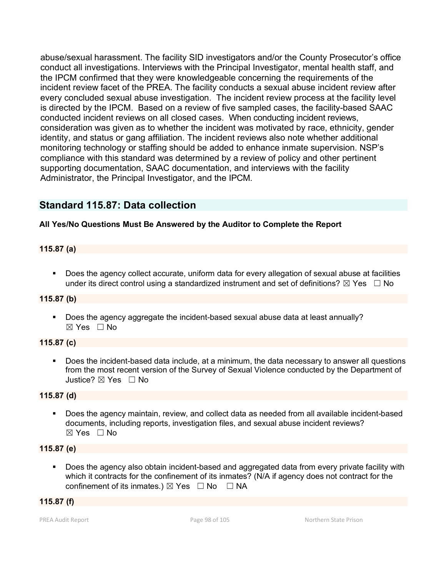abuse/sexual harassment. The facility SID investigators and/or the County Prosecutor's office conduct all investigations. Interviews with the Principal Investigator, mental health staff, and the IPCM confirmed that they were knowledgeable concerning the requirements of the incident review facet of the PREA. The facility conducts a sexual abuse incident review after every concluded sexual abuse investigation. The incident review process at the facility level is directed by the IPCM. Based on a review of five sampled cases, the facility-based SAAC conducted incident reviews on all closed cases. When conducting incident reviews, consideration was given as to whether the incident was motivated by race, ethnicity, gender identity, and status or gang affiliation. The incident reviews also note whether additional monitoring technology or staffing should be added to enhance inmate supervision. NSP's compliance with this standard was determined by a review of policy and other pertinent supporting documentation, SAAC documentation, and interviews with the facility Administrator, the Principal Investigator, and the IPCM.

# **Standard 115.87: Data collection**

### **All Yes/No Questions Must Be Answered by the Auditor to Complete the Report**

### **115.87 (a)**

 Does the agency collect accurate, uniform data for every allegation of sexual abuse at facilities under its direct control using a standardized instrument and set of definitions?  $\boxtimes$  Yes  $\Box$  No

### **115.87 (b)**

 Does the agency aggregate the incident-based sexual abuse data at least annually? ☒ Yes ☐ No

### **115.87 (c)**

 Does the incident-based data include, at a minimum, the data necessary to answer all questions from the most recent version of the Survey of Sexual Violence conducted by the Department of Justice? ⊠ Yes □ No

### **115.87 (d)**

 Does the agency maintain, review, and collect data as needed from all available incident-based documents, including reports, investigation files, and sexual abuse incident reviews? ☒ Yes ☐ No

### **115.87 (e)**

 Does the agency also obtain incident-based and aggregated data from every private facility with which it contracts for the confinement of its inmates? (N/A if agency does not contract for the confinement of its inmates.)  $\boxtimes$  Yes  $\Box$  No  $\Box$  NA

#### **115.87 (f)**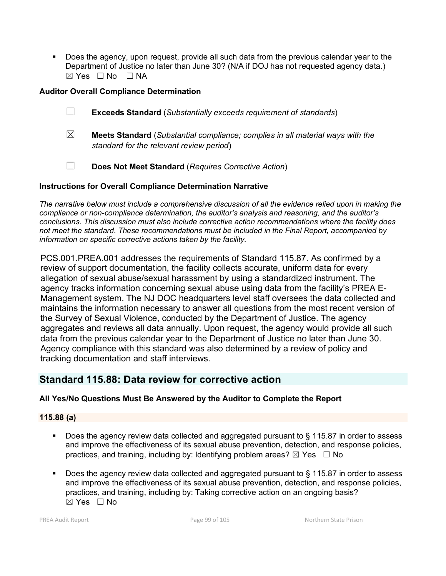Does the agency, upon request, provide all such data from the previous calendar year to the Department of Justice no later than June 30? (N/A if DOJ has not requested agency data.) ☒ Yes ☐ No ☐ NA

### **Auditor Overall Compliance Determination**

- ☐ **Exceeds Standard** (*Substantially exceeds requirement of standards*)
- ☒ **Meets Standard** (*Substantial compliance; complies in all material ways with the standard for the relevant review period*)
- ☐ **Does Not Meet Standard** (*Requires Corrective Action*)

### **Instructions for Overall Compliance Determination Narrative**

*The narrative below must include a comprehensive discussion of all the evidence relied upon in making the compliance or non-compliance determination, the auditor's analysis and reasoning, and the auditor's conclusions. This discussion must also include corrective action recommendations where the facility does not meet the standard. These recommendations must be included in the Final Report, accompanied by information on specific corrective actions taken by the facility.*

PCS.001.PREA.001 addresses the requirements of Standard 115.87. As confirmed by a review of support documentation, the facility collects accurate, uniform data for every allegation of sexual abuse/sexual harassment by using a standardized instrument. The agency tracks information concerning sexual abuse using data from the facility's PREA E-Management system. The NJ DOC headquarters level staff oversees the data collected and maintains the information necessary to answer all questions from the most recent version of the Survey of Sexual Violence, conducted by the Department of Justice. The agency aggregates and reviews all data annually. Upon request, the agency would provide all such data from the previous calendar year to the Department of Justice no later than June 30. Agency compliance with this standard was also determined by a review of policy and tracking documentation and staff interviews.

# **Standard 115.88: Data review for corrective action**

# **All Yes/No Questions Must Be Answered by the Auditor to Complete the Report**

### **115.88 (a)**

- Does the agency review data collected and aggregated pursuant to § 115.87 in order to assess and improve the effectiveness of its sexual abuse prevention, detection, and response policies, practices, and training, including by: Identifying problem areas?  $\boxtimes$  Yes  $\Box$  No
- Does the agency review data collected and aggregated pursuant to § 115.87 in order to assess and improve the effectiveness of its sexual abuse prevention, detection, and response policies, practices, and training, including by: Taking corrective action on an ongoing basis?  $\boxtimes$  Yes  $\Box$  No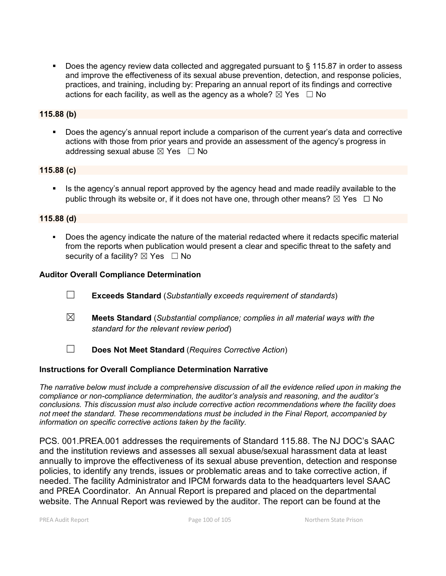Does the agency review data collected and aggregated pursuant to § 115.87 in order to assess and improve the effectiveness of its sexual abuse prevention, detection, and response policies, practices, and training, including by: Preparing an annual report of its findings and corrective actions for each facility, as well as the agency as a whole?  $\boxtimes$  Yes  $\Box$  No

### **115.88 (b)**

 Does the agency's annual report include a comparison of the current year's data and corrective actions with those from prior years and provide an assessment of the agency's progress in addressing sexual abuse  $\boxtimes$  Yes  $\Box$  No

### **115.88 (c)**

Is the agency's annual report approved by the agency head and made readily available to the public through its website or, if it does not have one, through other means?  $\boxtimes$  Yes  $\Box$  No

### **115.88 (d)**

 Does the agency indicate the nature of the material redacted where it redacts specific material from the reports when publication would present a clear and specific threat to the safety and security of a facility?  $\boxtimes$  Yes  $\Box$  No

### **Auditor Overall Compliance Determination**

- ☐ **Exceeds Standard** (*Substantially exceeds requirement of standards*)
- ☒ **Meets Standard** (*Substantial compliance; complies in all material ways with the standard for the relevant review period*)
- ☐ **Does Not Meet Standard** (*Requires Corrective Action*)

### **Instructions for Overall Compliance Determination Narrative**

*The narrative below must include a comprehensive discussion of all the evidence relied upon in making the compliance or non-compliance determination, the auditor's analysis and reasoning, and the auditor's conclusions. This discussion must also include corrective action recommendations where the facility does not meet the standard. These recommendations must be included in the Final Report, accompanied by information on specific corrective actions taken by the facility.*

PCS. 001.PREA.001 addresses the requirements of Standard 115.88. The NJ DOC's SAAC and the institution reviews and assesses all sexual abuse/sexual harassment data at least annually to improve the effectiveness of its sexual abuse prevention, detection and response policies, to identify any trends, issues or problematic areas and to take corrective action, if needed. The facility Administrator and IPCM forwards data to the headquarters level SAAC and PREA Coordinator. An Annual Report is prepared and placed on the departmental website. The Annual Report was reviewed by the auditor. The report can be found at the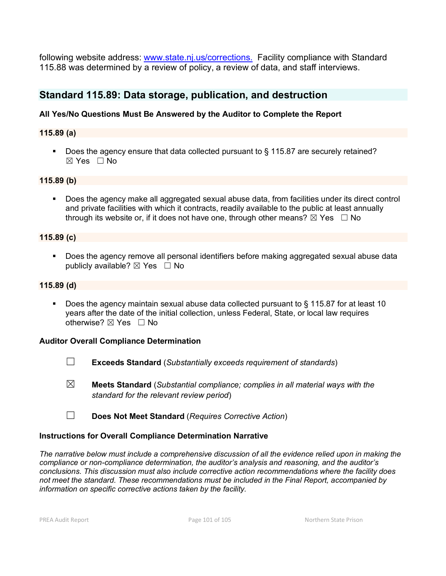following website address: [www.state.nj.us/corrections.](http://www.state.nj.us/corrections.) Facility compliance with Standard 115.88 was determined by a review of policy, a review of data, and staff interviews.

# **Standard 115.89: Data storage, publication, and destruction**

### **All Yes/No Questions Must Be Answered by the Auditor to Complete the Report**

### **115.89 (a)**

Does the agency ensure that data collected pursuant to § 115.87 are securely retained? ☒ Yes ☐ No

### **115.89 (b)**

 Does the agency make all aggregated sexual abuse data, from facilities under its direct control and private facilities with which it contracts, readily available to the public at least annually through its website or, if it does not have one, through other means?  $\boxtimes$  Yes  $\Box$  No

#### **115.89 (c)**

 Does the agency remove all personal identifiers before making aggregated sexual abuse data publicly available?  $\boxtimes$  Yes  $\Box$  No

#### **115.89 (d)**

 Does the agency maintain sexual abuse data collected pursuant to § 115.87 for at least 10 years after the date of the initial collection, unless Federal, State, or local law requires otherwise?  $\boxtimes$  Yes  $\Box$  No

#### **Auditor Overall Compliance Determination**

- ☐ **Exceeds Standard** (*Substantially exceeds requirement of standards*)
- ☒ **Meets Standard** (*Substantial compliance; complies in all material ways with the standard for the relevant review period*)
- ☐ **Does Not Meet Standard** (*Requires Corrective Action*)

#### **Instructions for Overall Compliance Determination Narrative**

*The narrative below must include a comprehensive discussion of all the evidence relied upon in making the compliance or non-compliance determination, the auditor's analysis and reasoning, and the auditor's conclusions. This discussion must also include corrective action recommendations where the facility does not meet the standard. These recommendations must be included in the Final Report, accompanied by information on specific corrective actions taken by the facility.*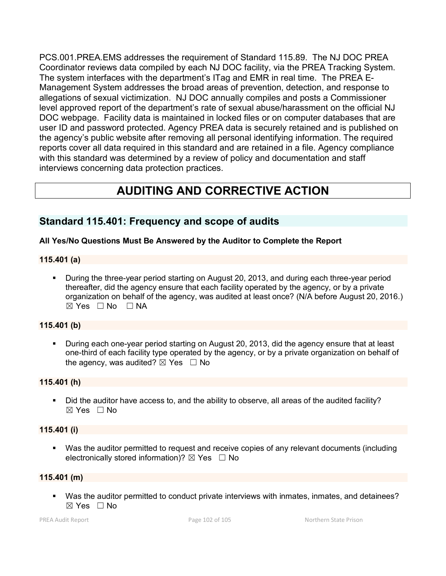PCS.001.PREA.EMS addresses the requirement of Standard 115.89. The NJ DOC PREA Coordinator reviews data compiled by each NJ DOC facility, via the PREA Tracking System. The system interfaces with the department's ITag and EMR in real time. The PREA E-Management System addresses the broad areas of prevention, detection, and response to allegations of sexual victimization. NJ DOC annually compiles and posts a Commissioner level approved report of the department's rate of sexual abuse/harassment on the official NJ DOC webpage. Facility data is maintained in locked files or on computer databases that are user ID and password protected. Agency PREA data is securely retained and is published on the agency's public website after removing all personal identifying information. The required reports cover all data required in this standard and are retained in a file. Agency compliance with this standard was determined by a review of policy and documentation and staff interviews concerning data protection practices.

# **AUDITING AND CORRECTIVE ACTION**

# **Standard 115.401: Frequency and scope of audits**

### **All Yes/No Questions Must Be Answered by the Auditor to Complete the Report**

### **115.401 (a)**

 During the three-year period starting on August 20, 2013, and during each three-year period thereafter, did the agency ensure that each facility operated by the agency, or by a private organization on behalf of the agency, was audited at least once? (N/A before August 20, 2016.)  $\boxtimes$  Yes  $\Box$  No  $\Box$  NA

### **115.401 (b)**

 During each one-year period starting on August 20, 2013, did the agency ensure that at least one-third of each facility type operated by the agency, or by a private organization on behalf of the agency, was audited?  $\boxtimes$  Yes  $\Box$  No

#### **115.401 (h)**

Did the auditor have access to, and the ability to observe, all areas of the audited facility?  $\boxtimes$  Yes  $\Box$  No

### **115.401 (i)**

 Was the auditor permitted to request and receive copies of any relevant documents (including electronically stored information)?  $\boxtimes$  Yes  $\Box$  No

#### **115.401 (m)**

 Was the auditor permitted to conduct private interviews with inmates, inmates, and detainees?  $\boxtimes$  Yes  $\Box$  No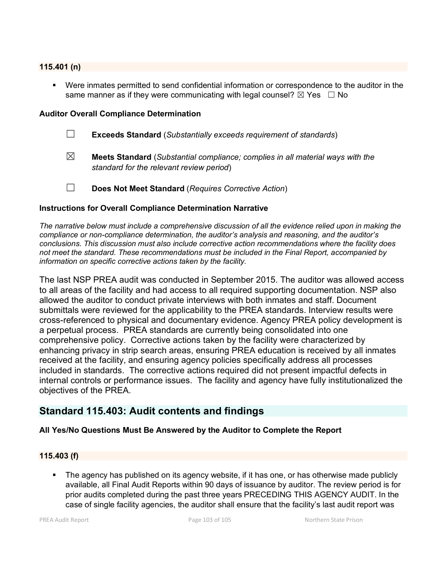#### **115.401 (n)**

 Were inmates permitted to send confidential information or correspondence to the auditor in the same manner as if they were communicating with legal counsel?  $\boxtimes$  Yes  $\Box$  No

#### **Auditor Overall Compliance Determination**

- ☐ **Exceeds Standard** (*Substantially exceeds requirement of standards*)
- ☒ **Meets Standard** (*Substantial compliance; complies in all material ways with the standard for the relevant review period*)
- ☐ **Does Not Meet Standard** (*Requires Corrective Action*)

# **Instructions for Overall Compliance Determination Narrative**

*The narrative below must include a comprehensive discussion of all the evidence relied upon in making the compliance or non-compliance determination, the auditor's analysis and reasoning, and the auditor's conclusions. This discussion must also include corrective action recommendations where the facility does not meet the standard. These recommendations must be included in the Final Report, accompanied by information on specific corrective actions taken by the facility.*

The last NSP PREA audit was conducted in September 2015. The auditor was allowed access to all areas of the facility and had access to all required supporting documentation. NSP also allowed the auditor to conduct private interviews with both inmates and staff. Document submittals were reviewed for the applicability to the PREA standards. Interview results were cross-referenced to physical and documentary evidence. Agency PREA policy development is a perpetual process. PREA standards are currently being consolidated into one comprehensive policy. Corrective actions taken by the facility were characterized by enhancing privacy in strip search areas, ensuring PREA education is received by all inmates received at the facility, and ensuring agency policies specifically address all processes included in standards. The corrective actions required did not present impactful defects in internal controls or performance issues. The facility and agency have fully institutionalized the objectives of the PREA.

# **Standard 115.403: Audit contents and findings**

### **All Yes/No Questions Must Be Answered by the Auditor to Complete the Report**

#### **115.403 (f)**

 The agency has published on its agency website, if it has one, or has otherwise made publicly available, all Final Audit Reports within 90 days of issuance by auditor. The review period is for prior audits completed during the past three years PRECEDING THIS AGENCY AUDIT. In the case of single facility agencies, the auditor shall ensure that the facility's last audit report was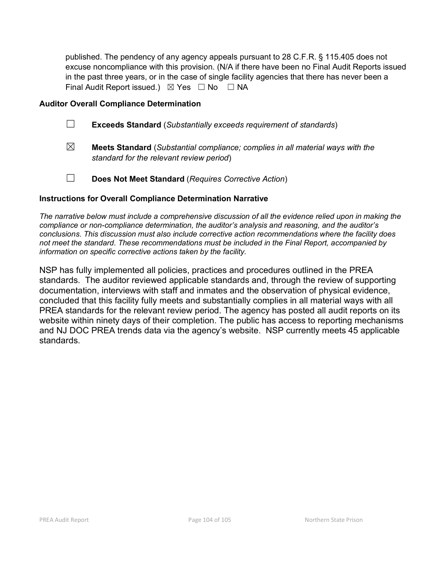published. The pendency of any agency appeals pursuant to 28 C.F.R. § 115.405 does not excuse noncompliance with this provision. (N/A if there have been no Final Audit Reports issued in the past three years, or in the case of single facility agencies that there has never been a Final Audit Report issued.)  $\boxtimes$  Yes  $\Box$  No  $\Box$  NA

### **Auditor Overall Compliance Determination**

- ☐ **Exceeds Standard** (*Substantially exceeds requirement of standards*)
- ☒ **Meets Standard** (*Substantial compliance; complies in all material ways with the standard for the relevant review period*)
- ☐ **Does Not Meet Standard** (*Requires Corrective Action*)

### **Instructions for Overall Compliance Determination Narrative**

*The narrative below must include a comprehensive discussion of all the evidence relied upon in making the compliance or non-compliance determination, the auditor's analysis and reasoning, and the auditor's conclusions. This discussion must also include corrective action recommendations where the facility does not meet the standard. These recommendations must be included in the Final Report, accompanied by information on specific corrective actions taken by the facility.*

NSP has fully implemented all policies, practices and procedures outlined in the PREA standards. The auditor reviewed applicable standards and, through the review of supporting documentation, interviews with staff and inmates and the observation of physical evidence, concluded that this facility fully meets and substantially complies in all material ways with all PREA standards for the relevant review period. The agency has posted all audit reports on its website within ninety days of their completion. The public has access to reporting mechanisms and NJ DOC PREA trends data via the agency's website. NSP currently meets 45 applicable standards.